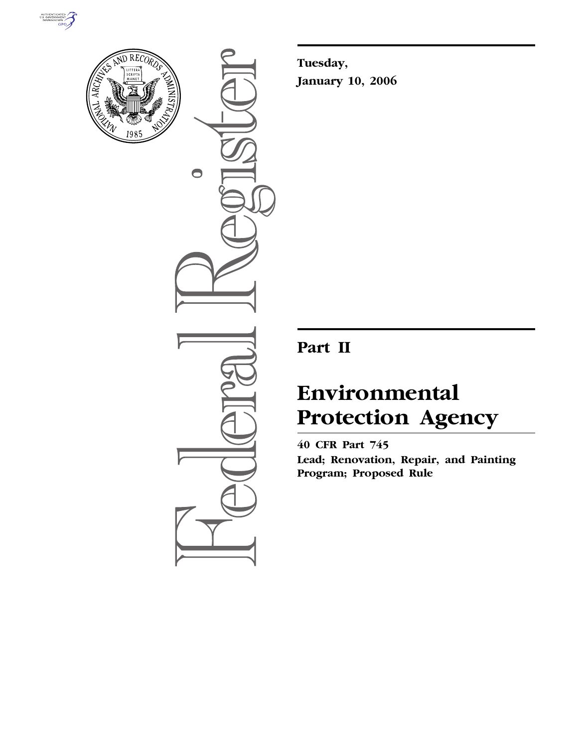



 $\bullet$ 

**Tuesday, January 10, 2006** 

# **Part II**

# **Environmental Protection Agency**

**40 CFR Part 745 Lead; Renovation, Repair, and Painting Program; Proposed Rule**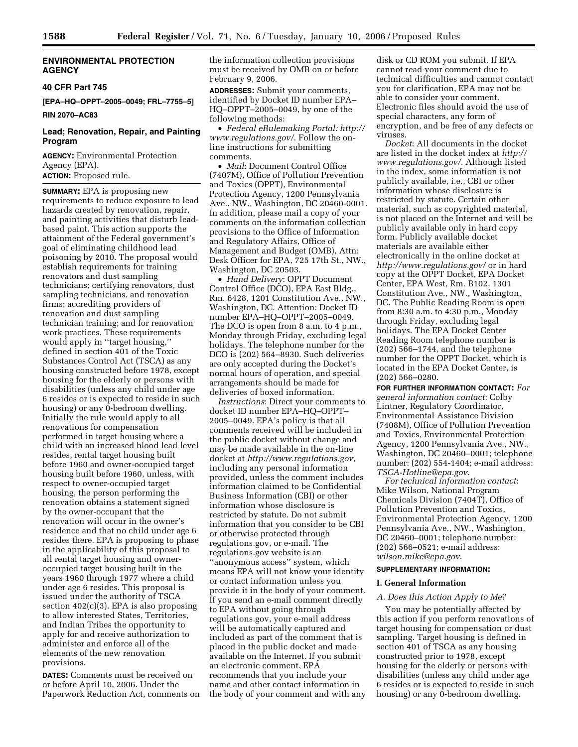# **ENVIRONMENTAL PROTECTION AGENCY**

### **40 CFR Part 745**

**[EPA–HQ–OPPT–2005–0049; FRL–7755–5]** 

# **RIN 2070–AC83**

# **Lead; Renovation, Repair, and Painting Program**

**AGENCY:** Environmental Protection Agency (EPA). **ACTION:** Proposed rule.

**SUMMARY:** EPA is proposing new requirements to reduce exposure to lead hazards created by renovation, repair, and painting activities that disturb leadbased paint. This action supports the attainment of the Federal government's goal of eliminating childhood lead poisoning by 2010. The proposal would establish requirements for training renovators and dust sampling technicians; certifying renovators, dust sampling technicians, and renovation firms; accrediting providers of renovation and dust sampling technician training; and for renovation work practices. These requirements would apply in ''target housing,'' defined in section 401 of the Toxic Substances Control Act (TSCA) as any housing constructed before 1978, except housing for the elderly or persons with disabilities (unless any child under age 6 resides or is expected to reside in such housing) or any 0-bedroom dwelling. Initially the rule would apply to all renovations for compensation performed in target housing where a child with an increased blood lead level resides, rental target housing built before 1960 and owner-occupied target housing built before 1960, unless, with respect to owner-occupied target housing, the person performing the renovation obtains a statement signed by the owner-occupant that the renovation will occur in the owner's residence and that no child under age 6 resides there. EPA is proposing to phase in the applicability of this proposal to all rental target housing and owneroccupied target housing built in the years 1960 through 1977 where a child under age 6 resides. This proposal is issued under the authority of TSCA section 402(c)(3). EPA is also proposing to allow interested States, Territories, and Indian Tribes the opportunity to apply for and receive authorization to administer and enforce all of the elements of the new renovation provisions.

**DATES:** Comments must be received on or before April 10, 2006. Under the Paperwork Reduction Act, comments on the information collection provisions must be received by OMB on or before February 9, 2006.

**ADDRESSES:** Submit your comments, identified by Docket ID number EPA– HQ–OPPT–2005–0049, by one of the following methods:

• *Federal eRulemaking Portal: http:// www.regulations.gov/*. Follow the online instructions for submitting comments.

• *Mail*: Document Control Office (7407M), Office of Pollution Prevention and Toxics (OPPT), Environmental Protection Agency, 1200 Pennsylvania Ave., NW., Washington, DC 20460-0001. In addition, please mail a copy of your comments on the information collection provisions to the Office of Information and Regulatory Affairs, Office of Management and Budget (OMB), Attn: Desk Officer for EPA, 725 17th St., NW., Washington, DC 20503.

• *Hand Delivery*: OPPT Document Control Office (DCO), EPA East Bldg., Rm. 6428, 1201 Constitution Ave., NW., Washington, DC. Attention: Docket ID number EPA–HQ–OPPT–2005–0049. The DCO is open from 8 a.m. to 4 p.m., Monday through Friday, excluding legal holidays. The telephone number for the DCO is (202) 564–8930. Such deliveries are only accepted during the Docket's normal hours of operation, and special arrangements should be made for deliveries of boxed information.

*Instructions*: Direct your comments to docket ID number EPA–HQ–OPPT– 2005–0049. EPA's policy is that all comments received will be included in the public docket without change and may be made available in the on-line docket at *http://www.regulations.gov*, including any personal information provided, unless the comment includes information claimed to be Confidential Business Information (CBI) or other information whose disclosure is restricted by statute. Do not submit information that you consider to be CBI or otherwise protected through regulations.gov, or e-mail. The regulations.gov website is an ''anonymous access'' system, which means EPA will not know your identity or contact information unless you provide it in the body of your comment. If you send an e-mail comment directly to EPA without going through regulations.gov, your e-mail address will be automatically captured and included as part of the comment that is placed in the public docket and made available on the Internet. If you submit an electronic comment, EPA recommends that you include your name and other contact information in the body of your comment and with any

disk or CD ROM you submit. If EPA cannot read your comment due to technical difficulties and cannot contact you for clarification, EPA may not be able to consider your comment. Electronic files should avoid the use of special characters, any form of encryption, and be free of any defects or viruses.

*Docket*: All documents in the docket are listed in the docket index at *http:// www.regulations.gov/*. Although listed in the index, some information is not publicly available, i.e., CBI or other information whose disclosure is restricted by statute. Certain other material, such as copyrighted material, is not placed on the Internet and will be publicly available only in hard copy form. Publicly available docket materials are available either electronically in the online docket at *http://www.regulations.gov/* or in hard copy at the OPPT Docket, EPA Docket Center, EPA West, Rm. B102, 1301 Constitution Ave., NW., Washington, DC. The Public Reading Room is open from 8:30 a.m. to 4:30 p.m., Monday through Friday, excluding legal holidays. The EPA Docket Center Reading Room telephone number is (202) 566–1744, and the telephone number for the OPPT Docket, which is located in the EPA Docket Center, is (202) 566–0280.

**FOR FURTHER INFORMATION CONTACT:** *For general information contact*: Colby Lintner, Regulatory Coordinator, Environmental Assistance Division (7408M), Office of Pollution Prevention and Toxics, Environmental Protection Agency, 1200 Pennsylvania Ave., NW., Washington, DC 20460–0001; telephone number: (202) 554-1404; e-mail address: *TSCA-Hotline@epa.gov*.

*For technical information contact*: Mike Wilson, National Program Chemicals Division (7404T), Office of Pollution Prevention and Toxics, Environmental Protection Agency, 1200 Pennsylvania Ave., NW., Washington, DC 20460–0001; telephone number: (202) 566–0521; e-mail address: *wilson.mike@epa.gov*.

# **SUPPLEMENTARY INFORMATION:**

#### **I. General Information**

#### *A. Does this Action Apply to Me?*

You may be potentially affected by this action if you perform renovations of target housing for compensation or dust sampling. Target housing is defined in section 401 of TSCA as any housing constructed prior to 1978, except housing for the elderly or persons with disabilities (unless any child under age 6 resides or is expected to reside in such housing) or any 0-bedroom dwelling.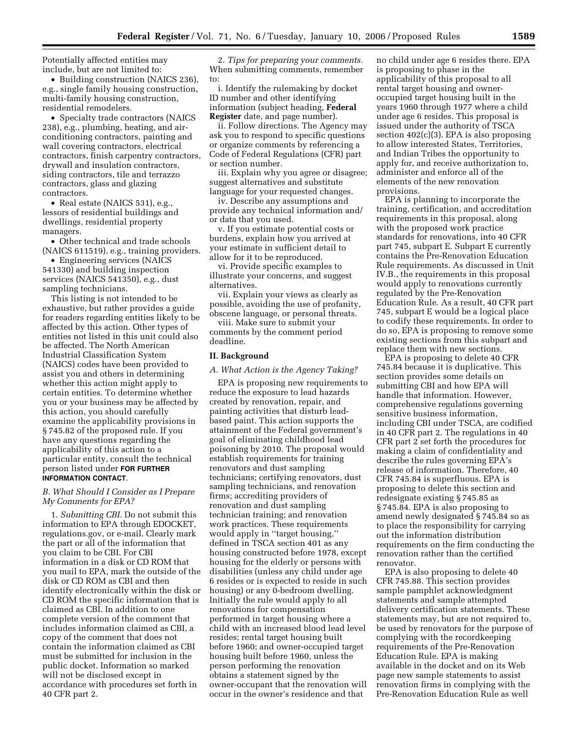Potentially affected entities may include, but are not limited to:

• Building construction (NAICS 236), e.g., single family housing construction, multi-family housing construction, residential remodelers.

• Specialty trade contractors (NAICS 238), e.g., plumbing, heating, and airconditioning contractors, painting and wall covering contractors, electrical contractors, finish carpentry contractors, drywall and insulation contractors, siding contractors, tile and terrazzo contractors, glass and glazing contractors.

• Real estate (NAICS 531), e.g., lessors of residential buildings and dwellings, residential property managers.

• Other technical and trade schools (NAICS 611519), e.g., training providers.

• Engineering services (NAICS 541330) and building inspection services (NAICS 541350), e.g., dust sampling technicians.

This listing is not intended to be exhaustive, but rather provides a guide for readers regarding entities likely to be affected by this action. Other types of entities not listed in this unit could also be affected. The North American Industrial Classification System (NAICS) codes have been provided to assist you and others in determining whether this action might apply to certain entities. To determine whether you or your business may be affected by this action, you should carefully examine the applicability provisions in § 745.82 of the proposed rule. If you have any questions regarding the applicability of this action to a particular entity, consult the technical person listed under **FOR FURTHER INFORMATION CONTACT**.

# *B. What Should I Consider as I Prepare My Comments for EPA?*

1. *Submitting CBI.* Do not submit this information to EPA through EDOCKET, regulations.gov, or e-mail. Clearly mark the part or all of the information that you claim to be CBI. For CBI information in a disk or CD ROM that you mail to EPA, mark the outside of the disk or CD ROM as CBI and then identify electronically within the disk or CD ROM the specific information that is claimed as CBI. In addition to one complete version of the comment that includes information claimed as CBI, a copy of the comment that does not contain the information claimed as CBI must be submitted for inclusion in the public docket. Information so marked will not be disclosed except in accordance with procedures set forth in 40 CFR part 2.

2. *Tips for preparing your comments.*  When submitting comments, remember to:

i. Identify the rulemaking by docket ID number and other identifying information (subject heading, **Federal Register** date, and page number).

ii. Follow directions. The Agency may ask you to respond to specific questions or organize comments by referencing a Code of Federal Regulations (CFR) part or section number.

iii. Explain why you agree or disagree; suggest alternatives and substitute language for your requested changes.

iv. Describe any assumptions and provide any technical information and/ or data that you used.

v. If you estimate potential costs or burdens, explain how you arrived at your estimate in sufficient detail to allow for it to be reproduced.

vi. Provide specific examples to illustrate your concerns, and suggest alternatives.

vii. Explain your views as clearly as possible, avoiding the use of profanity, obscene language, or personal threats.

viii. Make sure to submit your comments by the comment period deadline.

# **II. Background**

#### *A. What Action is the Agency Taking?*

EPA is proposing new requirements to reduce the exposure to lead hazards created by renovation, repair, and painting activities that disturb leadbased paint. This action supports the attainment of the Federal government's goal of eliminating childhood lead poisoning by 2010. The proposal would establish requirements for training renovators and dust sampling technicians; certifying renovators, dust sampling technicians, and renovation firms; accrediting providers of renovation and dust sampling technician training; and renovation work practices. These requirements would apply in ''target housing,'' defined in TSCA section 401 as any housing constructed before 1978, except housing for the elderly or persons with disabilities (unless any child under age 6 resides or is expected to reside in such housing) or any 0-bedroom dwelling. Initially the rule would apply to all renovations for compensation performed in target housing where a child with an increased blood lead level resides; rental target housing built before 1960; and owner-occupied target housing built before 1960, unless the person performing the renovation obtains a statement signed by the owner-occupant that the renovation will occur in the owner's residence and that

no child under age 6 resides there. EPA is proposing to phase in the applicability of this proposal to all rental target housing and owneroccupied target housing built in the years 1960 through 1977 where a child under age 6 resides. This proposal is issued under the authority of TSCA section 402(c)(3). EPA is also proposing to allow interested States, Territories, and Indian Tribes the opportunity to apply for, and receive authorization to, administer and enforce all of the elements of the new renovation provisions.

EPA is planning to incorporate the training, certification, and accreditation requirements in this proposal, along with the proposed work practice standards for renovations, into 40 CFR part 745, subpart E. Subpart E currently contains the Pre-Renovation Education Rule requirements. As discussed in Unit IV.B., the requirements in this proposal would apply to renovations currently regulated by the Pre-Renovation Education Rule. As a result, 40 CFR part 745, subpart E would be a logical place to codify these requirements. In order to do so, EPA is proposing to remove some existing sections from this subpart and replace them with new sections.

EPA is proposing to delete 40 CFR 745.84 because it is duplicative. This section provides some details on submitting CBI and how EPA will handle that information. However, comprehensive regulations governing sensitive business information, including CBI under TSCA, are codified in 40 CFR part 2. The regulations in 40 CFR part 2 set forth the procedures for making a claim of confidentiality and describe the rules governing EPA's release of information. Therefore, 40 CFR 745.84 is superfluous. EPA is proposing to delete this section and redesignate existing § 745.85 as § 745.84. EPA is also proposing to amend newly designated § 745.84 so as to place the responsibility for carrying out the information distribution requirements on the firm conducting the renovation rather than the certified renovator.

EPA is also proposing to delete 40 CFR 745.88. This section provides sample pamphlet acknowledgment statements and sample attempted delivery certification statements. These statements may, but are not required to, be used by renovators for the purpose of complying with the recordkeeping requirements of the Pre-Renovation Education Rule. EPA is making available in the docket and on its Web page new sample statements to assist renovation firms in complying with the Pre-Renovation Education Rule as well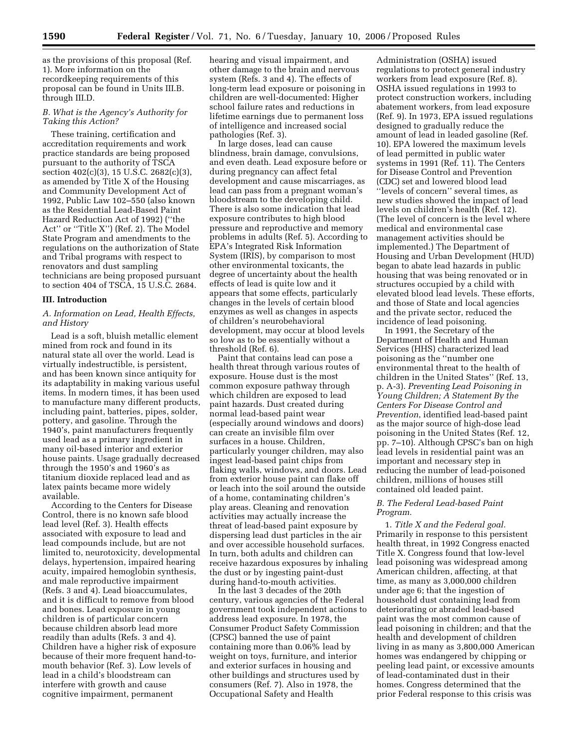as the provisions of this proposal (Ref. 1). More information on the recordkeeping requirements of this proposal can be found in Units III.B. through III.D.

# *B. What is the Agency's Authority for Taking this Action?*

These training, certification and accreditation requirements and work practice standards are being proposed pursuant to the authority of TSCA section 402(c)(3), 15 U.S.C. 2682(c)(3), as amended by Title X of the Housing and Community Development Act of 1992, Public Law 102–550 (also known as the Residential Lead-Based Paint Hazard Reduction Act of 1992) (''the Act'' or ''Title X'') (Ref. 2). The Model State Program and amendments to the regulations on the authorization of State and Tribal programs with respect to renovators and dust sampling technicians are being proposed pursuant to section 404 of TSCA, 15 U.S.C. 2684.

# **III. Introduction**

# *A. Information on Lead, Health Effects, and History*

Lead is a soft, bluish metallic element mined from rock and found in its natural state all over the world. Lead is virtually indestructible, is persistent, and has been known since antiquity for its adaptability in making various useful items. In modern times, it has been used to manufacture many different products, including paint, batteries, pipes, solder, pottery, and gasoline. Through the 1940's, paint manufacturers frequently used lead as a primary ingredient in many oil-based interior and exterior house paints. Usage gradually decreased through the 1950's and 1960's as titanium dioxide replaced lead and as latex paints became more widely available.

According to the Centers for Disease Control, there is no known safe blood lead level (Ref. 3). Health effects associated with exposure to lead and lead compounds include, but are not limited to, neurotoxicity, developmental delays, hypertension, impaired hearing acuity, impaired hemoglobin synthesis, and male reproductive impairment (Refs. 3 and 4). Lead bioaccumulates, and it is difficult to remove from blood and bones. Lead exposure in young children is of particular concern because children absorb lead more readily than adults (Refs. 3 and 4). Children have a higher risk of exposure because of their more frequent hand-tomouth behavior (Ref. 3). Low levels of lead in a child's bloodstream can interfere with growth and cause cognitive impairment, permanent

hearing and visual impairment, and other damage to the brain and nervous system (Refs. 3 and 4). The effects of long-term lead exposure or poisoning in children are well-documented: Higher school failure rates and reductions in lifetime earnings due to permanent loss of intelligence and increased social pathologies (Ref. 3).

In large doses, lead can cause blindness, brain damage, convulsions, and even death. Lead exposure before or during pregnancy can affect fetal development and cause miscarriages, as lead can pass from a pregnant woman's bloodstream to the developing child. There is also some indication that lead exposure contributes to high blood pressure and reproductive and memory problems in adults (Ref. 5). According to EPA's Integrated Risk Information System (IRIS), by comparison to most other environmental toxicants, the degree of uncertainty about the health effects of lead is quite low and it appears that some effects, particularly changes in the levels of certain blood enzymes as well as changes in aspects of children's neurobehavioral development, may occur at blood levels so low as to be essentially without a threshold (Ref. 6).

Paint that contains lead can pose a health threat through various routes of exposure. House dust is the most common exposure pathway through which children are exposed to lead paint hazards. Dust created during normal lead-based paint wear (especially around windows and doors) can create an invisible film over surfaces in a house. Children, particularly younger children, may also ingest lead-based paint chips from flaking walls, windows, and doors. Lead from exterior house paint can flake off or leach into the soil around the outside of a home, contaminating children's play areas. Cleaning and renovation activities may actually increase the threat of lead-based paint exposure by dispersing lead dust particles in the air and over accessible household surfaces. In turn, both adults and children can receive hazardous exposures by inhaling the dust or by ingesting paint-dust during hand-to-mouth activities.

In the last 3 decades of the 20th century, various agencies of the Federal government took independent actions to address lead exposure. In 1978, the Consumer Product Safety Commission (CPSC) banned the use of paint containing more than 0.06% lead by weight on toys, furniture, and interior and exterior surfaces in housing and other buildings and structures used by consumers (Ref. 7). Also in 1978, the Occupational Safety and Health

Administration (OSHA) issued regulations to protect general industry workers from lead exposure (Ref. 8). OSHA issued regulations in 1993 to protect construction workers, including abatement workers, from lead exposure (Ref. 9). In 1973, EPA issued regulations designed to gradually reduce the amount of lead in leaded gasoline (Ref. 10). EPA lowered the maximum levels of lead permitted in public water systems in 1991 (Ref. 11). The Centers for Disease Control and Prevention (CDC) set and lowered blood lead ''levels of concern'' several times, as new studies showed the impact of lead levels on children's health (Ref. 12). (The level of concern is the level where medical and environmental case management activities should be implemented.) The Department of Housing and Urban Development (HUD) began to abate lead hazards in public housing that was being renovated or in structures occupied by a child with elevated blood lead levels. These efforts, and those of State and local agencies and the private sector, reduced the incidence of lead poisoning.

In 1991, the Secretary of the Department of Health and Human Services (HHS) characterized lead poisoning as the ''number one environmental threat to the health of children in the United States'' (Ref. 13, p. A-3). *Preventing Lead Poisoning in Young Children; A Statement By the Centers For Disease Control and Prevention*, identified lead-based paint as the major source of high-dose lead poisoning in the United States (Ref. 12, pp. 7–10). Although CPSC's ban on high lead levels in residential paint was an important and necessary step in reducing the number of lead-poisoned children, millions of houses still contained old leaded paint.

# *B. The Federal Lead-based Paint Program.*

1. *Title X and the Federal goal.*  Primarily in response to this persistent health threat, in 1992 Congress enacted Title X. Congress found that low-level lead poisoning was widespread among American children, affecting, at that time, as many as 3,000,000 children under age 6; that the ingestion of household dust containing lead from deteriorating or abraded lead-based paint was the most common cause of lead poisoning in children; and that the health and development of children living in as many as 3,800,000 American homes was endangered by chipping or peeling lead paint, or excessive amounts of lead-contaminated dust in their homes. Congress determined that the prior Federal response to this crisis was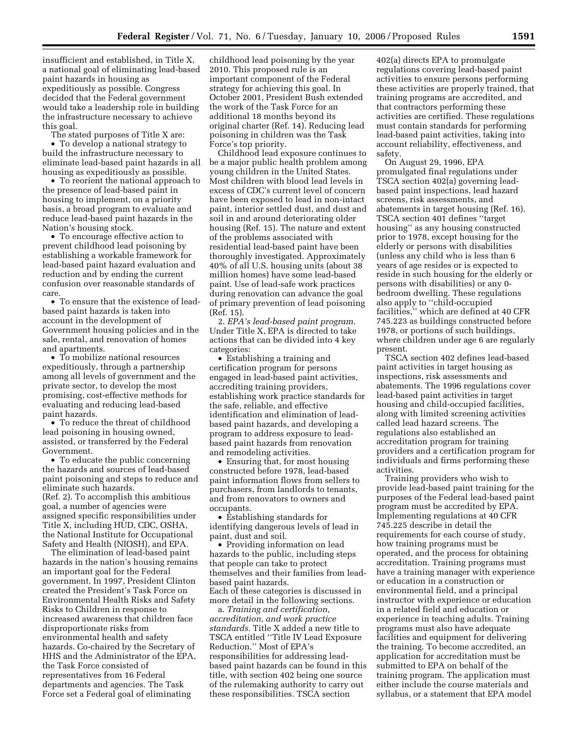insufficient and established, in Title X, a national goal of eliminating lead-based paint hazards in housing as expeditiously as possible. Congress decided that the Federal government would take a leadership role in building the infrastructure necessary to achieve this goal.

The stated purposes of Title X are:

• To develop a national strategy to build the infrastructure necessary to eliminate lead-based paint hazards in all housing as expeditiously as possible.

• To reorient the national approach to the presence of lead-based paint in housing to implement, on a priority basis, a broad program to evaluate and reduce lead-based paint hazards in the Nation's housing stock.

• To encourage effective action to prevent childhood lead poisoning by establishing a workable framework for lead-based paint hazard evaluation and reduction and by ending the current confusion over reasonable standards of care.

• To ensure that the existence of leadbased paint hazards is taken into account in the development of Government housing policies and in the sale, rental, and renovation of homes and apartments.

• To mobilize national resources expeditiously, through a partnership among all levels of government and the private sector, to develop the most promising, cost-effective methods for evaluating and reducing lead-based paint hazards.

• To reduce the threat of childhood lead poisoning in housing owned, assisted, or transferred by the Federal Government.

• To educate the public concerning the hazards and sources of lead-based paint poisoning and steps to reduce and eliminate such hazards. (Ref. 2). To accomplish this ambitious goal, a number of agencies were assigned specific responsibilities under Title X, including HUD, CDC, OSHA, the National Institute for Occupational Safety and Health (NIOSH), and EPA.

The elimination of lead-based paint hazards in the nation's housing remains an important goal for the Federal government. In 1997, President Clinton created the President's Task Force on Environmental Health Risks and Safety Risks to Children in response to increased awareness that children face disproportionate risks from environmental health and safety hazards. Co-chaired by the Secretary of HHS and the Administrator of the EPA, the Task Force consisted of representatives from 16 Federal departments and agencies. The Task Force set a Federal goal of eliminating

childhood lead poisoning by the year 2010. This proposed rule is an important component of the Federal strategy for achieving this goal. In October 2001, President Bush extended the work of the Task Force for an additional 18 months beyond its original charter (Ref. 14). Reducing lead poisoning in children was the Task Force's top priority.

Childhood lead exposure continues to be a major public health problem among young children in the United States. Most children with blood lead levels in excess of CDC's current level of concern have been exposed to lead in non-intact paint, interior settled dust, and dust and soil in and around deteriorating older housing (Ref. 15). The nature and extent of the problems associated with residential lead-based paint have been thoroughly investigated. Approximately 40% of all U.S. housing units (about 38 million homes) have some lead-based paint. Use of lead-safe work practices during renovation can advance the goal of primary prevention of lead poisoning (Ref. 15).

2. *EPA's lead-based paint program*. Under Title X, EPA is directed to take actions that can be divided into 4 key categories:

• Establishing a training and certification program for persons engaged in lead-based paint activities, accrediting training providers, establishing work practice standards for the safe, reliable, and effective identification and elimination of leadbased paint hazards, and developing a program to address exposure to leadbased paint hazards from renovation and remodeling activities.

• Ensuring that, for most housing constructed before 1978, lead-based paint information flows from sellers to purchasers, from landlords to tenants, and from renovators to owners and occupants.

• Establishing standards for identifying dangerous levels of lead in paint, dust and soil.

• Providing information on lead hazards to the public, including steps that people can take to protect themselves and their families from leadbased paint hazards. Each of these categories is discussed in more detail in the following sections.

a. *Training and certification, accreditation, and work practice standards.* Title X added a new title to TSCA entitled ''Title IV Lead Exposure Reduction.'' Most of EPA's responsibilities for addressing leadbased paint hazards can be found in this title, with section 402 being one source of the rulemaking authority to carry out these responsibilities. TSCA section

402(a) directs EPA to promulgate regulations covering lead-based paint activities to ensure persons performing these activities are properly trained, that training programs are accredited, and that contractors performing these activities are certified. These regulations must contain standards for performing lead-based paint activities, taking into account reliability, effectiveness, and safety.

On August 29, 1996, EPA promulgated final regulations under TSCA section 402(a) governing leadbased paint inspections, lead hazard screens, risk assessments, and abatements in target housing (Ref. 16). TSCA section 401 defines ''target housing'' as any housing constructed prior to 1978, except housing for the elderly or persons with disabilities (unless any child who is less than 6 years of age resides or is expected to reside in such housing for the elderly or persons with disabilities) or any 0 bedroom dwelling. These regulations also apply to ''child-occupied facilities,'' which are defined at 40 CFR 745.223 as buildings constructed before 1978, or portions of such buildings, where children under age 6 are regularly present.

TSCA section 402 defines lead-based paint activities in target housing as inspections, risk assessments and abatements. The 1996 regulations cover lead-based paint activities in target housing and child-occupied facilities, along with limited screening activities called lead hazard screens. The regulations also established an accreditation program for training providers and a certification program for individuals and firms performing these activities.

Training providers who wish to provide lead-based paint training for the purposes of the Federal lead-based paint program must be accredited by EPA. Implementing regulations at 40 CFR 745.225 describe in detail the requirements for each course of study, how training programs must be operated, and the process for obtaining accreditation. Training programs must have a training manager with experience or education in a construction or environmental field, and a principal instructor with experience or education in a related field and education or experience in teaching adults. Training programs must also have adequate facilities and equipment for delivering the training. To become accredited, an application for accreditation must be submitted to EPA on behalf of the training program. The application must either include the course materials and syllabus, or a statement that EPA model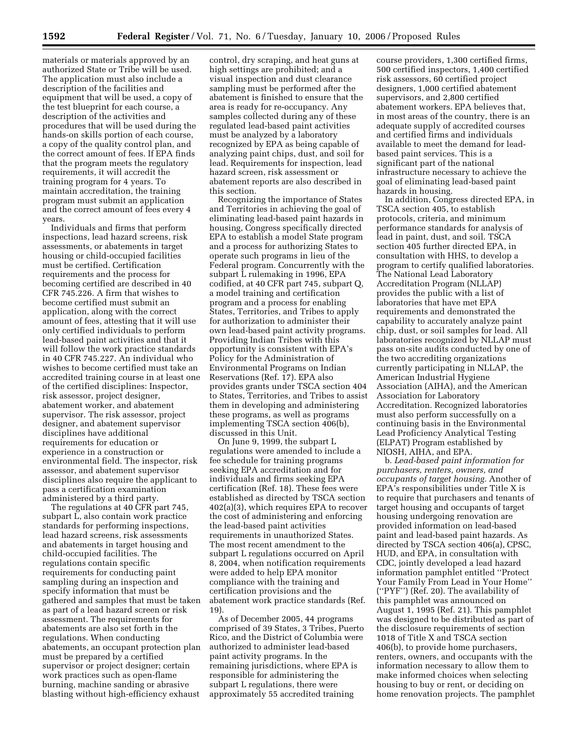materials or materials approved by an authorized State or Tribe will be used. The application must also include a description of the facilities and equipment that will be used, a copy of the test blueprint for each course, a description of the activities and procedures that will be used during the hands-on skills portion of each course, a copy of the quality control plan, and the correct amount of fees. If EPA finds that the program meets the regulatory requirements, it will accredit the training program for 4 years. To maintain accreditation, the training program must submit an application and the correct amount of fees every 4 years.

Individuals and firms that perform inspections, lead hazard screens, risk assessments, or abatements in target housing or child-occupied facilities must be certified. Certification requirements and the process for becoming certified are described in 40 CFR 745.226. A firm that wishes to become certified must submit an application, along with the correct amount of fees, attesting that it will use only certified individuals to perform lead-based paint activities and that it will follow the work practice standards in 40 CFR 745.227. An individual who wishes to become certified must take an accredited training course in at least one of the certified disciplines: Inspector, risk assessor, project designer, abatement worker, and abatement supervisor. The risk assessor, project designer, and abatement supervisor disciplines have additional requirements for education or experience in a construction or environmental field. The inspector, risk assessor, and abatement supervisor disciplines also require the applicant to pass a certification examination administered by a third party.

The regulations at 40 CFR part 745, subpart L, also contain work practice standards for performing inspections, lead hazard screens, risk assessments and abatements in target housing and child-occupied facilities. The regulations contain specific requirements for conducting paint sampling during an inspection and specify information that must be gathered and samples that must be taken as part of a lead hazard screen or risk assessment. The requirements for abatements are also set forth in the regulations. When conducting abatements, an occupant protection plan must be prepared by a certified supervisor or project designer; certain work practices such as open-flame burning, machine sanding or abrasive blasting without high-efficiency exhaust

control, dry scraping, and heat guns at high settings are prohibited; and a visual inspection and dust clearance sampling must be performed after the abatement is finished to ensure that the area is ready for re-occupancy. Any samples collected during any of these regulated lead-based paint activities must be analyzed by a laboratory recognized by EPA as being capable of analyzing paint chips, dust, and soil for lead. Requirements for inspection, lead hazard screen, risk assessment or abatement reports are also described in this section.

Recognizing the importance of States and Territories in achieving the goal of eliminating lead-based paint hazards in housing, Congress specifically directed EPA to establish a model State program and a process for authorizing States to operate such programs in lieu of the Federal program. Concurrently with the subpart L rulemaking in 1996, EPA codified, at 40 CFR part 745, subpart Q, a model training and certification program and a process for enabling States, Territories, and Tribes to apply for authorization to administer their own lead-based paint activity programs. Providing Indian Tribes with this opportunity is consistent with EPA's Policy for the Administration of Environmental Programs on Indian Reservations (Ref. 17). EPA also provides grants under TSCA section 404 to States, Territories, and Tribes to assist them in developing and administering these programs, as well as programs implementing TSCA section 406(b), discussed in this Unit.

On June 9, 1999, the subpart L regulations were amended to include a fee schedule for training programs seeking EPA accreditation and for individuals and firms seeking EPA certification (Ref. 18). These fees were established as directed by TSCA section 402(a)(3), which requires EPA to recover the cost of administering and enforcing the lead-based paint activities requirements in unauthorized States. The most recent amendment to the subpart L regulations occurred on April 8, 2004, when notification requirements were added to help EPA monitor compliance with the training and certification provisions and the abatement work practice standards (Ref. 19).

As of December 2005, 44 programs comprised of 39 States, 3 Tribes, Puerto Rico, and the District of Columbia were authorized to administer lead-based paint activity programs. In the remaining jurisdictions, where EPA is responsible for administering the subpart L regulations, there were approximately 55 accredited training

course providers, 1,300 certified firms, 500 certified inspectors, 1,400 certified risk assessors, 60 certified project designers, 1,000 certified abatement supervisors, and 2,800 certified abatement workers. EPA believes that, in most areas of the country, there is an adequate supply of accredited courses and certified firms and individuals available to meet the demand for leadbased paint services. This is a significant part of the national infrastructure necessary to achieve the goal of eliminating lead-based paint hazards in housing.

In addition, Congress directed EPA, in TSCA section 405, to establish protocols, criteria, and minimum performance standards for analysis of lead in paint, dust, and soil. TSCA section 405 further directed EPA, in consultation with HHS, to develop a program to certify qualified laboratories. The National Lead Laboratory Accreditation Program (NLLAP) provides the public with a list of laboratories that have met EPA requirements and demonstrated the capability to accurately analyze paint chip, dust, or soil samples for lead. All laboratories recognized by NLLAP must pass on-site audits conducted by one of the two accrediting organizations currently participating in NLLAP, the American Industrial Hygiene Association (AIHA), and the American Association for Laboratory Accreditation. Recognized laboratories must also perform successfully on a continuing basis in the Environmental Lead Proficiency Analytical Testing (ELPAT) Program established by NIOSH, AIHA, and EPA.

b. *Lead-based paint information for purchasers, renters, owners, and occupants of target housing.* Another of EPA's responsibilities under Title X is to require that purchasers and tenants of target housing and occupants of target housing undergoing renovation are provided information on lead-based paint and lead-based paint hazards. As directed by TSCA section 406(a), CPSC, HUD, and EPA, in consultation with CDC, jointly developed a lead hazard information pamphlet entitled ''Protect Your Family From Lead in Your Home'' (''PYF'') (Ref. 20). The availability of this pamphlet was announced on August 1, 1995 (Ref. 21). This pamphlet was designed to be distributed as part of the disclosure requirements of section 1018 of Title X and TSCA section 406(b), to provide home purchasers, renters, owners, and occupants with the information necessary to allow them to make informed choices when selecting housing to buy or rent, or deciding on home renovation projects. The pamphlet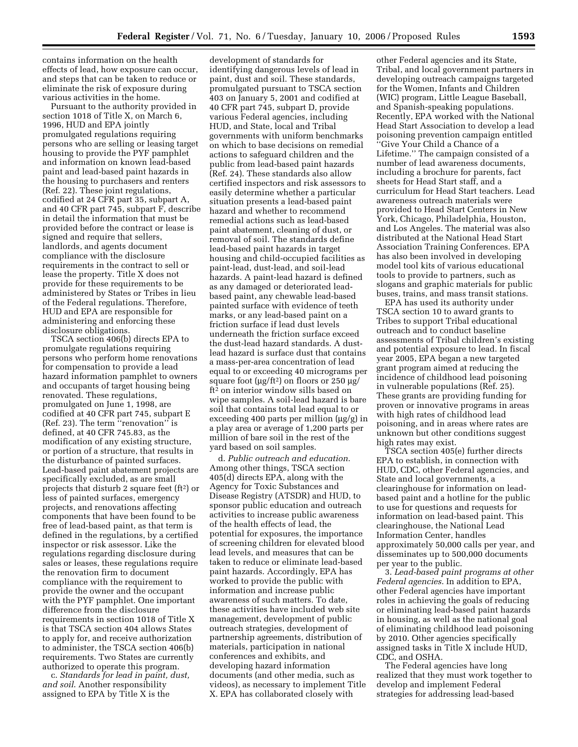contains information on the health effects of lead, how exposure can occur, and steps that can be taken to reduce or eliminate the risk of exposure during various activities in the home.

Pursuant to the authority provided in section 1018 of Title X, on March 6, 1996, HUD and EPA jointly promulgated regulations requiring persons who are selling or leasing target housing to provide the PYF pamphlet and information on known lead-based paint and lead-based paint hazards in the housing to purchasers and renters (Ref. 22). These joint regulations, codified at 24 CFR part 35, subpart A, and 40 CFR part 745, subpart F, describe in detail the information that must be provided before the contract or lease is signed and require that sellers, landlords, and agents document compliance with the disclosure requirements in the contract to sell or lease the property. Title X does not provide for these requirements to be administered by States or Tribes in lieu of the Federal regulations. Therefore, HUD and EPA are responsible for administering and enforcing these disclosure obligations.

TSCA section 406(b) directs EPA to promulgate regulations requiring persons who perform home renovations for compensation to provide a lead hazard information pamphlet to owners and occupants of target housing being renovated. These regulations, promulgated on June 1, 1998, are codified at 40 CFR part 745, subpart E (Ref. 23). The term ''renovation'' is defined, at 40 CFR 745.83, as the modification of any existing structure, or portion of a structure, that results in the disturbance of painted surfaces. Lead-based paint abatement projects are specifically excluded, as are small projects that disturb 2 square feet (ft2) or less of painted surfaces, emergency projects, and renovations affecting components that have been found to be free of lead-based paint, as that term is defined in the regulations, by a certified inspector or risk assessor. Like the regulations regarding disclosure during sales or leases, these regulations require the renovation firm to document compliance with the requirement to provide the owner and the occupant with the PYF pamphlet. One important difference from the disclosure requirements in section 1018 of Title X is that TSCA section 404 allows States to apply for, and receive authorization to administer, the TSCA section 406(b) requirements. Two States are currently authorized to operate this program.

c. *Standards for lead in paint, dust, and soil*. Another responsibility assigned to EPA by Title X is the

development of standards for identifying dangerous levels of lead in paint, dust and soil. These standards, promulgated pursuant to TSCA section 403 on January 5, 2001 and codified at 40 CFR part 745, subpart D, provide various Federal agencies, including HUD, and State, local and Tribal governments with uniform benchmarks on which to base decisions on remedial actions to safeguard children and the public from lead-based paint hazards (Ref. 24). These standards also allow certified inspectors and risk assessors to easily determine whether a particular situation presents a lead-based paint hazard and whether to recommend remedial actions such as lead-based paint abatement, cleaning of dust, or removal of soil. The standards define lead-based paint hazards in target housing and child-occupied facilities as paint-lead, dust-lead, and soil-lead hazards. A paint-lead hazard is defined as any damaged or deteriorated leadbased paint, any chewable lead-based painted surface with evidence of teeth marks, or any lead-based paint on a friction surface if lead dust levels underneath the friction surface exceed the dust-lead hazard standards. A dustlead hazard is surface dust that contains a mass-per-area concentration of lead equal to or exceeding 40 micrograms per square foot ( $\mu$ g/ft<sup>2</sup>) on floors or 250  $\mu$ g/ ft2 on interior window sills based on wipe samples. A soil-lead hazard is bare soil that contains total lead equal to or exceeding 400 parts per million (µg/g) in a play area or average of 1,200 parts per million of bare soil in the rest of the yard based on soil samples.

d. *Public outreach and education*. Among other things, TSCA section 405(d) directs EPA, along with the Agency for Toxic Substances and Disease Registry (ATSDR) and HUD, to sponsor public education and outreach activities to increase public awareness of the health effects of lead, the potential for exposures, the importance of screening children for elevated blood lead levels, and measures that can be taken to reduce or eliminate lead-based paint hazards. Accordingly, EPA has worked to provide the public with information and increase public awareness of such matters. To date, these activities have included web site management, development of public outreach strategies, development of partnership agreements, distribution of materials, participation in national conferences and exhibits, and developing hazard information documents (and other media, such as videos), as necessary to implement Title X. EPA has collaborated closely with

other Federal agencies and its State, Tribal, and local government partners in developing outreach campaigns targeted for the Women, Infants and Children (WIC) program, Little League Baseball, and Spanish-speaking populations. Recently, EPA worked with the National Head Start Association to develop a lead poisoning prevention campaign entitled ''Give Your Child a Chance of a Lifetime.'' The campaign consisted of a number of lead awareness documents, including a brochure for parents, fact sheets for Head Start staff, and a curriculum for Head Start teachers. Lead awareness outreach materials were provided to Head Start Centers in New York, Chicago, Philadelphia, Houston, and Los Angeles. The material was also distributed at the National Head Start Association Training Conferences. EPA has also been involved in developing model tool kits of various educational tools to provide to partners, such as slogans and graphic materials for public buses, trains, and mass transit stations.

EPA has used its authority under TSCA section 10 to award grants to Tribes to support Tribal educational outreach and to conduct baseline assessments of Tribal children's existing and potential exposure to lead. In fiscal year 2005, EPA began a new targeted grant program aimed at reducing the incidence of childhood lead poisoning in vulnerable populations (Ref. 25). These grants are providing funding for proven or innovative programs in areas with high rates of childhood lead poisoning, and in areas where rates are unknown but other conditions suggest high rates may exist.

TSCA section 405(e) further directs EPA to establish, in connection with HUD, CDC, other Federal agencies, and State and local governments, a clearinghouse for information on leadbased paint and a hotline for the public to use for questions and requests for information on lead-based paint. This clearinghouse, the National Lead Information Center, handles approximately 50,000 calls per year, and disseminates up to 500,000 documents per year to the public.

3. *Lead-based paint programs at other Federal agencies*. In addition to EPA, other Federal agencies have important roles in achieving the goals of reducing or eliminating lead-based paint hazards in housing, as well as the national goal of eliminating childhood lead poisoning by 2010. Other agencies specifically assigned tasks in Title X include HUD, CDC, and OSHA.

The Federal agencies have long realized that they must work together to develop and implement Federal strategies for addressing lead-based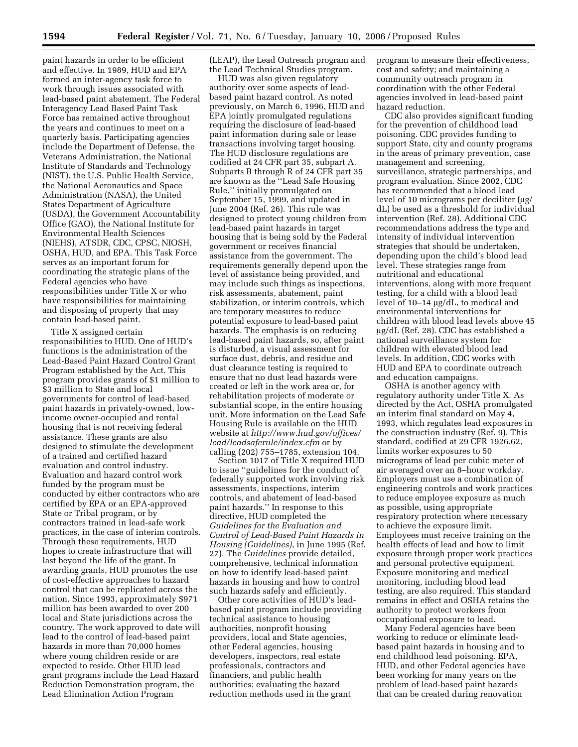paint hazards in order to be efficient and effective. In 1989, HUD and EPA formed an inter-agency task force to work through issues associated with lead-based paint abatement. The Federal Interagency Lead Based Paint Task Force has remained active throughout the years and continues to meet on a quarterly basis. Participating agencies include the Department of Defense, the Veterans Administration, the National Institute of Standards and Technology (NIST), the U.S. Public Health Service, the National Aeronautics and Space Administration (NASA), the United States Department of Agriculture (USDA), the Government Accountability Office (GAO), the National Institute for Environmental Health Sciences (NIEHS), ATSDR, CDC, CPSC, NIOSH, OSHA, HUD, and EPA. This Task Force serves as an important forum for coordinating the strategic plans of the Federal agencies who have responsibilities under Title X or who have responsibilities for maintaining and disposing of property that may contain lead-based paint.

Title X assigned certain responsibilities to HUD. One of HUD's functions is the administration of the Lead-Based Paint Hazard Control Grant Program established by the Act. This program provides grants of \$1 million to  $$3$  million to State and local governments for control of lead-based paint hazards in privately-owned, lowincome owner-occupied and rental housing that is not receiving federal assistance. These grants are also designed to stimulate the development of a trained and certified hazard evaluation and control industry. Evaluation and hazard control work funded by the program must be conducted by either contractors who are certified by EPA or an EPA-approved State or Tribal program, or by contractors trained in lead-safe work practices, in the case of interim controls. Through these requirements, HUD hopes to create infrastructure that will last beyond the life of the grant. In awarding grants, HUD promotes the use of cost-effective approaches to hazard control that can be replicated across the nation. Since 1993, approximately \$971 million has been awarded to over 200 local and State jurisdictions across the country. The work approved to date will lead to the control of lead-based paint hazards in more than 70,000 homes where young children reside or are expected to reside. Other HUD lead grant programs include the Lead Hazard Reduction Demonstration program, the Lead Elimination Action Program

(LEAP), the Lead Outreach program and the Lead Technical Studies program.

HUD was also given regulatory authority over some aspects of leadbased paint hazard control. As noted previously, on March 6, 1996, HUD and EPA jointly promulgated regulations requiring the disclosure of lead-based paint information during sale or lease transactions involving target housing. The HUD disclosure regulations are codified at 24 CFR part 35, subpart A. Subparts B through R of 24 CFR part 35 are known as the ''Lead Safe Housing Rule,'' initially promulgated on September 15, 1999, and updated in June 2004 (Ref. 26). This rule was designed to protect young children from lead-based paint hazards in target housing that is being sold by the Federal government or receives financial assistance from the government. The requirements generally depend upon the level of assistance being provided, and may include such things as inspections, risk assessments, abatement, paint stabilization, or interim controls, which are temporary measures to reduce potential exposure to lead-based paint hazards. The emphasis is on reducing lead-based paint hazards, so, after paint is disturbed, a visual assessment for surface dust, debris, and residue and dust clearance testing is required to ensure that no dust lead hazards were created or left in the work area or, for rehabilitation projects of moderate or substantial scope, in the entire housing unit. More information on the Lead Safe Housing Rule is available on the HUD website at *http://www.hud.gov/offices/ lead/leadsaferule/index.cfm* or by calling (202) 755–1785, extension 104.

Section 1017 of Title X required HUD to issue ''guidelines for the conduct of federally supported work involving risk assessments, inspections, interim controls, and abatement of lead-based paint hazards.'' In response to this directive, HUD completed the *Guidelines for the Evaluation and Control of Lead-Based Paint Hazards in Housing (Guidelines)*, in June 1995 (Ref. 27). The *Guidelines* provide detailed, comprehensive, technical information on how to identify lead-based paint hazards in housing and how to control such hazards safely and efficiently.

Other core activities of HUD's leadbased paint program include providing technical assistance to housing authorities, nonprofit housing providers, local and State agencies, other Federal agencies, housing developers, inspectors, real estate professionals, contractors and financiers, and public health authorities; evaluating the hazard reduction methods used in the grant

program to measure their effectiveness, cost and safety; and maintaining a community outreach program in coordination with the other Federal agencies involved in lead-based paint hazard reduction.

CDC also provides significant funding for the prevention of childhood lead poisoning. CDC provides funding to support State, city and county programs in the areas of primary prevention, case management and screening, surveillance, strategic partnerships, and program evaluation. Since 2002, CDC has recommended that a blood lead level of 10 micrograms per deciliter (µg/ dL) be used as a threshold for individual intervention (Ref. 28). Additional CDC recommendations address the type and intensity of individual intervention strategies that should be undertaken, depending upon the child's blood lead level. These strategies range from nutritional and educational interventions, along with more frequent testing, for a child with a blood lead level of 10–14 µg/dL, to medical and environmental interventions for children with blood lead levels above 45 µg/dL (Ref. 28). CDC has established a national surveillance system for children with elevated blood lead levels. In addition, CDC works with HUD and EPA to coordinate outreach and education campaigns.

OSHA is another agency with regulatory authority under Title X. As directed by the Act, OSHA promulgated an interim final standard on May 4, 1993, which regulates lead exposures in the construction industry (Ref. 9). This standard, codified at 29 CFR 1926.62, limits worker exposures to 50 micrograms of lead per cubic meter of air averaged over an 8–hour workday. Employers must use a combination of engineering controls and work practices to reduce employee exposure as much as possible, using appropriate respiratory protection where necessary to achieve the exposure limit. Employees must receive training on the health effects of lead and how to limit exposure through proper work practices and personal protective equipment. Exposure monitoring and medical monitoring, including blood lead testing, are also required. This standard remains in effect and OSHA retains the authority to protect workers from occupational exposure to lead.

Many Federal agencies have been working to reduce or eliminate leadbased paint hazards in housing and to end childhood lead poisoning. EPA, HUD, and other Federal agencies have been working for many years on the problem of lead-based paint hazards that can be created during renovation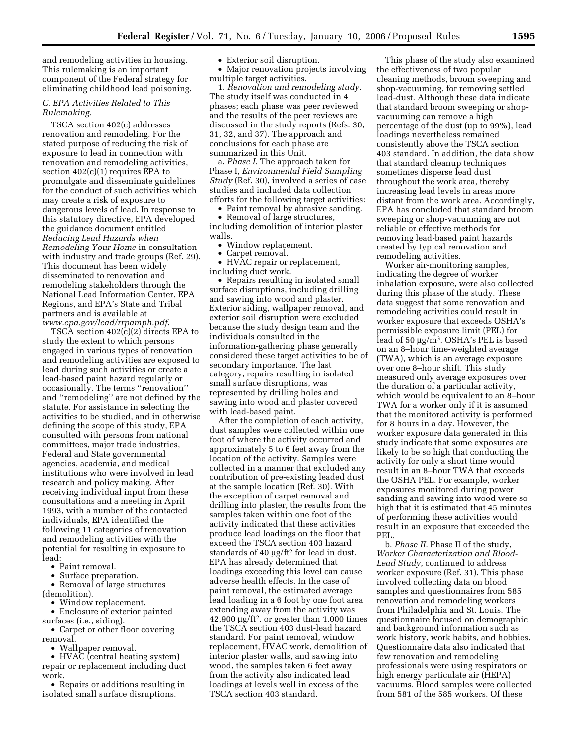and remodeling activities in housing. This rulemaking is an important component of the Federal strategy for eliminating childhood lead poisoning.

# *C. EPA Activities Related to This Rulemaking.*

TSCA section 402(c) addresses renovation and remodeling. For the stated purpose of reducing the risk of exposure to lead in connection with renovation and remodeling activities, section 402(c)(1) requires EPA to promulgate and disseminate guidelines for the conduct of such activities which may create a risk of exposure to dangerous levels of lead. In response to this statutory directive, EPA developed the guidance document entitled *Reducing Lead Hazards when Remodeling Your Home* in consultation with industry and trade groups (Ref. 29). This document has been widely disseminated to renovation and remodeling stakeholders through the National Lead Information Center, EPA Regions, and EPA's State and Tribal partners and is available at *www.epa.gov/lead/rrpamph.pdf*.

TSCA section 402(c)(2) directs EPA to study the extent to which persons engaged in various types of renovation and remodeling activities are exposed to lead during such activities or create a lead-based paint hazard regularly or occasionally. The terms ''renovation'' and ''remodeling'' are not defined by the statute. For assistance in selecting the activities to be studied, and in otherwise defining the scope of this study, EPA consulted with persons from national committees, major trade industries, Federal and State governmental agencies, academia, and medical institutions who were involved in lead research and policy making. After receiving individual input from these consultations and a meeting in April 1993, with a number of the contacted individuals, EPA identified the following 11 categories of renovation and remodeling activities with the potential for resulting in exposure to lead:

• Paint removal.

• Surface preparation.

• Removal of large structures (demolition).

• Window replacement.

• Enclosure of exterior painted surfaces (i.e., siding).

• Carpet or other floor covering removal.

• Wallpaper removal.

• HVAC (central heating system) repair or replacement including duct work.

• Repairs or additions resulting in isolated small surface disruptions.

# • Exterior soil disruption.

• Major renovation projects involving multiple target activities.

1. *Renovation and remodeling study.*  The study itself was conducted in 4 phases; each phase was peer reviewed and the results of the peer reviews are discussed in the study reports (Refs. 30, 31, 32, and 37). The approach and conclusions for each phase are summarized in this Unit.

a. *Phase I.* The approach taken for Phase I, *Environmental Field Sampling Study* (Ref. 30), involved a series of case studies and included data collection efforts for the following target activities:

• Paint removal by abrasive sanding.

• Removal of large structures, including demolition of interior plaster walls.

- Window replacement.
- Carpet removal.

• HVAC repair or replacement, including duct work.

• Repairs resulting in isolated small surface disruptions, including drilling and sawing into wood and plaster. Exterior siding, wallpaper removal, and exterior soil disruption were excluded because the study design team and the individuals consulted in the information-gathering phase generally considered these target activities to be of secondary importance. The last category, repairs resulting in isolated small surface disruptions, was represented by drilling holes and sawing into wood and plaster covered with lead-based paint.

After the completion of each activity, dust samples were collected within one foot of where the activity occurred and approximately 5 to 6 feet away from the location of the activity. Samples were collected in a manner that excluded any contribution of pre-existing leaded dust at the sample location (Ref. 30). With the exception of carpet removal and drilling into plaster, the results from the samples taken within one foot of the activity indicated that these activities produce lead loadings on the floor that exceed the TSCA section 403 hazard standards of 40 µg/ft2 for lead in dust. EPA has already determined that loadings exceeding this level can cause adverse health effects. In the case of paint removal, the estimated average lead loading in a 6 foot by one foot area extending away from the activity was  $42,900 \mu$ g/ft<sup>2</sup>, or greater than 1,000 times the TSCA section 403 dust-lead hazard standard. For paint removal, window replacement, HVAC work, demolition of interior plaster walls, and sawing into wood, the samples taken 6 feet away from the activity also indicated lead loadings at levels well in excess of the TSCA section 403 standard.

This phase of the study also examined the effectiveness of two popular cleaning methods, broom sweeping and shop-vacuuming, for removing settled lead-dust. Although these data indicate that standard broom sweeping or shopvacuuming can remove a high percentage of the dust (up to 99%), lead loadings nevertheless remained consistently above the TSCA section 403 standard. In addition, the data show that standard cleanup techniques sometimes disperse lead dust throughout the work area, thereby increasing lead levels in areas more distant from the work area. Accordingly, EPA has concluded that standard broom sweeping or shop-vacuuming are not reliable or effective methods for removing lead-based paint hazards created by typical renovation and remodeling activities.

Worker air-monitoring samples, indicating the degree of worker inhalation exposure, were also collected during this phase of the study. These data suggest that some renovation and remodeling activities could result in worker exposure that exceeds OSHA's permissible exposure limit (PEL) for lead of 50 µg/m3. OSHA's PEL is based on an 8–hour time-weighted average (TWA), which is an average exposure over one 8–hour shift. This study measured only average exposures over the duration of a particular activity, which would be equivalent to an 8–hour TWA for a worker only if it is assumed that the monitored activity is performed for 8 hours in a day. However, the worker exposure data generated in this study indicate that some exposures are likely to be so high that conducting the activity for only a short time would result in an 8–hour TWA that exceeds the OSHA PEL. For example, worker exposures monitored during power sanding and sawing into wood were so high that it is estimated that 45 minutes of performing these activities would result in an exposure that exceeded the PEL.

b. *Phase II.* Phase II of the study, *Worker Characterization and Blood-Lead Study*, continued to address worker exposure (Ref. 31). This phase involved collecting data on blood samples and questionnaires from 585 renovation and remodeling workers from Philadelphia and St. Louis. The questionnaire focused on demographic and background information such as work history, work habits, and hobbies. Questionnaire data also indicated that few renovation and remodeling professionals were using respirators or high energy particulate air (HEPA) vacuums. Blood samples were collected from 581 of the 585 workers. Of these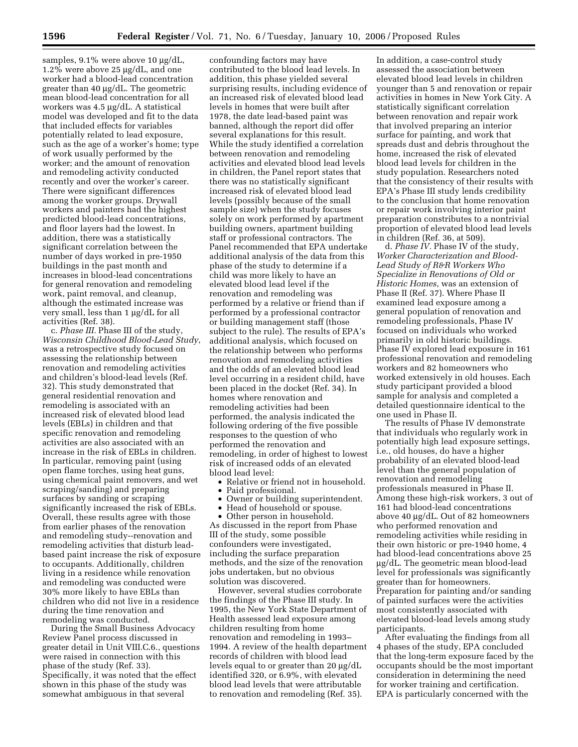samples,  $9.1\%$  were above 10 µg/dL, 1.2% were above 25 µg/dL, and one worker had a blood-lead concentration greater than 40 µg/dL. The geometric mean blood-lead concentration for all workers was 4.5 µg/dL. A statistical model was developed and fit to the data that included effects for variables potentially related to lead exposure, such as the age of a worker's home; type of work usually performed by the worker; and the amount of renovation and remodeling activity conducted recently and over the worker's career. There were significant differences among the worker groups. Drywall workers and painters had the highest predicted blood-lead concentrations, and floor layers had the lowest. In addition, there was a statistically significant correlation between the number of days worked in pre-1950 buildings in the past month and increases in blood-lead concentrations for general renovation and remodeling work, paint removal, and cleanup, although the estimated increase was very small, less than 1 µg/dL for all activities (Ref. 38).

c. *Phase III.* Phase III of the study, *Wisconsin Childhood Blood-Lead Study*, was a retrospective study focused on assessing the relationship between renovation and remodeling activities and children's blood-lead levels (Ref. 32). This study demonstrated that general residential renovation and remodeling is associated with an increased risk of elevated blood lead levels (EBLs) in children and that specific renovation and remodeling activities are also associated with an increase in the risk of EBLs in children. In particular, removing paint (using open flame torches, using heat guns, using chemical paint removers, and wet scraping/sanding) and preparing surfaces by sanding or scraping significantly increased the risk of EBLs. Overall, these results agree with those from earlier phases of the renovation and remodeling study--renovation and remodeling activities that disturb leadbased paint increase the risk of exposure to occupants. Additionally, children living in a residence while renovation and remodeling was conducted were 30% more likely to have EBLs than children who did not live in a residence during the time renovation and remodeling was conducted.

During the Small Business Advocacy Review Panel process discussed in greater detail in Unit VIII.C.6., questions were raised in connection with this phase of the study (Ref. 33). Specifically, it was noted that the effect shown in this phase of the study was somewhat ambiguous in that several

confounding factors may have contributed to the blood lead levels. In addition, this phase yielded several surprising results, including evidence of an increased risk of elevated blood lead levels in homes that were built after 1978, the date lead-based paint was banned, although the report did offer several explanations for this result. While the study identified a correlation between renovation and remodeling activities and elevated blood lead levels in children, the Panel report states that there was no statistically significant increased risk of elevated blood lead levels (possibly because of the small sample size) when the study focuses solely on work performed by apartment building owners, apartment building staff or professional contractors. The Panel recommended that EPA undertake additional analysis of the data from this phase of the study to determine if a child was more likely to have an elevated blood lead level if the renovation and remodeling was performed by a relative or friend than if performed by a professional contractor or building management staff (those subject to the rule). The results of EPA's additional analysis, which focused on the relationship between who performs renovation and remodeling activities and the odds of an elevated blood lead level occurring in a resident child, have been placed in the docket (Ref. 34). In homes where renovation and remodeling activities had been performed, the analysis indicated the following ordering of the five possible responses to the question of who performed the renovation and remodeling, in order of highest to lowest risk of increased odds of an elevated blood lead level:

- Relative or friend not in household.<br>• Paid professional
	- Paid professional.
- Owner or building superintendent.<br>• Head of household or spouse.
- Head of household or spouse.

• Other person in household. As discussed in the report from Phase III of the study, some possible confounders were investigated, including the surface preparation methods, and the size of the renovation jobs undertaken, but no obvious solution was discovered.

However, several studies corroborate the findings of the Phase III study. In 1995, the New York State Department of Health assessed lead exposure among children resulting from home renovation and remodeling in 1993– 1994. A review of the health department records of children with blood lead levels equal to or greater than 20 µg/dL identified 320, or 6.9%, with elevated blood lead levels that were attributable to renovation and remodeling (Ref. 35).

In addition, a case-control study assessed the association between elevated blood lead levels in children younger than 5 and renovation or repair activities in homes in New York City. A statistically significant correlation between renovation and repair work that involved preparing an interior surface for painting, and work that spreads dust and debris throughout the home, increased the risk of elevated blood lead levels for children in the study population. Researchers noted that the consistency of their results with EPA's Phase III study lends credibility to the conclusion that home renovation or repair work involving interior paint preparation constributes to a nontrivial proportion of elevated blood lead levels in children (Ref. 36, at 509).

d. *Phase IV.* Phase IV of the study, *Worker Characterization and Blood-Lead Study of R&R Workers Who Specialize in Renovations of Old or Historic Homes*, was an extension of Phase II (Ref. 37). Where Phase II examined lead exposure among a general population of renovation and remodeling professionals, Phase IV focused on individuals who worked primarily in old historic buildings. Phase IV explored lead exposure in 161 professional renovation and remodeling workers and 82 homeowners who worked extensively in old houses. Each study participant provided a blood sample for analysis and completed a detailed questionnaire identical to the one used in Phase II.

The results of Phase IV demonstrate that individuals who regularly work in potentially high lead exposure settings, i.e., old houses, do have a higher probability of an elevated blood-lead level than the general population of renovation and remodeling professionals measured in Phase II. Among these high-risk workers, 3 out of 161 had blood-lead concentrations above 40 µg/dL. Out of 82 homeowners who performed renovation and remodeling activities while residing in their own historic or pre-1940 home, 4 had blood-lead concentrations above 25 µg/dL. The geometric mean blood-lead level for professionals was significantly greater than for homeowners. Preparation for painting and/or sanding of painted surfaces were the activities most consistently associated with elevated blood-lead levels among study participants.

After evaluating the findings from all 4 phases of the study, EPA concluded that the long-term exposure faced by the occupants should be the most important consideration in determining the need for worker training and certification. EPA is particularly concerned with the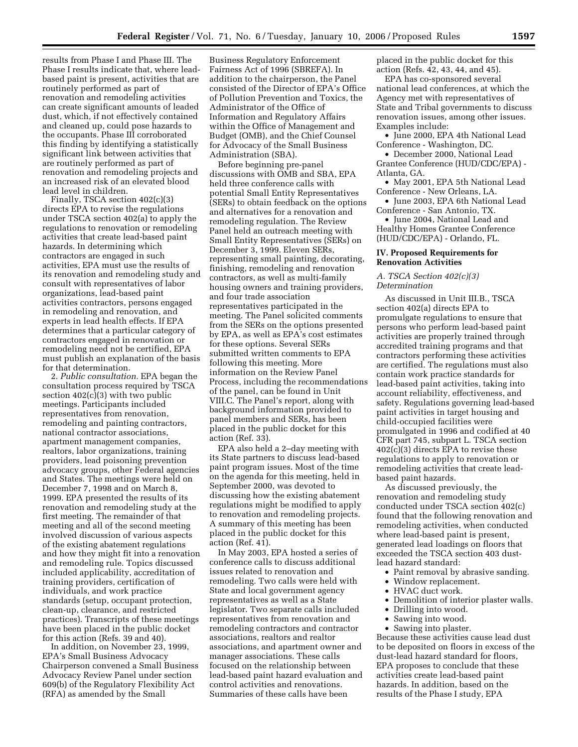results from Phase I and Phase III. The Phase I results indicate that, where leadbased paint is present, activities that are routinely performed as part of renovation and remodeling activities can create significant amounts of leaded dust, which, if not effectively contained and cleaned up, could pose hazards to the occupants. Phase III corroborated this finding by identifying a statistically significant link between activities that are routinely performed as part of renovation and remodeling projects and an increased risk of an elevated blood lead level in children.

Finally, TSCA section 402(c)(3) directs EPA to revise the regulations under TSCA section 402(a) to apply the regulations to renovation or remodeling activities that create lead-based paint hazards. In determining which contractors are engaged in such activities, EPA must use the results of its renovation and remodeling study and consult with representatives of labor organizations, lead-based paint activities contractors, persons engaged in remodeling and renovation, and experts in lead health effects. If EPA determines that a particular category of contractors engaged in renovation or remodeling need not be certified, EPA must publish an explanation of the basis for that determination.

2. *Public consultation.* EPA began the consultation process required by TSCA section 402(c)(3) with two public meetings. Participants included representatives from renovation, remodeling and painting contractors, national contractor associations, apartment management companies, realtors, labor organizations, training providers, lead poisoning prevention advocacy groups, other Federal agencies and States. The meetings were held on December 7, 1998 and on March 8, 1999. EPA presented the results of its renovation and remodeling study at the first meeting. The remainder of that meeting and all of the second meeting involved discussion of various aspects of the existing abatement regulations and how they might fit into a renovation and remodeling rule. Topics discussed included applicability, accreditation of training providers, certification of individuals, and work practice standards (setup, occupant protection, clean-up, clearance, and restricted practices). Transcripts of these meetings have been placed in the public docket for this action (Refs. 39 and 40).

In addition, on November 23, 1999, EPA's Small Business Advocacy Chairperson convened a Small Business Advocacy Review Panel under section 609(b) of the Regulatory Flexibility Act (RFA) as amended by the Small

Business Regulatory Enforcement Fairness Act of 1996 (SBREFA). In addition to the chairperson, the Panel consisted of the Director of EPA's Office of Pollution Prevention and Toxics, the Administrator of the Office of Information and Regulatory Affairs within the Office of Management and Budget (OMB), and the Chief Counsel for Advocacy of the Small Business Administration (SBA).

Before beginning pre-panel discussions with OMB and SBA, EPA held three conference calls with potential Small Entity Representatives (SERs) to obtain feedback on the options and alternatives for a renovation and remodeling regulation. The Review Panel held an outreach meeting with Small Entity Representatives (SERs) on December 3, 1999. Eleven SERs, representing small painting, decorating, finishing, remodeling and renovation contractors, as well as multi-family housing owners and training providers, and four trade association representatives participated in the meeting. The Panel solicited comments from the SERs on the options presented by EPA, as well as EPA's cost estimates for these options. Several SERs submitted written comments to EPA following this meeting. More information on the Review Panel Process, including the recommendations of the panel, can be found in Unit VIII.C. The Panel's report, along with background information provided to panel members and SERs, has been placed in the public docket for this action (Ref. 33).

EPA also held a 2–day meeting with its State partners to discuss lead-based paint program issues. Most of the time on the agenda for this meeting, held in September 2000, was devoted to discussing how the existing abatement regulations might be modified to apply to renovation and remodeling projects. A summary of this meeting has been placed in the public docket for this action (Ref. 41).

In May 2003, EPA hosted a series of conference calls to discuss additional issues related to renovation and remodeling. Two calls were held with State and local government agency representatives as well as a State legislator. Two separate calls included representatives from renovation and remodeling contractors and contractor associations, realtors and realtor associations, and apartment owner and manager associations. These calls focused on the relationship between lead-based paint hazard evaluation and control activities and renovations. Summaries of these calls have been

placed in the public docket for this action (Refs. 42, 43, 44, and 45).

EPA has co-sponsored several national lead conferences, at which the Agency met with representatives of State and Tribal governments to discuss renovation issues, among other issues. Examples include:

• June 2000, EPA 4th National Lead Conference - Washington, DC.

• December 2000, National Lead Grantee Conference (HUD/CDC/EPA) - Atlanta, GA.

• May 2001, EPA 5th National Lead Conference - New Orleans, LA.

• June 2003, EPA 6th National Lead Conference - San Antonio, TX.

• June 2004, National Lead and Healthy Homes Grantee Conference (HUD/CDC/EPA) - Orlando, FL.

# **IV. Proposed Requirements for Renovation Activities**

# *A. TSCA Section 402(c)(3) Determination*

As discussed in Unit III.B., TSCA section 402(a) directs EPA to promulgate regulations to ensure that persons who perform lead-based paint activities are properly trained through accredited training programs and that contractors performing these activities are certified. The regulations must also contain work practice standards for lead-based paint activities, taking into account reliability, effectiveness, and safety. Regulations governing lead-based paint activities in target housing and child-occupied facilities were promulgated in 1996 and codified at 40 CFR part 745, subpart L. TSCA section 402(c)(3) directs EPA to revise these regulations to apply to renovation or remodeling activities that create leadbased paint hazards.

As discussed previously, the renovation and remodeling study conducted under TSCA section 402(c) found that the following renovation and remodeling activities, when conducted where lead-based paint is present, generated lead loadings on floors that exceeded the TSCA section 403 dustlead hazard standard:

- Paint removal by abrasive sanding.
- Window replacement.
- HVAC duct work.
- Demolition of interior plaster walls.
- Drilling into wood.
- Sawing into wood.
- Sawing into plaster.

Because these activities cause lead dust to be deposited on floors in excess of the dust-lead hazard standard for floors, EPA proposes to conclude that these activities create lead-based paint hazards. In addition, based on the results of the Phase I study, EPA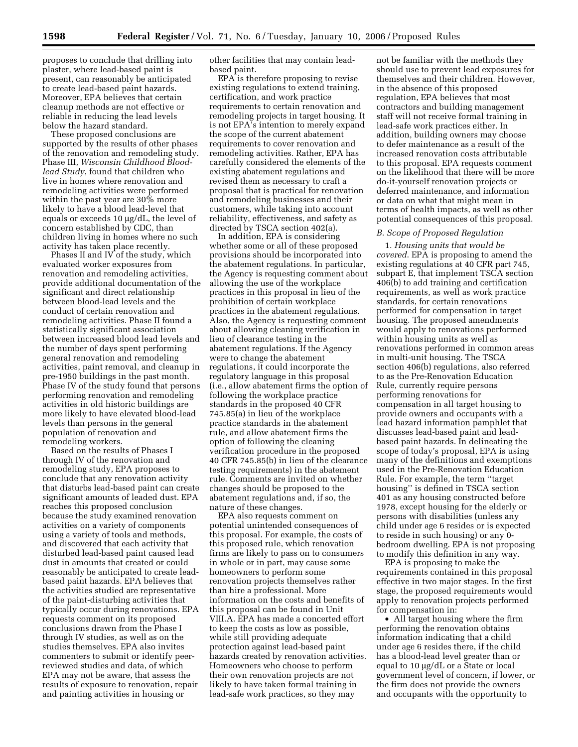proposes to conclude that drilling into plaster, where lead-based paint is present, can reasonably be anticipated to create lead-based paint hazards. Moreover, EPA believes that certain cleanup methods are not effective or reliable in reducing the lead levels below the hazard standard.

These proposed conclusions are supported by the results of other phases of the renovation and remodeling study. Phase III, *Wisconsin Childhood Bloodlead Study*, found that children who live in homes where renovation and remodeling activities were performed within the past year are 30% more likely to have a blood lead-level that equals or exceeds 10 µg/dL, the level of concern established by CDC, than children living in homes where no such activity has taken place recently.

Phases II and IV of the study, which evaluated worker exposures from renovation and remodeling activities, provide additional documentation of the significant and direct relationship between blood-lead levels and the conduct of certain renovation and remodeling activities. Phase II found a statistically significant association between increased blood lead levels and the number of days spent performing general renovation and remodeling activities, paint removal, and cleanup in pre-1950 buildings in the past month. Phase IV of the study found that persons performing renovation and remodeling activities in old historic buildings are more likely to have elevated blood-lead levels than persons in the general population of renovation and remodeling workers.

Based on the results of Phases I through IV of the renovation and remodeling study, EPA proposes to conclude that any renovation activity that disturbs lead-based paint can create significant amounts of leaded dust. EPA reaches this proposed conclusion because the study examined renovation activities on a variety of components using a variety of tools and methods, and discovered that each activity that disturbed lead-based paint caused lead dust in amounts that created or could reasonably be anticipated to create leadbased paint hazards. EPA believes that the activities studied are representative of the paint-disturbing activities that typically occur during renovations. EPA requests comment on its proposed conclusions drawn from the Phase I through IV studies, as well as on the studies themselves. EPA also invites commenters to submit or identify peerreviewed studies and data, of which EPA may not be aware, that assess the results of exposure to renovation, repair and painting activities in housing or

other facilities that may contain leadbased paint.

EPA is therefore proposing to revise existing regulations to extend training, certification, and work practice requirements to certain renovation and remodeling projects in target housing. It is not EPA's intention to merely expand the scope of the current abatement requirements to cover renovation and remodeling activities. Rather, EPA has carefully considered the elements of the existing abatement regulations and revised them as necessary to craft a proposal that is practical for renovation and remodeling businesses and their customers, while taking into account reliability, effectiveness, and safety as directed by TSCA section 402(a).

In addition, EPA is considering whether some or all of these proposed provisions should be incorporated into the abatement regulations. In particular, the Agency is requesting comment about allowing the use of the workplace practices in this proposal in lieu of the prohibition of certain workplace practices in the abatement regulations. Also, the Agency is requesting comment about allowing cleaning verification in lieu of clearance testing in the abatement regulations. If the Agency were to change the abatement regulations, it could incorporate the regulatory language in this proposal (i.e., allow abatement firms the option of following the workplace practice standards in the proposed 40 CFR 745.85(a) in lieu of the workplace practice standards in the abatement rule, and allow abatement firms the option of following the cleaning verification procedure in the proposed 40 CFR 745.85(b) in lieu of the clearance testing requirements) in the abatement rule. Comments are invited on whether changes should be proposed to the abatement regulations and, if so, the nature of these changes.

EPA also requests comment on potential unintended consequences of this proposal. For example, the costs of this proposed rule, which renovation firms are likely to pass on to consumers in whole or in part, may cause some homeowners to perform some renovation projects themselves rather than hire a professional. More information on the costs and benefits of this proposal can be found in Unit VIII.A. EPA has made a concerted effort to keep the costs as low as possible, while still providing adequate protection against lead-based paint hazards created by renovation activities. Homeowners who choose to perform their own renovation projects are not likely to have taken formal training in lead-safe work practices, so they may

not be familiar with the methods they should use to prevent lead exposures for themselves and their children. However, in the absence of this proposed regulation, EPA believes that most contractors and building management staff will not receive formal training in lead-safe work practices either. In addition, building owners may choose to defer maintenance as a result of the increased renovation costs attributable to this proposal. EPA requests comment on the likelihood that there will be more do-it-yourself renovation projects or deferred maintenance, and information or data on what that might mean in terms of health impacts, as well as other potential consequences of this proposal.

# *B. Scope of Proposed Regulation*

1. *Housing units that would be covered*. EPA is proposing to amend the existing regulations at 40 CFR part 745, subpart E, that implement TSCA section 406(b) to add training and certification requirements, as well as work practice standards, for certain renovations performed for compensation in target housing. The proposed amendments would apply to renovations performed within housing units as well as renovations performed in common areas in multi-unit housing. The TSCA section 406(b) regulations, also referred to as the Pre-Renovation Education Rule, currently require persons performing renovations for compensation in all target housing to provide owners and occupants with a lead hazard information pamphlet that discusses lead-based paint and leadbased paint hazards. In delineating the scope of today's proposal, EPA is using many of the definitions and exemptions used in the Pre-Renovation Education Rule. For example, the term ''target housing'' is defined in TSCA section 401 as any housing constructed before 1978, except housing for the elderly or persons with disabilities (unless any child under age 6 resides or is expected to reside in such housing) or any 0 bedroom dwelling. EPA is not proposing to modify this definition in any way.

EPA is proposing to make the requirements contained in this proposal effective in two major stages. In the first stage, the proposed requirements would apply to renovation projects performed for compensation in:

• All target housing where the firm performing the renovation obtains information indicating that a child under age 6 resides there, if the child has a blood-lead level greater than or equal to 10 µg/dL or a State or local government level of concern, if lower, or the firm does not provide the owners and occupants with the opportunity to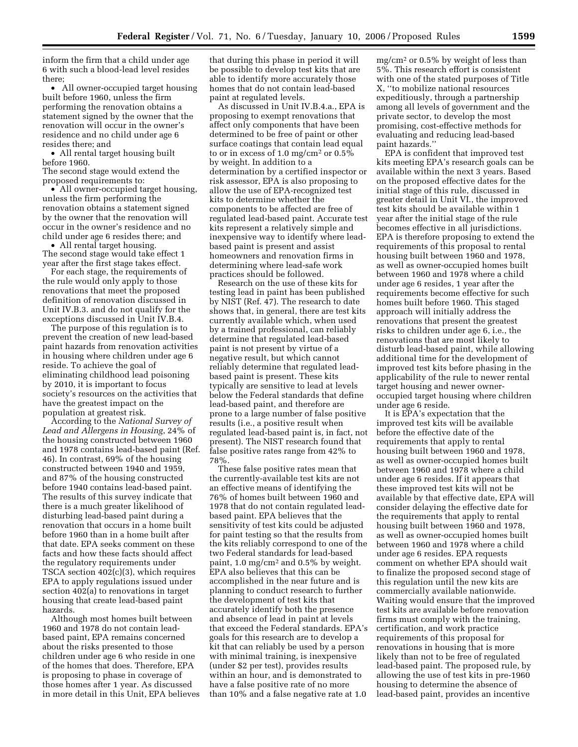inform the firm that a child under age 6 with such a blood-lead level resides there;

• All owner-occupied target housing built before 1960, unless the firm performing the renovation obtains a statement signed by the owner that the renovation will occur in the owner's residence and no child under age 6 resides there; and

• All rental target housing built before 1960.

The second stage would extend the proposed requirements to:

• All owner-occupied target housing, unless the firm performing the renovation obtains a statement signed by the owner that the renovation will occur in the owner's residence and no child under age 6 resides there; and

• All rental target housing. The second stage would take effect 1 year after the first stage takes effect.

For each stage, the requirements of the rule would only apply to those renovations that meet the proposed definition of renovation discussed in Unit IV.B.3. and do not qualify for the exceptions discussed in Unit IV.B.4.

The purpose of this regulation is to prevent the creation of new lead-based paint hazards from renovation activities in housing where children under age 6 reside. To achieve the goal of eliminating childhood lead poisoning by 2010, it is important to focus society's resources on the activities that have the greatest impact on the population at greatest risk.

According to the *National Survey of Lead and Allergens in Housing*, 24% of the housing constructed between 1960 and 1978 contains lead-based paint (Ref. 46). In contrast, 69% of the housing constructed between 1940 and 1959, and 87% of the housing constructed before 1940 contains lead-based paint. The results of this survey indicate that there is a much greater likelihood of disturbing lead-based paint during a renovation that occurs in a home built before 1960 than in a home built after that date. EPA seeks comment on these facts and how these facts should affect the regulatory requirements under TSCA section 402(c)(3), which requires EPA to apply regulations issued under section 402(a) to renovations in target housing that create lead-based paint hazards.

Although most homes built between 1960 and 1978 do not contain leadbased paint, EPA remains concerned about the risks presented to those children under age 6 who reside in one of the homes that does. Therefore, EPA is proposing to phase in coverage of those homes after 1 year. As discussed in more detail in this Unit, EPA believes

that during this phase in period it will be possible to develop test kits that are able to identify more accurately those homes that do not contain lead-based paint at regulated levels.

As discussed in Unit IV.B.4.a., EPA is proposing to exempt renovations that affect only components that have been determined to be free of paint or other surface coatings that contain lead equal to or in excess of 1.0 mg/cm<sup>2</sup> or  $0.5\%$ by weight. In addition to a determination by a certified inspector or risk assessor, EPA is also proposing to allow the use of EPA-recognized test kits to determine whether the components to be affected are free of regulated lead-based paint. Accurate test kits represent a relatively simple and inexpensive way to identify where leadbased paint is present and assist homeowners and renovation firms in determining where lead-safe work practices should be followed.

Research on the use of these kits for testing lead in paint has been published by NIST (Ref. 47). The research to date shows that, in general, there are test kits currently available which, when used by a trained professional, can reliably determine that regulated lead-based paint is not present by virtue of a negative result, but which cannot reliably determine that regulated leadbased paint is present. These kits typically are sensitive to lead at levels below the Federal standards that define lead-based paint, and therefore are prone to a large number of false positive results (i.e., a positive result when regulated lead-based paint is, in fact, not present). The NIST research found that false positive rates range from 42% to 78%.

These false positive rates mean that the currently-available test kits are not an effective means of identifying the 76% of homes built between 1960 and 1978 that do not contain regulated leadbased paint. EPA believes that the sensitivity of test kits could be adjusted for paint testing so that the results from the kits reliably correspond to one of the two Federal standards for lead-based paint, 1.0 mg/cm<sup>2</sup> and  $0.5\%$  by weight. EPA also believes that this can be accomplished in the near future and is planning to conduct research to further the development of test kits that accurately identify both the presence and absence of lead in paint at levels that exceed the Federal standards. EPA's goals for this research are to develop a kit that can reliably be used by a person with minimal training, is inexpensive (under \$2 per test), provides results within an hour, and is demonstrated to have a false positive rate of no more than 10% and a false negative rate at 1.0

mg/cm2 or 0.5% by weight of less than 5%. This research effort is consistent with one of the stated purposes of Title X, ''to mobilize national resources expeditiously, through a partnership among all levels of government and the private sector, to develop the most promising, cost-effective methods for evaluating and reducing lead-based paint hazards.''

EPA is confident that improved test kits meeting EPA's research goals can be available within the next 3 years. Based on the proposed effective dates for the initial stage of this rule, discussed in greater detail in Unit VI., the improved test kits should be available within 1 year after the initial stage of the rule becomes effective in all jurisdictions. EPA is therefore proposing to extend the requirements of this proposal to rental housing built between 1960 and 1978, as well as owner-occupied homes built between 1960 and 1978 where a child under age 6 resides, 1 year after the requirements become effective for such homes built before 1960. This staged approach will initially address the renovations that present the greatest risks to children under age 6, i.e., the renovations that are most likely to disturb lead-based paint, while allowing additional time for the development of improved test kits before phasing in the applicability of the rule to newer rental target housing and newer owneroccupied target housing where children under age 6 reside.

It is EPA's expectation that the improved test kits will be available before the effective date of the requirements that apply to rental housing built between 1960 and 1978, as well as owner-occupied homes built between 1960 and 1978 where a child under age 6 resides. If it appears that these improved test kits will not be available by that effective date, EPA will consider delaying the effective date for the requirements that apply to rental housing built between 1960 and 1978, as well as owner-occupied homes built between 1960 and 1978 where a child under age 6 resides. EPA requests comment on whether EPA should wait to finalize the proposed second stage of this regulation until the new kits are commercially available nationwide. Waiting would ensure that the improved test kits are available before renovation firms must comply with the training, certification, and work practice requirements of this proposal for renovations in housing that is more likely than not to be free of regulated lead-based paint. The proposed rule, by allowing the use of test kits in pre-1960 housing to determine the absence of lead-based paint, provides an incentive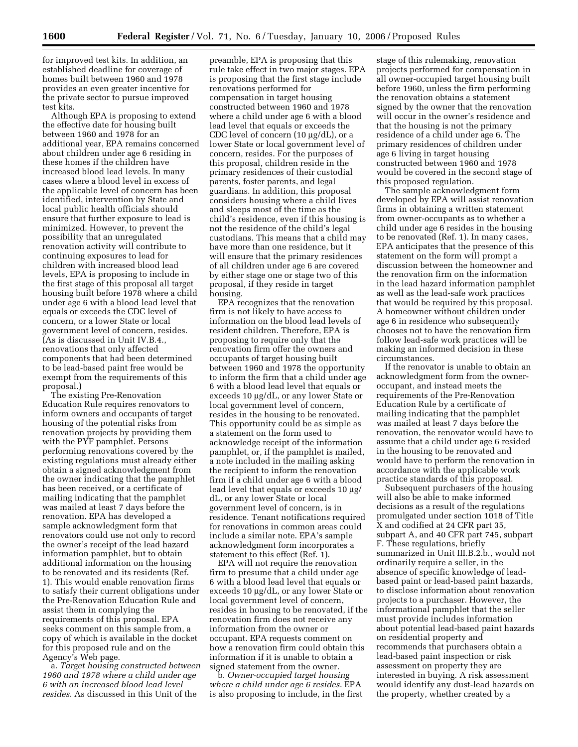for improved test kits. In addition, an established deadline for coverage of homes built between 1960 and 1978 provides an even greater incentive for the private sector to pursue improved test kits.

Although EPA is proposing to extend the effective date for housing built between 1960 and 1978 for an additional year, EPA remains concerned about children under age 6 residing in these homes if the children have increased blood lead levels. In many cases where a blood level in excess of the applicable level of concern has been identified, intervention by State and local public health officials should ensure that further exposure to lead is minimized. However, to prevent the possibility that an unregulated renovation activity will contribute to continuing exposures to lead for children with increased blood lead levels, EPA is proposing to include in the first stage of this proposal all target housing built before 1978 where a child under age 6 with a blood lead level that equals or exceeds the CDC level of concern, or a lower State or local government level of concern, resides. (As is discussed in Unit IV.B.4., renovations that only affected components that had been determined to be lead-based paint free would be exempt from the requirements of this proposal.)

The existing Pre-Renovation Education Rule requires renovators to inform owners and occupants of target housing of the potential risks from renovation projects by providing them with the PYF pamphlet. Persons performing renovations covered by the existing regulations must already either obtain a signed acknowledgment from the owner indicating that the pamphlet has been received, or a certificate of mailing indicating that the pamphlet was mailed at least 7 days before the renovation. EPA has developed a sample acknowledgment form that renovators could use not only to record the owner's receipt of the lead hazard information pamphlet, but to obtain additional information on the housing to be renovated and its residents (Ref. 1). This would enable renovation firms to satisfy their current obligations under the Pre-Renovation Education Rule and assist them in complying the requirements of this proposal. EPA seeks comment on this sample from, a copy of which is available in the docket for this proposed rule and on the Agency's Web page.

a. *Target housing constructed between 1960 and 1978 where a child under age 6 with an increased blood lead level resides*. As discussed in this Unit of the

preamble, EPA is proposing that this rule take effect in two major stages. EPA is proposing that the first stage include renovations performed for compensation in target housing constructed between 1960 and 1978 where a child under age 6 with a blood lead level that equals or exceeds the CDC level of concern (10 µg/dL), or a lower State or local government level of concern, resides. For the purposes of this proposal, children reside in the primary residences of their custodial parents, foster parents, and legal guardians. In addition, this proposal considers housing where a child lives and sleeps most of the time as the child's residence, even if this housing is not the residence of the child's legal custodians. This means that a child may have more than one residence, but it will ensure that the primary residences of all children under age 6 are covered by either stage one or stage two of this proposal, if they reside in target housing.

EPA recognizes that the renovation firm is not likely to have access to information on the blood lead levels of resident children. Therefore, EPA is proposing to require only that the renovation firm offer the owners and occupants of target housing built between 1960 and 1978 the opportunity to inform the firm that a child under age 6 with a blood lead level that equals or exceeds 10 µg/dL, or any lower State or local government level of concern, resides in the housing to be renovated. This opportunity could be as simple as a statement on the form used to acknowledge receipt of the information pamphlet, or, if the pamphlet is mailed, a note included in the mailing asking the recipient to inform the renovation firm if a child under age 6 with a blood lead level that equals or exceeds 10 µg/ dL, or any lower State or local government level of concern, is in residence. Tenant notifications required for renovations in common areas could include a similar note. EPA's sample acknowledgment form incorporates a statement to this effect (Ref. 1).

EPA will not require the renovation firm to presume that a child under age 6 with a blood lead level that equals or exceeds 10 µg/dL, or any lower State or local government level of concern, resides in housing to be renovated, if the renovation firm does not receive any information from the owner or occupant. EPA requests comment on how a renovation firm could obtain this information if it is unable to obtain a signed statement from the owner.

b. *Owner-occupied target housing where a child under age 6 resides*. EPA is also proposing to include, in the first

stage of this rulemaking, renovation projects performed for compensation in all owner-occupied target housing built before 1960, unless the firm performing the renovation obtains a statement signed by the owner that the renovation will occur in the owner's residence and that the housing is not the primary residence of a child under age 6. The primary residences of children under age 6 living in target housing constructed between 1960 and 1978 would be covered in the second stage of this proposed regulation.

The sample acknowledgment form developed by EPA will assist renovation firms in obtaining a written statement from owner-occupants as to whether a child under age 6 resides in the housing to be renovated (Ref. 1). In many cases, EPA anticipates that the presence of this statement on the form will prompt a discussion between the homeowner and the renovation firm on the information in the lead hazard information pamphlet as well as the lead-safe work practices that would be required by this proposal. A homeowner without children under age 6 in residence who subsequently chooses not to have the renovation firm follow lead-safe work practices will be making an informed decision in these circumstances.

If the renovator is unable to obtain an acknowledgment form from the owneroccupant, and instead meets the requirements of the Pre-Renovation Education Rule by a certificate of mailing indicating that the pamphlet was mailed at least 7 days before the renovation, the renovator would have to assume that a child under age 6 resided in the housing to be renovated and would have to perform the renovation in accordance with the applicable work practice standards of this proposal.

Subsequent purchasers of the housing will also be able to make informed decisions as a result of the regulations promulgated under section 1018 of Title X and codified at 24 CFR part 35, subpart A, and 40 CFR part 745, subpart F. These regulations, briefly summarized in Unit III.B.2.b., would not ordinarily require a seller, in the absence of specific knowledge of leadbased paint or lead-based paint hazards, to disclose information about renovation projects to a purchaser. However, the informational pamphlet that the seller must provide includes information about potential lead-based paint hazards on residential property and recommends that purchasers obtain a lead-based paint inspection or risk assessment on property they are interested in buying. A risk assessment would identify any dust-lead hazards on the property, whether created by a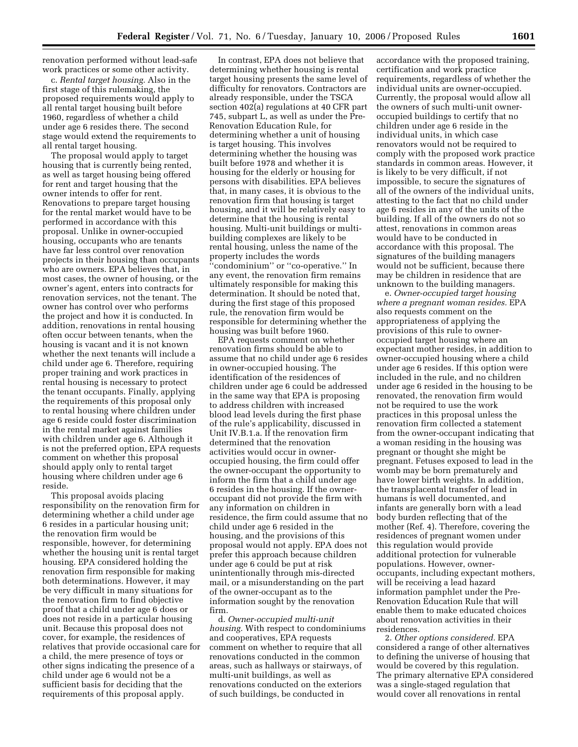renovation performed without lead-safe work practices or some other activity.

c. *Rental target housing.* Also in the first stage of this rulemaking, the proposed requirements would apply to all rental target housing built before 1960, regardless of whether a child under age 6 resides there. The second stage would extend the requirements to all rental target housing.

The proposal would apply to target housing that is currently being rented, as well as target housing being offered for rent and target housing that the owner intends to offer for rent. Renovations to prepare target housing for the rental market would have to be performed in accordance with this proposal. Unlike in owner-occupied housing, occupants who are tenants have far less control over renovation projects in their housing than occupants who are owners. EPA believes that, in most cases, the owner of housing, or the owner's agent, enters into contracts for renovation services, not the tenant. The owner has control over who performs the project and how it is conducted. In addition, renovations in rental housing often occur between tenants, when the housing is vacant and it is not known whether the next tenants will include a child under age 6. Therefore, requiring proper training and work practices in rental housing is necessary to protect the tenant occupants. Finally, applying the requirements of this proposal only to rental housing where children under age 6 reside could foster discrimination in the rental market against families with children under age 6. Although it is not the preferred option, EPA requests comment on whether this proposal should apply only to rental target housing where children under age 6 reside.

This proposal avoids placing responsibility on the renovation firm for determining whether a child under age 6 resides in a particular housing unit; the renovation firm would be responsible, however, for determining whether the housing unit is rental target housing. EPA considered holding the renovation firm responsible for making both determinations. However, it may be very difficult in many situations for the renovation firm to find objective proof that a child under age 6 does or does not reside in a particular housing unit. Because this proposal does not cover, for example, the residences of relatives that provide occasional care for a child, the mere presence of toys or other signs indicating the presence of a child under age 6 would not be a sufficient basis for deciding that the requirements of this proposal apply.

In contrast, EPA does not believe that determining whether housing is rental target housing presents the same level of difficulty for renovators. Contractors are already responsible, under the TSCA section 402(a) regulations at 40 CFR part 745, subpart L, as well as under the Pre-Renovation Education Rule, for determining whether a unit of housing is target housing. This involves determining whether the housing was built before 1978 and whether it is housing for the elderly or housing for persons with disabilities. EPA believes that, in many cases, it is obvious to the renovation firm that housing is target housing, and it will be relatively easy to determine that the housing is rental housing. Multi-unit buildings or multibuilding complexes are likely to be rental housing, unless the name of the property includes the words ''condominium'' or ''co-operative.'' In any event, the renovation firm remains ultimately responsible for making this determination. It should be noted that, during the first stage of this proposed rule, the renovation firm would be responsible for determining whether the housing was built before 1960.

EPA requests comment on whether renovation firms should be able to assume that no child under age 6 resides in owner-occupied housing. The identification of the residences of children under age 6 could be addressed in the same way that EPA is proposing to address children with increased blood lead levels during the first phase of the rule's applicability, discussed in Unit IV.B.1.a. If the renovation firm determined that the renovation activities would occur in owneroccupied housing, the firm could offer the owner-occupant the opportunity to inform the firm that a child under age 6 resides in the housing. If the owneroccupant did not provide the firm with any information on children in residence, the firm could assume that no child under age 6 resided in the housing, and the provisions of this proposal would not apply. EPA does not prefer this approach because children under age 6 could be put at risk unintentionally through mis-directed mail, or a misunderstanding on the part of the owner-occupant as to the information sought by the renovation firm.

d. *Owner-occupied multi-unit housing.* With respect to condominiums and cooperatives, EPA requests comment on whether to require that all renovations conducted in the common areas, such as hallways or stairways, of multi-unit buildings, as well as renovations conducted on the exteriors of such buildings, be conducted in

accordance with the proposed training, certification and work practice requirements, regardless of whether the individual units are owner-occupied. Currently, the proposal would allow all the owners of such multi-unit owneroccupied buildings to certify that no children under age 6 reside in the individual units, in which case renovators would not be required to comply with the proposed work practice standards in common areas. However, it is likely to be very difficult, if not impossible, to secure the signatures of all of the owners of the individual units, attesting to the fact that no child under age 6 resides in any of the units of the building. If all of the owners do not so attest, renovations in common areas would have to be conducted in accordance with this proposal. The signatures of the building managers would not be sufficient, because there may be children in residence that are unknown to the building managers.

e. *Owner-occupied target housing where a pregnant woman resides.* EPA also requests comment on the appropriateness of applying the provisions of this rule to owneroccupied target housing where an expectant mother resides, in addition to owner-occupied housing where a child under age 6 resides. If this option were included in the rule, and no children under age 6 resided in the housing to be renovated, the renovation firm would not be required to use the work practices in this proposal unless the renovation firm collected a statement from the owner-occupant indicating that a woman residing in the housing was pregnant or thought she might be pregnant. Fetuses exposed to lead in the womb may be born prematurely and have lower birth weights. In addition, the transplacental transfer of lead in humans is well documented, and infants are generally born with a lead body burden reflecting that of the mother (Ref. 4). Therefore, covering the residences of pregnant women under this regulation would provide additional protection for vulnerable populations. However, owneroccupants, including expectant mothers, will be receiving a lead hazard information pamphlet under the Pre-Renovation Education Rule that will enable them to make educated choices about renovation activities in their residences.

2. *Other options considered.* EPA considered a range of other alternatives to defining the universe of housing that would be covered by this regulation. The primary alternative EPA considered was a single-staged regulation that would cover all renovations in rental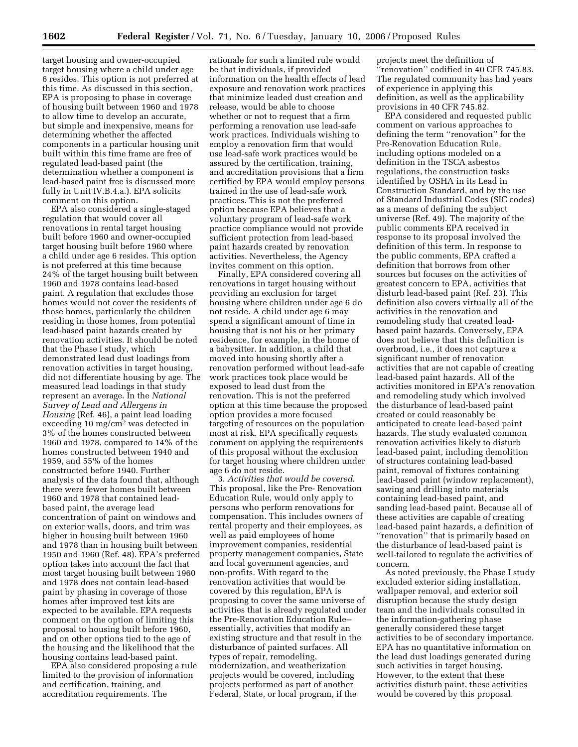target housing and owner-occupied target housing where a child under age 6 resides. This option is not preferred at this time. As discussed in this section, EPA is proposing to phase in coverage of housing built between 1960 and 1978 to allow time to develop an accurate, but simple and inexpensive, means for determining whether the affected components in a particular housing unit built within this time frame are free of regulated lead-based paint (the determination whether a component is lead-based paint free is discussed more fully in Unit IV.B.4.a.). EPA solicits comment on this option.

EPA also considered a single-staged regulation that would cover all renovations in rental target housing built before 1960 and owner-occupied target housing built before 1960 where a child under age 6 resides. This option is not preferred at this time because 24% of the target housing built between 1960 and 1978 contains lead-based paint. A regulation that excludes those homes would not cover the residents of those homes, particularly the children residing in those homes, from potential lead-based paint hazards created by renovation activities. It should be noted that the Phase I study, which demonstrated lead dust loadings from renovation activities in target housing, did not differentiate housing by age. The measured lead loadings in that study represent an average. In the *National Survey of Lead and Allergens in Housing* (Ref. 46), a paint lead loading exceeding 10 mg/cm2 was detected in 3% of the homes constructed between 1960 and 1978, compared to 14% of the homes constructed between 1940 and 1959, and 55% of the homes constructed before 1940. Further analysis of the data found that, although there were fewer homes built between 1960 and 1978 that contained leadbased paint, the average lead concentration of paint on windows and on exterior walls, doors, and trim was higher in housing built between 1960 and 1978 than in housing built between 1950 and 1960 (Ref. 48). EPA's preferred option takes into account the fact that most target housing built between 1960 and 1978 does not contain lead-based paint by phasing in coverage of those homes after improved test kits are expected to be available. EPA requests comment on the option of limiting this proposal to housing built before 1960, and on other options tied to the age of the housing and the likelihood that the housing contains lead-based paint.

EPA also considered proposing a rule limited to the provision of information and certification, training, and accreditation requirements. The

rationale for such a limited rule would be that individuals, if provided information on the health effects of lead exposure and renovation work practices that minimize leaded dust creation and release, would be able to choose whether or not to request that a firm performing a renovation use lead-safe work practices. Individuals wishing to employ a renovation firm that would use lead-safe work practices would be assured by the certification, training, and accreditation provisions that a firm certified by EPA would employ persons trained in the use of lead-safe work practices. This is not the preferred option because EPA believes that a voluntary program of lead-safe work practice compliance would not provide sufficient protection from lead-based paint hazards created by renovation activities. Nevertheless, the Agency invites comment on this option.

Finally, EPA considered covering all renovations in target housing without providing an exclusion for target housing where children under age 6 do not reside. A child under age 6 may spend a significant amount of time in housing that is not his or her primary residence, for example, in the home of a babysitter. In addition, a child that moved into housing shortly after a renovation performed without lead-safe work practices took place would be exposed to lead dust from the renovation. This is not the preferred option at this time because the proposed option provides a more focused targeting of resources on the population most at risk. EPA specifically requests comment on applying the requirements of this proposal without the exclusion for target housing where children under age 6 do not reside.

3. *Activities that would be covered*. This proposal, like the Pre- Renovation Education Rule, would only apply to persons who perform renovations for compensation. This includes owners of rental property and their employees, as well as paid employees of home improvement companies, residential property management companies, State and local government agencies, and non-profits. With regard to the renovation activities that would be covered by this regulation, EPA is proposing to cover the same universe of activities that is already regulated under the Pre-Renovation Education Rule- essentially, activities that modify an existing structure and that result in the disturbance of painted surfaces. All types of repair, remodeling, modernization, and weatherization projects would be covered, including projects performed as part of another Federal, State, or local program, if the

projects meet the definition of 'renovation'' codified in 40 CFR 745.83. The regulated community has had years of experience in applying this definition, as well as the applicability provisions in 40 CFR 745.82.

EPA considered and requested public comment on various approaches to defining the term ''renovation'' for the Pre-Renovation Education Rule, including options modeled on a definition in the TSCA asbestos regulations, the construction tasks identified by OSHA in its Lead in Construction Standard, and by the use of Standard Industrial Codes (SIC codes) as a means of defining the subject universe (Ref. 49). The majority of the public comments EPA received in response to its proposal involved the definition of this term. In response to the public comments, EPA crafted a definition that borrows from other sources but focuses on the activities of greatest concern to EPA, activities that disturb lead-based paint (Ref. 23). This definition also covers virtually all of the activities in the renovation and remodeling study that created leadbased paint hazards. Conversely, EPA does not believe that this definition is overbroad, i.e., it does not capture a significant number of renovation activities that are not capable of creating lead-based paint hazards. All of the activities monitored in EPA's renovation and remodeling study which involved the disturbance of lead-based paint created or could reasonably be anticipated to create lead-based paint hazards. The study evaluated common renovation activities likely to disturb lead-based paint, including demolition of structures containing lead-based paint, removal of fixtures containing lead-based paint (window replacement), sawing and drilling into materials containing lead-based paint, and sanding lead-based paint. Because all of these activities are capable of creating lead-based paint hazards, a definition of ''renovation'' that is primarily based on the disturbance of lead-based paint is well-tailored to regulate the activities of concern.

As noted previously, the Phase I study excluded exterior siding installation, wallpaper removal, and exterior soil disruption because the study design team and the individuals consulted in the information-gathering phase generally considered these target activities to be of secondary importance. EPA has no quantitative information on the lead dust loadings generated during such activities in target housing. However, to the extent that these activities disturb paint, these activities would be covered by this proposal.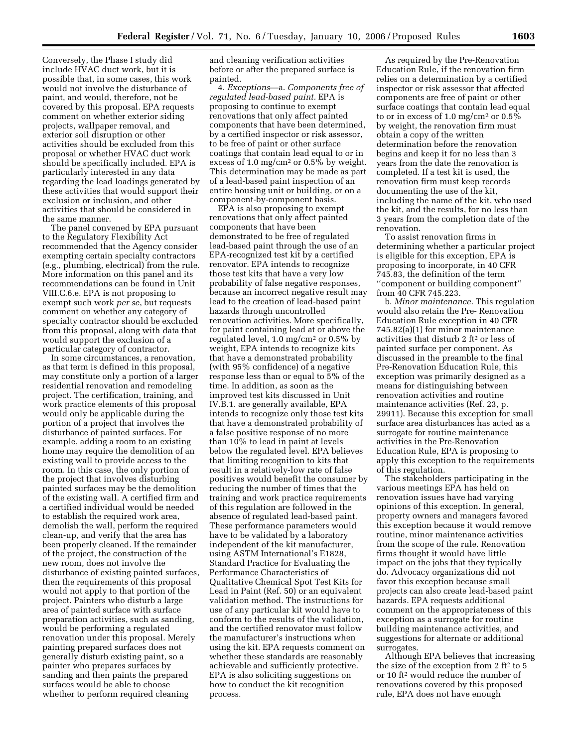Conversely, the Phase I study did include HVAC duct work, but it is possible that, in some cases, this work would not involve the disturbance of paint, and would, therefore, not be covered by this proposal. EPA requests comment on whether exterior siding projects, wallpaper removal, and exterior soil disruption or other activities should be excluded from this proposal or whether HVAC duct work should be specifically included. EPA is particularly interested in any data regarding the lead loadings generated by these activities that would support their exclusion or inclusion, and other activities that should be considered in the same manner.

The panel convened by EPA pursuant to the Regulatory Flexibility Act recommended that the Agency consider exempting certain specialty contractors (e.g., plumbing, electrical) from the rule. More information on this panel and its recommendations can be found in Unit VIII.C.6.e. EPA is not proposing to exempt such work *per se*, but requests comment on whether any category of specialty contractor should be excluded from this proposal, along with data that would support the exclusion of a particular category of contractor.

In some circumstances, a renovation, as that term is defined in this proposal, may constitute only a portion of a larger residential renovation and remodeling project. The certification, training, and work practice elements of this proposal would only be applicable during the portion of a project that involves the disturbance of painted surfaces. For example, adding a room to an existing home may require the demolition of an existing wall to provide access to the room. In this case, the only portion of the project that involves disturbing painted surfaces may be the demolition of the existing wall. A certified firm and a certified individual would be needed to establish the required work area, demolish the wall, perform the required clean-up, and verify that the area has been properly cleaned. If the remainder of the project, the construction of the new room, does not involve the disturbance of existing painted surfaces, then the requirements of this proposal would not apply to that portion of the project. Painters who disturb a large area of painted surface with surface preparation activities, such as sanding, would be performing a regulated renovation under this proposal. Merely painting prepared surfaces does not generally disturb existing paint, so a painter who prepares surfaces by sanding and then paints the prepared surfaces would be able to choose whether to perform required cleaning

and cleaning verification activities before or after the prepared surface is painted.

4. *Exceptions*—a. *Components free of regulated lead-based paint.* EPA is proposing to continue to exempt renovations that only affect painted components that have been determined, by a certified inspector or risk assessor, to be free of paint or other surface coatings that contain lead equal to or in excess of 1.0 mg/cm2 or 0.5% by weight. This determination may be made as part of a lead-based paint inspection of an entire housing unit or building, or on a component-by-component basis.

EPA is also proposing to exempt renovations that only affect painted components that have been demonstrated to be free of regulated lead-based paint through the use of an EPA-recognized test kit by a certified renovator. EPA intends to recognize those test kits that have a very low probability of false negative responses, because an incorrect negative result may lead to the creation of lead-based paint hazards through uncontrolled renovation activities. More specifically, for paint containing lead at or above the regulated level, 1.0 mg/cm2 or 0.5% by weight, EPA intends to recognize kits that have a demonstrated probability (with 95% confidence) of a negative response less than or equal to 5% of the time. In addition, as soon as the improved test kits discussed in Unit IV.B.1. are generally available, EPA intends to recognize only those test kits that have a demonstrated probability of a false positive response of no more than 10% to lead in paint at levels below the regulated level. EPA believes that limiting recognition to kits that result in a relatively-low rate of false positives would benefit the consumer by reducing the number of times that the training and work practice requirements of this regulation are followed in the absence of regulated lead-based paint. These performance parameters would have to be validated by a laboratory independent of the kit manufacturer, using ASTM International's E1828, Standard Practice for Evaluating the Performance Characteristics of Qualitative Chemical Spot Test Kits for Lead in Paint (Ref. 50) or an equivalent validation method. The instructions for use of any particular kit would have to conform to the results of the validation, and the certified renovator must follow the manufacturer's instructions when using the kit. EPA requests comment on whether these standards are reasonably achievable and sufficiently protective. EPA is also soliciting suggestions on how to conduct the kit recognition process.

As required by the Pre-Renovation Education Rule, if the renovation firm relies on a determination by a certified inspector or risk assessor that affected components are free of paint or other surface coatings that contain lead equal to or in excess of 1.0 mg/cm<sup>2</sup> or  $0.5\%$ by weight, the renovation firm must obtain a copy of the written determination before the renovation begins and keep it for no less than 3 years from the date the renovation is completed. If a test kit is used, the renovation firm must keep records documenting the use of the kit, including the name of the kit, who used the kit, and the results, for no less than 3 years from the completion date of the renovation.

To assist renovation firms in determining whether a particular project is eligible for this exception, EPA is proposing to incorporate, in 40 CFR 745.83, the definition of the term ''component or building component'' from 40 CFR 745.223.

b. *Minor maintenance.* This regulation would also retain the Pre- Renovation Education Rule exception in 40 CFR 745.82(a)(1) for minor maintenance activities that disturb 2 ft2 or less of painted surface per component. As discussed in the preamble to the final Pre-Renovation Education Rule, this exception was primarily designed as a means for distinguishing between renovation activities and routine maintenance activities (Ref. 23, p. 29911). Because this exception for small surface area disturbances has acted as a surrogate for routine maintenance activities in the Pre-Renovation Education Rule, EPA is proposing to apply this exception to the requirements of this regulation.

The stakeholders participating in the various meetings EPA has held on renovation issues have had varying opinions of this exception. In general, property owners and managers favored this exception because it would remove routine, minor maintenance activities from the scope of the rule. Renovation firms thought it would have little impact on the jobs that they typically do. Advocacy organizations did not favor this exception because small projects can also create lead-based paint hazards. EPA requests additional comment on the appropriateness of this exception as a surrogate for routine building maintenance activities, and suggestions for alternate or additional surrogates.

Although EPA believes that increasing the size of the exception from 2 ft<sup>2</sup> to 5 or 10 ft2 would reduce the number of renovations covered by this proposed rule, EPA does not have enough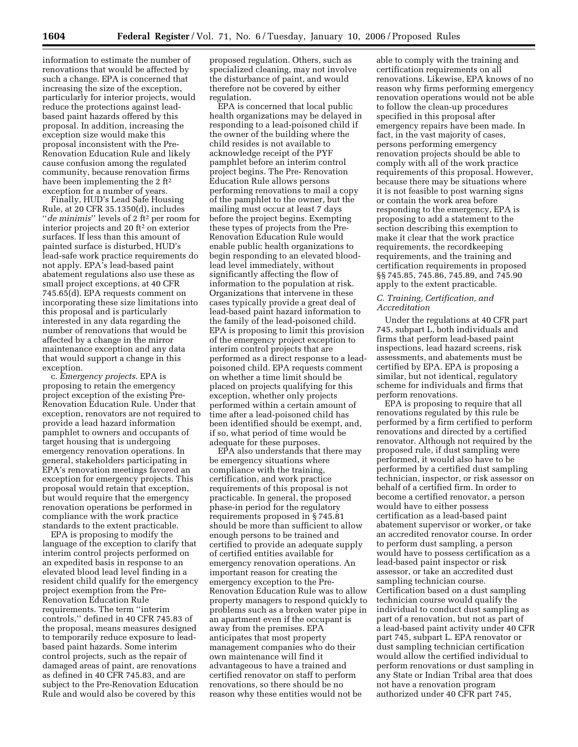information to estimate the number of renovations that would be affected by such a change. EPA is concerned that increasing the size of the exception, particularly for interior projects, would reduce the protections against leadbased paint hazards offered by this proposal. In addition, increasing the exception size would make this proposal inconsistent with the Pre-Renovation Education Rule and likely cause confusion among the regulated community, because renovation firms have been implementing the 2 ft<sup>2</sup> exception for a number of years.

Finally, HUD's Lead Safe Housing Rule, at 20 CFR 35.1350(d), includes ''*de minimis*'' levels of 2 ft2 per room for interior projects and 20 ft2 on exterior surfaces. If less than this amount of painted surface is disturbed, HUD's lead-safe work practice requirements do not apply. EPA's lead-based paint abatement regulations also use these as small project exceptions, at 40 CFR 745.65(d). EPA requests comment on incorporating these size limitations into this proposal and is particularly interested in any data regarding the number of renovations that would be affected by a change in the mirror maintenance exception and any data that would support a change in this exception.

c. *Emergency projects*. EPA is proposing to retain the emergency project exception of the existing Pre-Renovation Education Rule. Under that exception, renovators are not required to provide a lead hazard information pamphlet to owners and occupants of target housing that is undergoing emergency renovation operations. In general, stakeholders participating in EPA's renovation meetings favored an exception for emergency projects. This proposal would retain that exception, but would require that the emergency renovation operations be performed in compliance with the work practice standards to the extent practicable.

EPA is proposing to modify the language of the exception to clarify that interim control projects performed on an expedited basis in response to an elevated blood lead level finding in a resident child qualify for the emergency project exemption from the Pre-Renovation Education Rule requirements. The term ''interim controls,'' defined in 40 CFR 745.83 of the proposal, means measures designed to temporarily reduce exposure to leadbased paint hazards. Some interim control projects, such as the repair of damaged areas of paint, are renovations as defined in 40 CFR 745.83, and are subject to the Pre-Renovation Education Rule and would also be covered by this

proposed regulation. Others, such as specialized cleaning, may not involve the disturbance of paint, and would therefore not be covered by either regulation.

EPA is concerned that local public health organizations may be delayed in responding to a lead-poisoned child if the owner of the building where the child resides is not available to acknowledge receipt of the PYF pamphlet before an interim control project begins. The Pre- Renovation Education Rule allows persons performing renovations to mail a copy of the pamphlet to the owner, but the mailing must occur at least 7 days before the project begins. Exempting these types of projects from the Pre-Renovation Education Rule would enable public health organizations to begin responding to an elevated bloodlead level immediately, without significantly affecting the flow of information to the population at risk. Organizations that intervene in these cases typically provide a great deal of lead-based paint hazard information to the family of the lead-poisoned child. EPA is proposing to limit this provision of the emergency project exception to interim control projects that are performed as a direct response to a leadpoisoned child. EPA requests comment on whether a time limit should be placed on projects qualifying for this exception, whether only projects performed within a certain amount of time after a lead-poisoned child has been identified should be exempt, and, if so, what period of time would be adequate for these purposes.

EPA also understands that there may be emergency situations where compliance with the training, certification, and work practice requirements of this proposal is not practicable. In general, the proposed phase-in period for the regulatory requirements proposed in § 745.81 should be more than sufficient to allow enough persons to be trained and certified to provide an adequate supply of certified entities available for emergency renovation operations. An important reason for creating the emergency exception to the Pre-Renovation Education Rule was to allow property managers to respond quickly to problems such as a broken water pipe in an apartment even if the occupant is away from the premises. EPA anticipates that most property management companies who do their own maintenance will find it advantageous to have a trained and certified renovator on staff to perform renovations, so there should be no reason why these entities would not be

able to comply with the training and certification requirements on all renovations. Likewise, EPA knows of no reason why firms performing emergency renovation operations would not be able to follow the clean-up procedures specified in this proposal after emergency repairs have been made. In fact, in the vast majority of cases, persons performing emergency renovation projects should be able to comply with all of the work practice requirements of this proposal. However, because there may be situations where it is not feasible to post warning signs or contain the work area before responding to the emergency, EPA is proposing to add a statement to the section describing this exemption to make it clear that the work practice requirements, the recordkeeping requirements, and the training and certification requirements in proposed §§ 745.85, 745.86, 745.89, and 745.90 apply to the extent practicable.

#### *C. Training, Certification, and Accreditation*

Under the regulations at 40 CFR part 745, subpart L, both individuals and firms that perform lead-based paint inspections, lead hazard screens, risk assessments, and abatements must be certified by EPA. EPA is proposing a similar, but not identical, regulatory scheme for individuals and firms that perform renovations.

EPA is proposing to require that all renovations regulated by this rule be performed by a firm certified to perform renovations and directed by a certified renovator. Although not required by the proposed rule, if dust sampling were performed, it would also have to be performed by a certified dust sampling technician, inspector, or risk assessor on behalf of a certified firm. In order to become a certified renovator, a person would have to either possess certification as a lead-based paint abatement supervisor or worker, or take an accredited renovator course. In order to perform dust sampling, a person would have to possess certification as a lead-based paint inspector or risk assessor, or take an accredited dust sampling technician course. Certification based on a dust sampling technician course would qualify the individual to conduct dust sampling as part of a renovation, but not as part of a lead-based paint activity under 40 CFR part 745, subpart L. EPA renovator or dust sampling technician certification would allow the certified individual to perform renovations or dust sampling in any State or Indian Tribal area that does not have a renovation program authorized under 40 CFR part 745,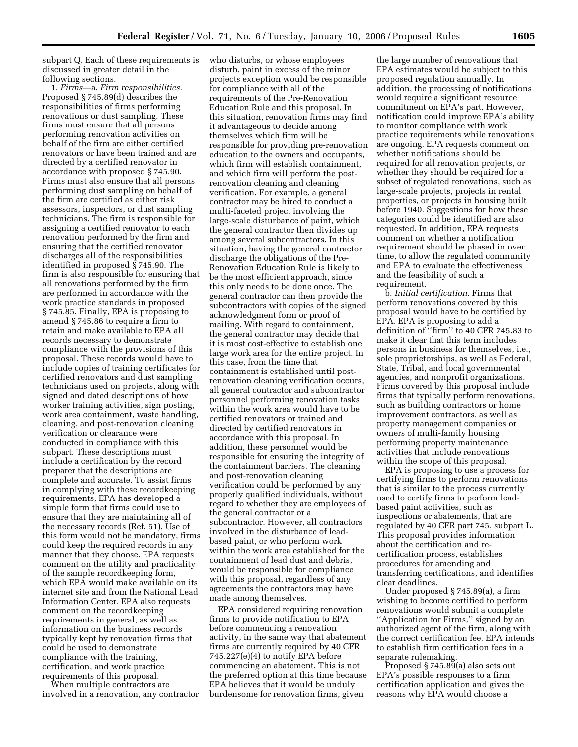subpart Q. Each of these requirements is discussed in greater detail in the following sections.

1. *Firms*—a. *Firm responsibilities*. Proposed § 745.89(d) describes the responsibilities of firms performing renovations or dust sampling. These firms must ensure that all persons performing renovation activities on behalf of the firm are either certified renovators or have been trained and are directed by a certified renovator in accordance with proposed § 745.90. Firms must also ensure that all persons performing dust sampling on behalf of the firm are certified as either risk assessors, inspectors, or dust sampling technicians. The firm is responsible for assigning a certified renovator to each renovation performed by the firm and ensuring that the certified renovator discharges all of the responsibilities identified in proposed § 745.90. The firm is also responsible for ensuring that all renovations performed by the firm are performed in accordance with the work practice standards in proposed § 745.85. Finally, EPA is proposing to amend § 745.86 to require a firm to retain and make available to EPA all records necessary to demonstrate compliance with the provisions of this proposal. These records would have to include copies of training certificates for certified renovators and dust sampling technicians used on projects, along with signed and dated descriptions of how worker training activities, sign posting, work area containment, waste handling, cleaning, and post-renovation cleaning verification or clearance were conducted in compliance with this subpart. These descriptions must include a certification by the record preparer that the descriptions are complete and accurate. To assist firms in complying with these recordkeeping requirements, EPA has developed a simple form that firms could use to ensure that they are maintaining all of the necessary records (Ref. 51). Use of this form would not be mandatory, firms could keep the required records in any manner that they choose. EPA requests comment on the utility and practicality of the sample recordkeeping form, which EPA would make available on its internet site and from the National Lead Information Center. EPA also requests comment on the recordkeeping requirements in general, as well as information on the business records typically kept by renovation firms that could be used to demonstrate compliance with the training, certification, and work practice requirements of this proposal.

When multiple contractors are involved in a renovation, any contractor who disturbs, or whose employees disturb, paint in excess of the minor projects exception would be responsible for compliance with all of the requirements of the Pre-Renovation Education Rule and this proposal. In this situation, renovation firms may find it advantageous to decide among themselves which firm will be responsible for providing pre-renovation education to the owners and occupants, which firm will establish containment, and which firm will perform the postrenovation cleaning and cleaning verification. For example, a general contractor may be hired to conduct a multi-faceted project involving the large-scale disturbance of paint, which the general contractor then divides up among several subcontractors. In this situation, having the general contractor discharge the obligations of the Pre-Renovation Education Rule is likely to be the most efficient approach, since this only needs to be done once. The general contractor can then provide the subcontractors with copies of the signed acknowledgment form or proof of mailing. With regard to containment, the general contractor may decide that it is most cost-effective to establish one large work area for the entire project. In this case, from the time that containment is established until postrenovation cleaning verification occurs, all general contractor and subcontractor personnel performing renovation tasks within the work area would have to be certified renovators or trained and directed by certified renovators in accordance with this proposal. In addition, these personnel would be responsible for ensuring the integrity of the containment barriers. The cleaning and post-renovation cleaning verification could be performed by any properly qualified individuals, without regard to whether they are employees of the general contractor or a subcontractor. However, all contractors involved in the disturbance of leadbased paint, or who perform work within the work area established for the containment of lead dust and debris, would be responsible for compliance with this proposal, regardless of any agreements the contractors may have made among themselves.

EPA considered requiring renovation firms to provide notification to EPA before commencing a renovation activity, in the same way that abatement firms are currently required by 40 CFR 745.227(e)(4) to notify EPA before commencing an abatement. This is not the preferred option at this time because EPA believes that it would be unduly burdensome for renovation firms, given

the large number of renovations that EPA estimates would be subject to this proposed regulation annually. In addition, the processing of notifications would require a significant resource commitment on EPA's part. However, notification could improve EPA's ability to monitor compliance with work practice requirements while renovations are ongoing. EPA requests comment on whether notifications should be required for all renovation projects, or whether they should be required for a subset of regulated renovations, such as large-scale projects, projects in rental properties, or projects in housing built before 1940. Suggestions for how these categories could be identified are also requested. In addition, EPA requests comment on whether a notification requirement should be phased in over time, to allow the regulated community and EPA to evaluate the effectiveness and the feasibility of such a requirement.

b. *Initial certification.* Firms that perform renovations covered by this proposal would have to be certified by EPA. EPA is proposing to add a definition of ''firm'' to 40 CFR 745.83 to make it clear that this term includes persons in business for themselves, i.e., sole proprietorships, as well as Federal, State, Tribal, and local governmental agencies, and nonprofit organizations. Firms covered by this proposal include firms that typically perform renovations, such as building contractors or home improvement contractors, as well as property management companies or owners of multi-family housing performing property maintenance activities that include renovations within the scope of this proposal.

EPA is proposing to use a process for certifying firms to perform renovations that is similar to the process currently used to certify firms to perform leadbased paint activities, such as inspections or abatements, that are regulated by 40 CFR part 745, subpart L. This proposal provides information about the certification and recertification process, establishes procedures for amending and transferring certifications, and identifies clear deadlines.

Under proposed § 745.89(a), a firm wishing to become certified to perform renovations would submit a complete ''Application for Firms,'' signed by an authorized agent of the firm, along with the correct certification fee. EPA intends to establish firm certification fees in a separate rulemaking.

Proposed  $\S 745.89(a)$  also sets out EPA's possible responses to a firm certification application and gives the reasons why EPA would choose a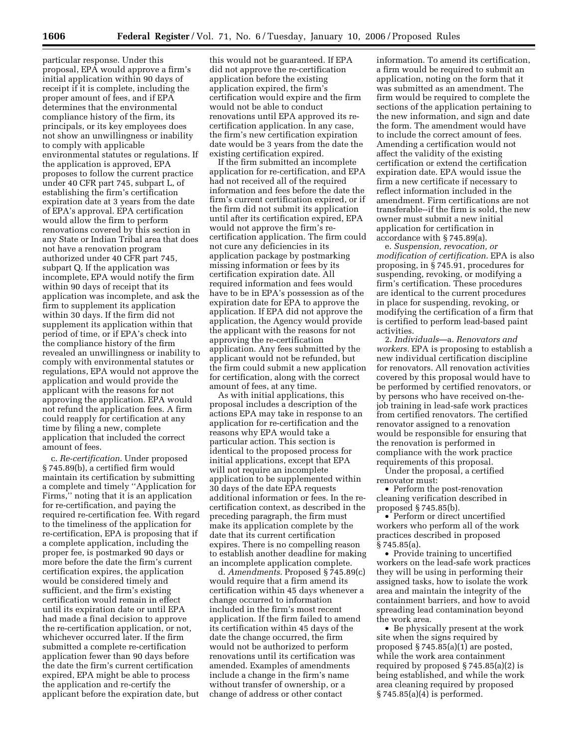particular response. Under this proposal, EPA would approve a firm's initial application within 90 days of receipt if it is complete, including the proper amount of fees, and if EPA determines that the environmental compliance history of the firm, its principals, or its key employees does not show an unwillingness or inability to comply with applicable environmental statutes or regulations. If the application is approved, EPA proposes to follow the current practice under 40 CFR part 745, subpart L, of establishing the firm's certification expiration date at 3 years from the date of EPA's approval. EPA certification would allow the firm to perform renovations covered by this section in any State or Indian Tribal area that does not have a renovation program authorized under 40 CFR part 745, subpart Q. If the application was incomplete, EPA would notify the firm within 90 days of receipt that its application was incomplete, and ask the firm to supplement its application within 30 days. If the firm did not supplement its application within that period of time, or if EPA's check into the compliance history of the firm revealed an unwillingness or inability to comply with environmental statutes or regulations, EPA would not approve the application and would provide the applicant with the reasons for not approving the application. EPA would not refund the application fees. A firm could reapply for certification at any time by filing a new, complete application that included the correct amount of fees.

c. *Re-certification.* Under proposed § 745.89(b), a certified firm would maintain its certification by submitting a complete and timely ''Application for Firms,'' noting that it is an application for re-certification, and paying the required re-certification fee. With regard to the timeliness of the application for re-certification, EPA is proposing that if a complete application, including the proper fee, is postmarked 90 days or more before the date the firm's current certification expires, the application would be considered timely and sufficient, and the firm's existing certification would remain in effect until its expiration date or until EPA had made a final decision to approve the re-certification application, or not, whichever occurred later. If the firm submitted a complete re-certification application fewer than 90 days before the date the firm's current certification expired, EPA might be able to process the application and re-certify the applicant before the expiration date, but

this would not be guaranteed. If EPA did not approve the re-certification application before the existing application expired, the firm's certification would expire and the firm would not be able to conduct renovations until EPA approved its recertification application. In any case, the firm's new certification expiration date would be 3 years from the date the existing certification expired.

If the firm submitted an incomplete application for re-certification, and EPA had not received all of the required information and fees before the date the firm's current certification expired, or if the firm did not submit its application until after its certification expired, EPA would not approve the firm's recertification application. The firm could not cure any deficiencies in its application package by postmarking missing information or fees by its certification expiration date. All required information and fees would have to be in EPA's possession as of the expiration date for EPA to approve the application. If EPA did not approve the application, the Agency would provide the applicant with the reasons for not approving the re-certification application. Any fees submitted by the applicant would not be refunded, but the firm could submit a new application for certification, along with the correct amount of fees, at any time.

As with initial applications, this proposal includes a description of the actions EPA may take in response to an application for re-certification and the reasons why EPA would take a particular action. This section is identical to the proposed process for initial applications, except that EPA will not require an incomplete application to be supplemented within 30 days of the date EPA requests additional information or fees. In the recertification context, as described in the preceding paragraph, the firm must make its application complete by the date that its current certification expires. There is no compelling reason to establish another deadline for making an incomplete application complete.

d. *Amendments*. Proposed § 745.89(c) would require that a firm amend its certification within 45 days whenever a change occurred to information included in the firm's most recent application. If the firm failed to amend its certification within 45 days of the date the change occurred, the firm would not be authorized to perform renovations until its certification was amended. Examples of amendments include a change in the firm's name without transfer of ownership, or a change of address or other contact

information. To amend its certification, a firm would be required to submit an application, noting on the form that it was submitted as an amendment. The firm would be required to complete the sections of the application pertaining to the new information, and sign and date the form. The amendment would have to include the correct amount of fees. Amending a certification would not affect the validity of the existing certification or extend the certification expiration date. EPA would issue the firm a new certificate if necessary to reflect information included in the amendment. Firm certifications are not transferable--if the firm is sold, the new owner must submit a new initial application for certification in accordance with § 745.89(a).

e. *Suspension, revocation, or modification of certification*. EPA is also proposing, in § 745.91, procedures for suspending, revoking, or modifying a firm's certification. These procedures are identical to the current procedures in place for suspending, revoking, or modifying the certification of a firm that is certified to perform lead-based paint activities.

2. *Individuals*—a. *Renovators and workers.* EPA is proposing to establish a new individual certification discipline for renovators. All renovation activities covered by this proposal would have to be performed by certified renovators, or by persons who have received on-thejob training in lead-safe work practices from certified renovators. The certified renovator assigned to a renovation would be responsible for ensuring that the renovation is performed in compliance with the work practice requirements of this proposal.

Under the proposal, a certified renovator must:

• Perform the post-renovation cleaning verification described in proposed § 745.85(b).

• Perform or direct uncertified workers who perform all of the work practices described in proposed § 745.85(a).

• Provide training to uncertified workers on the lead-safe work practices they will be using in performing their assigned tasks, how to isolate the work area and maintain the integrity of the containment barriers, and how to avoid spreading lead contamination beyond the work area.

• Be physically present at the work site when the signs required by proposed  $\S 745.85(a)(1)$  are posted, while the work area containment required by proposed § 745.85(a)(2) is being established, and while the work area cleaning required by proposed § 745.85(a)(4) is performed.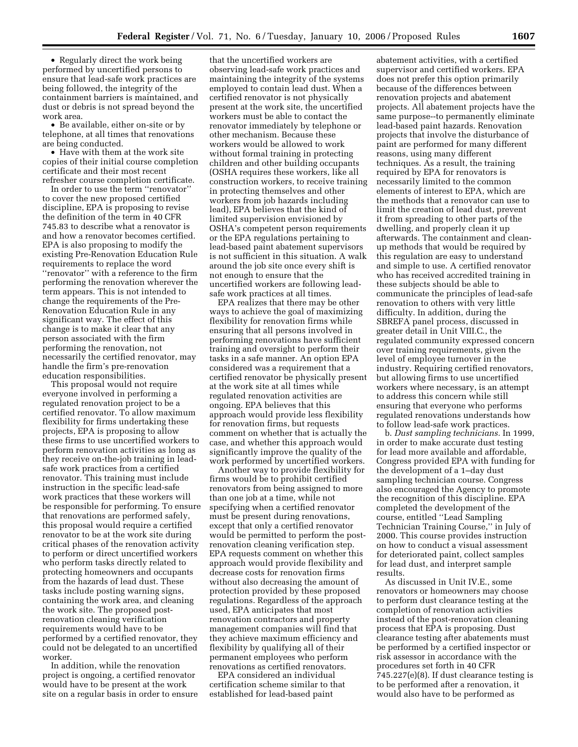• Regularly direct the work being performed by uncertified persons to ensure that lead-safe work practices are being followed, the integrity of the containment barriers is maintained, and dust or debris is not spread beyond the work area.

• Be available, either on-site or by telephone, at all times that renovations are being conducted.

• Have with them at the work site copies of their initial course completion certificate and their most recent refresher course completion certificate.

In order to use the term ''renovator'' to cover the new proposed certified discipline, EPA is proposing to revise the definition of the term in 40 CFR 745.83 to describe what a renovator is and how a renovator becomes certified. EPA is also proposing to modify the existing Pre-Renovation Education Rule requirements to replace the word ''renovator'' with a reference to the firm performing the renovation wherever the term appears. This is not intended to change the requirements of the Pre-Renovation Education Rule in any significant way. The effect of this change is to make it clear that any person associated with the firm performing the renovation, not necessarily the certified renovator, may handle the firm's pre-renovation education responsibilities.

This proposal would not require everyone involved in performing a regulated renovation project to be a certified renovator. To allow maximum flexibility for firms undertaking these projects, EPA is proposing to allow these firms to use uncertified workers to perform renovation activities as long as they receive on-the-job training in leadsafe work practices from a certified renovator. This training must include instruction in the specific lead-safe work practices that these workers will be responsible for performing. To ensure that renovations are performed safely, this proposal would require a certified renovator to be at the work site during critical phases of the renovation activity to perform or direct uncertified workers who perform tasks directly related to protecting homeowners and occupants from the hazards of lead dust. These tasks include posting warning signs, containing the work area, and cleaning the work site. The proposed postrenovation cleaning verification requirements would have to be performed by a certified renovator, they could not be delegated to an uncertified worker.

In addition, while the renovation project is ongoing, a certified renovator would have to be present at the work site on a regular basis in order to ensure

that the uncertified workers are observing lead-safe work practices and maintaining the integrity of the systems employed to contain lead dust. When a certified renovator is not physically present at the work site, the uncertified workers must be able to contact the renovator immediately by telephone or other mechanism. Because these workers would be allowed to work without formal training in protecting children and other building occupants (OSHA requires these workers, like all construction workers, to receive training in protecting themselves and other workers from job hazards including lead), EPA believes that the kind of limited supervision envisioned by OSHA's competent person requirements or the EPA regulations pertaining to lead-based paint abatement supervisors is not sufficient in this situation. A walk around the job site once every shift is not enough to ensure that the uncertified workers are following leadsafe work practices at all times.

EPA realizes that there may be other ways to achieve the goal of maximizing flexibility for renovation firms while ensuring that all persons involved in performing renovations have sufficient training and oversight to perform their tasks in a safe manner. An option EPA considered was a requirement that a certified renovator be physically present at the work site at all times while regulated renovation activities are ongoing. EPA believes that this approach would provide less flexibility for renovation firms, but requests comment on whether that is actually the case, and whether this approach would significantly improve the quality of the work performed by uncertified workers.

Another way to provide flexibility for firms would be to prohibit certified renovators from being assigned to more than one job at a time, while not specifying when a certified renovator must be present during renovations, except that only a certified renovator would be permitted to perform the postrenovation cleaning verification step. EPA requests comment on whether this approach would provide flexibility and decrease costs for renovation firms without also decreasing the amount of protection provided by these proposed regulations. Regardless of the approach used, EPA anticipates that most renovation contractors and property management companies will find that they achieve maximum efficiency and flexibility by qualifying all of their permanent employees who perform renovations as certified renovators.

EPA considered an individual certification scheme similar to that established for lead-based paint

abatement activities, with a certified supervisor and certified workers. EPA does not prefer this option primarily because of the differences between renovation projects and abatement projects. All abatement projects have the same purpose--to permanently eliminate lead-based paint hazards. Renovation projects that involve the disturbance of paint are performed for many different reasons, using many different techniques. As a result, the training required by EPA for renovators is necessarily limited to the common elements of interest to EPA, which are the methods that a renovator can use to limit the creation of lead dust, prevent it from spreading to other parts of the dwelling, and properly clean it up afterwards. The containment and cleanup methods that would be required by this regulation are easy to understand and simple to use. A certified renovator who has received accredited training in these subjects should be able to communicate the principles of lead-safe renovation to others with very little difficulty. In addition, during the SBREFA panel process, discussed in greater detail in Unit VIII.C., the regulated community expressed concern over training requirements, given the level of employee turnover in the industry. Requiring certified renovators, but allowing firms to use uncertified workers where necessary, is an attempt to address this concern while still ensuring that everyone who performs regulated renovations understands how to follow lead-safe work practices.

b. *Dust sampling technicians.* In 1999, in order to make accurate dust testing for lead more available and affordable, Congress provided EPA with funding for the development of a 1–day dust sampling technician course. Congress also encouraged the Agency to promote the recognition of this discipline. EPA completed the development of the course, entitled ''Lead Sampling Technician Training Course,'' in July of 2000. This course provides instruction on how to conduct a visual assessment for deteriorated paint, collect samples for lead dust, and interpret sample results.

As discussed in Unit IV.E., some renovators or homeowners may choose to perform dust clearance testing at the completion of renovation activities instead of the post-renovation cleaning process that EPA is proposing. Dust clearance testing after abatements must be performed by a certified inspector or risk assessor in accordance with the procedures set forth in 40 CFR 745.227(e)(8). If dust clearance testing is to be performed after a renovation, it would also have to be performed as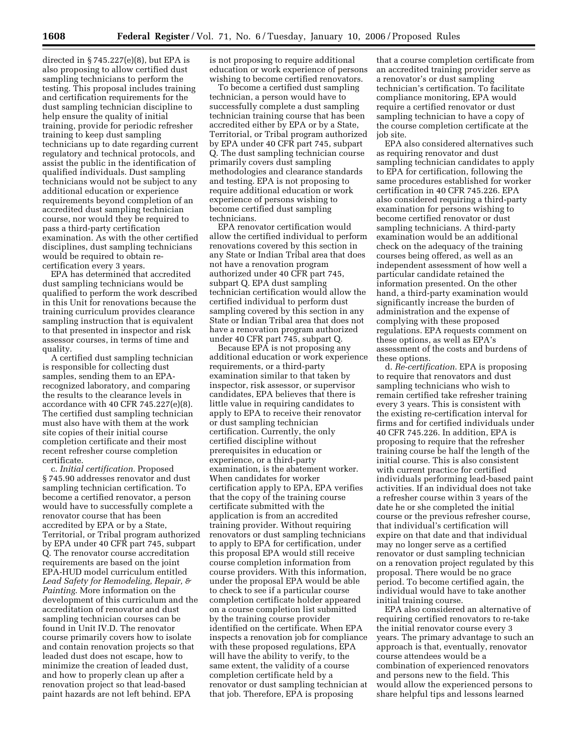directed in § 745.227(e)(8), but EPA is also proposing to allow certified dust sampling technicians to perform the testing. This proposal includes training and certification requirements for the dust sampling technician discipline to help ensure the quality of initial training, provide for periodic refresher training to keep dust sampling technicians up to date regarding current regulatory and technical protocols, and assist the public in the identification of qualified individuals. Dust sampling technicians would not be subject to any additional education or experience requirements beyond completion of an accredited dust sampling technician course, nor would they be required to pass a third-party certification examination. As with the other certified disciplines, dust sampling technicians would be required to obtain recertification every 3 years.

EPA has determined that accredited dust sampling technicians would be qualified to perform the work described in this Unit for renovations because the training curriculum provides clearance sampling instruction that is equivalent to that presented in inspector and risk assessor courses, in terms of time and quality.

A certified dust sampling technician is responsible for collecting dust samples, sending them to an EPArecognized laboratory, and comparing the results to the clearance levels in accordance with 40 CFR 745.227(e)(8). The certified dust sampling technician must also have with them at the work site copies of their initial course completion certificate and their most recent refresher course completion certificate.

c. *Initial certification.* Proposed § 745.90 addresses renovator and dust sampling technician certification. To become a certified renovator, a person would have to successfully complete a renovator course that has been accredited by EPA or by a State, Territorial, or Tribal program authorized by EPA under 40 CFR part 745, subpart Q. The renovator course accreditation requirements are based on the joint EPA-HUD model curriculum entitled *Lead Safety for Remodeling, Repair, & Painting*. More information on the development of this curriculum and the accreditation of renovator and dust sampling technician courses can be found in Unit IV.D. The renovator course primarily covers how to isolate and contain renovation projects so that leaded dust does not escape, how to minimize the creation of leaded dust, and how to properly clean up after a renovation project so that lead-based paint hazards are not left behind. EPA

is not proposing to require additional education or work experience of persons wishing to become certified renovators.

To become a certified dust sampling technician, a person would have to successfully complete a dust sampling technician training course that has been accredited either by EPA or by a State, Territorial, or Tribal program authorized by EPA under 40 CFR part 745, subpart Q. The dust sampling technician course primarily covers dust sampling methodologies and clearance standards and testing. EPA is not proposing to require additional education or work experience of persons wishing to become certified dust sampling technicians.

EPA renovator certification would allow the certified individual to perform renovations covered by this section in any State or Indian Tribal area that does not have a renovation program authorized under 40 CFR part 745, subpart Q. EPA dust sampling technician certification would allow the certified individual to perform dust sampling covered by this section in any State or Indian Tribal area that does not have a renovation program authorized under 40 CFR part 745, subpart Q.

Because EPA is not proposing any additional education or work experience requirements, or a third-party examination similar to that taken by inspector, risk assessor, or supervisor candidates, EPA believes that there is little value in requiring candidates to apply to EPA to receive their renovator or dust sampling technician certification. Currently, the only certified discipline without prerequisites in education or experience, or a third-party examination, is the abatement worker. When candidates for worker certification apply to EPA, EPA verifies that the copy of the training course certificate submitted with the application is from an accredited training provider. Without requiring renovators or dust sampling technicians to apply to EPA for certification, under this proposal EPA would still receive course completion information from course providers. With this information, under the proposal EPA would be able to check to see if a particular course completion certificate holder appeared on a course completion list submitted by the training course provider identified on the certificate. When EPA inspects a renovation job for compliance with these proposed regulations, EPA will have the ability to verify, to the same extent, the validity of a course completion certificate held by a renovator or dust sampling technician at that job. Therefore, EPA is proposing

that a course completion certificate from an accredited training provider serve as a renovator's or dust sampling technician's certification. To facilitate compliance monitoring, EPA would require a certified renovator or dust sampling technician to have a copy of the course completion certificate at the job site.

EPA also considered alternatives such as requiring renovator and dust sampling technician candidates to apply to EPA for certification, following the same procedures established for worker certification in 40 CFR 745.226. EPA also considered requiring a third-party examination for persons wishing to become certified renovator or dust sampling technicians. A third-party examination would be an additional check on the adequacy of the training courses being offered, as well as an independent assessment of how well a particular candidate retained the information presented. On the other hand, a third-party examination would significantly increase the burden of administration and the expense of complying with these proposed regulations. EPA requests comment on these options, as well as EPA's assessment of the costs and burdens of these options.

d. *Re-certification*. EPA is proposing to require that renovators and dust sampling technicians who wish to remain certified take refresher training every 3 years. This is consistent with the existing re-certification interval for firms and for certified individuals under 40 CFR 745.226. In addition, EPA is proposing to require that the refresher training course be half the length of the initial course. This is also consistent with current practice for certified individuals performing lead-based paint activities. If an individual does not take a refresher course within 3 years of the date he or she completed the initial course or the previous refresher course, that individual's certification will expire on that date and that individual may no longer serve as a certified renovator or dust sampling technician on a renovation project regulated by this proposal. There would be no grace period. To become certified again, the individual would have to take another initial training course.

EPA also considered an alternative of requiring certified renovators to re-take the initial renovator course every 3 years. The primary advantage to such an approach is that, eventually, renovator course attendees would be a combination of experienced renovators and persons new to the field. This would allow the experienced persons to share helpful tips and lessons learned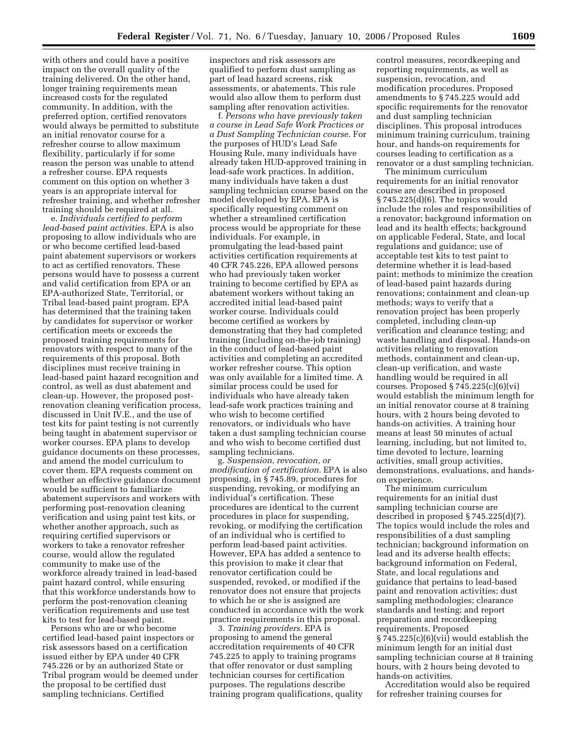with others and could have a positive impact on the overall quality of the training delivered. On the other hand, longer training requirements mean increased costs for the regulated community. In addition, with the preferred option, certified renovators would always be permitted to substitute an initial renovator course for a refresher course to allow maximum flexibility, particularly if for some reason the person was unable to attend a refresher course. EPA requests comment on this option on whether 3 years is an appropriate interval for refresher training, and whether refresher training should be required at all.

e. *Individuals certified to perform lead-based paint activities.* EPA is also proposing to allow individuals who are or who become certified lead-based paint abatement supervisors or workers to act as certified renovators. These persons would have to possess a current and valid certification from EPA or an EPA-authorized State, Territorial, or Tribal lead-based paint program. EPA has determined that the training taken by candidates for supervisor or worker certification meets or exceeds the proposed training requirements for renovators with respect to many of the requirements of this proposal. Both disciplines must receive training in lead-based paint hazard recognition and control, as well as dust abatement and clean-up. However, the proposed postrenovation cleaning verification process, discussed in Unit IV.E., and the use of test kits for paint testing is not currently being taught in abatement supervisor or worker courses. EPA plans to develop guidance documents on these processes, and amend the model curriculum to cover them. EPA requests comment on whether an effective guidance document would be sufficient to familiarize abatement supervisors and workers with performing post-renovation cleaning verification and using paint test kits, or whether another approach, such as requiring certified supervisors or workers to take a renovator refresher course, would allow the regulated community to make use of the workforce already trained in lead-based paint hazard control, while ensuring that this workforce understands how to perform the post-renovation cleaning verification requirements and use test kits to test for lead-based paint.

Persons who are or who become certified lead-based paint inspectors or risk assessors based on a certification issued either by EPA under 40 CFR 745.226 or by an authorized State or Tribal program would be deemed under the proposal to be certified dust sampling technicians. Certified

inspectors and risk assessors are qualified to perform dust sampling as part of lead hazard screens, risk assessments, or abatements. This rule would also allow them to perform dust sampling after renovation activities.

f. *Persons who have previously taken a course in Lead Safe Work Practices or a Dust Sampling Technician course*. For the purposes of HUD's Lead Safe Housing Rule, many individuals have already taken HUD-approved training in lead-safe work practices. In addition, many individuals have taken a dust sampling technician course based on the model developed by EPA. EPA is specifically requesting comment on whether a streamlined certification process would be appropriate for these individuals. For example, in promulgating the lead-based paint activities certification requirements at 40 CFR 745.226, EPA allowed persons who had previously taken worker training to become certified by EPA as abatement workers without taking an accredited initial lead-based paint worker course. Individuals could become certified as workers by demonstrating that they had completed training (including on-the-job training) in the conduct of lead-based paint activities and completing an accredited worker refresher course. This option was only available for a limited time. A similar process could be used for individuals who have already taken lead-safe work practices training and who wish to become certified renovators, or individuals who have taken a dust sampling technician course and who wish to become certified dust sampling technicians.

g. *Suspension, revocation, or modification of certification*. EPA is also proposing, in § 745.89, procedures for suspending, revoking, or modifying an individual's certification. These procedures are identical to the current procedures in place for suspending, revoking, or modifying the certification of an individual who is certified to perform lead-based paint activities. However, EPA has added a sentence to this provision to make it clear that renovator certification could be suspended, revoked, or modified if the renovator does not ensure that projects to which he or she is assigned are conducted in accordance with the work practice requirements in this proposal.

3. *Training providers*. EPA is proposing to amend the general accreditation requirements of 40 CFR 745.225 to apply to training programs that offer renovator or dust sampling technician courses for certification purposes. The regulations describe training program qualifications, quality

control measures, recordkeeping and reporting requirements, as well as suspension, revocation, and modification procedures. Proposed amendments to § 745.225 would add specific requirements for the renovator and dust sampling technician disciplines. This proposal introduces minimum training curriculum, training hour, and hands-on requirements for courses leading to certification as a renovator or a dust sampling technician.

The minimum curriculum requirements for an initial renovator course are described in proposed § 745.225(d)(6). The topics would include the roles and responsibilities of a renovator; background information on lead and its health effects; background on applicable Federal, State, and local regulations and guidance; use of acceptable test kits to test paint to determine whether it is lead-based paint; methods to minimize the creation of lead-based paint hazards during renovations; containment and clean-up methods; ways to verify that a renovation project has been properly completed, including clean-up verification and clearance testing; and waste handling and disposal. Hands-on activities relating to renovation methods, containment and clean-up, clean-up verification, and waste handling would be required in all courses. Proposed  $\S 745.225(c)(6)(vi)$ would establish the minimum length for an initial renovator course at 8 training hours, with 2 hours being devoted to hands-on activities. A training hour means at least 50 minutes of actual learning, including, but not limited to, time devoted to lecture, learning activities, small group activities, demonstrations, evaluations, and handson experience.

The minimum curriculum requirements for an initial dust sampling technician course are described in proposed § 745.225(d)(7). The topics would include the roles and responsibilities of a dust sampling technician; background information on lead and its adverse health effects; background information on Federal, State, and local regulations and guidance that pertains to lead-based paint and renovation activities; dust sampling methodologies; clearance standards and testing; and report preparation and recordkeeping requirements. Proposed § 745.225(c)(6)(vii) would establish the minimum length for an initial dust sampling technician course at 8 training hours, with 2 hours being devoted to hands-on activities.

Accreditation would also be required for refresher training courses for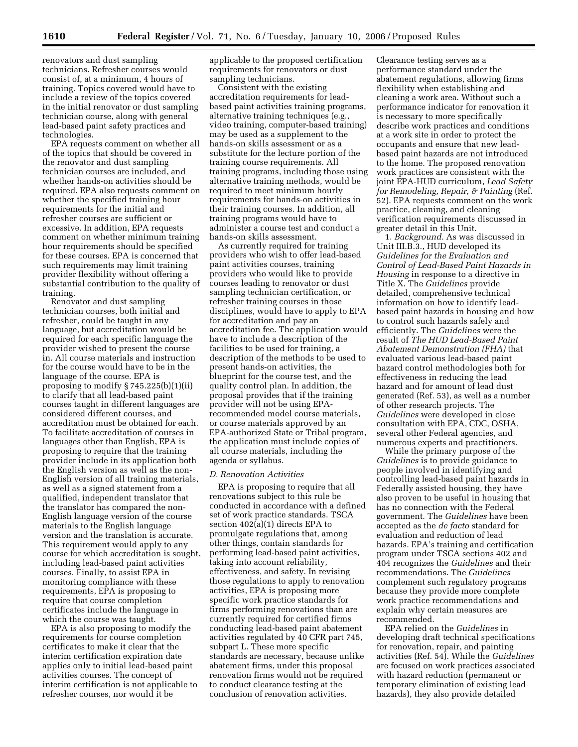renovators and dust sampling technicians. Refresher courses would consist of, at a minimum, 4 hours of training. Topics covered would have to include a review of the topics covered in the initial renovator or dust sampling technician course, along with general lead-based paint safety practices and technologies.

EPA requests comment on whether all of the topics that should be covered in the renovator and dust sampling technician courses are included, and whether hands-on activities should be required. EPA also requests comment on whether the specified training hour requirements for the initial and refresher courses are sufficient or excessive. In addition, EPA requests comment on whether minimum training hour requirements should be specified for these courses. EPA is concerned that such requirements may limit training provider flexibility without offering a substantial contribution to the quality of training.

Renovator and dust sampling technician courses, both initial and refresher, could be taught in any language, but accreditation would be required for each specific language the provider wished to present the course in. All course materials and instruction for the course would have to be in the language of the course. EPA is proposing to modify § 745.225(b)(1)(ii) to clarify that all lead-based paint courses taught in different languages are considered different courses, and accreditation must be obtained for each. To facilitate accreditation of courses in languages other than English, EPA is proposing to require that the training provider include in its application both the English version as well as the non-English version of all training materials, as well as a signed statement from a qualified, independent translator that the translator has compared the non-English language version of the course materials to the English language version and the translation is accurate. This requirement would apply to any course for which accreditation is sought, including lead-based paint activities courses. Finally, to assist EPA in monitoring compliance with these requirements, EPA is proposing to require that course completion certificates include the language in which the course was taught.

EPA is also proposing to modify the requirements for course completion certificates to make it clear that the interim certification expiration date applies only to initial lead-based paint activities courses. The concept of interim certification is not applicable to refresher courses, nor would it be

applicable to the proposed certification requirements for renovators or dust sampling technicians.

Consistent with the existing accreditation requirements for leadbased paint activities training programs, alternative training techniques (e.g., video training, computer-based training) may be used as a supplement to the hands-on skills assessment or as a substitute for the lecture portion of the training course requirements. All training programs, including those using alternative training methods, would be required to meet minimum hourly requirements for hands-on activities in their training courses. In addition, all training programs would have to administer a course test and conduct a hands-on skills assessment.

As currently required for training providers who wish to offer lead-based paint activities courses, training providers who would like to provide courses leading to renovator or dust sampling technician certification, or refresher training courses in those disciplines, would have to apply to EPA for accreditation and pay an accreditation fee. The application would have to include a description of the facilities to be used for training, a description of the methods to be used to present hands-on activities, the blueprint for the course test, and the quality control plan. In addition, the proposal provides that if the training provider will not be using EPArecommended model course materials, or course materials approved by an EPA-authorized State or Tribal program, the application must include copies of all course materials, including the agenda or syllabus.

#### *D. Renovation Activities*

EPA is proposing to require that all renovations subject to this rule be conducted in accordance with a defined set of work practice standards. TSCA section 402(a)(1) directs EPA to promulgate regulations that, among other things, contain standards for performing lead-based paint activities, taking into account reliability, effectiveness, and safety. In revising those regulations to apply to renovation activities, EPA is proposing more specific work practice standards for firms performing renovations than are currently required for certified firms conducting lead-based paint abatement activities regulated by 40 CFR part 745, subpart L. These more specific standards are necessary, because unlike abatement firms, under this proposal renovation firms would not be required to conduct clearance testing at the conclusion of renovation activities.

Clearance testing serves as a performance standard under the abatement regulations, allowing firms flexibility when establishing and cleaning a work area. Without such a performance indicator for renovation it is necessary to more specifically describe work practices and conditions at a work site in order to protect the occupants and ensure that new leadbased paint hazards are not introduced to the home. The proposed renovation work practices are consistent with the joint EPA-HUD curriculum, *Lead Safety for Remodeling, Repair, & Painting* (Ref. 52). EPA requests comment on the work practice, cleaning, and cleaning verification requirements discussed in greater detail in this Unit.

1. *Background.* As was discussed in Unit III.B.3., HUD developed its *Guidelines for the Evaluation and Control of Lead-Based Paint Hazards in Housing* in response to a directive in Title X. The *Guidelines* provide detailed, comprehensive technical information on how to identify leadbased paint hazards in housing and how to control such hazards safely and efficiently. The *Guidelines* were the result of *The HUD Lead-Based Paint Abatement Demonstration (FHA)* that evaluated various lead-based paint hazard control methodologies both for effectiveness in reducing the lead hazard and for amount of lead dust generated (Ref. 53), as well as a number of other research projects. The *Guidelines* were developed in close consultation with EPA, CDC, OSHA, several other Federal agencies, and numerous experts and practitioners.

While the primary purpose of the *Guidelines* is to provide guidance to people involved in identifying and controlling lead-based paint hazards in Federally assisted housing, they have also proven to be useful in housing that has no connection with the Federal government. The *Guidelines* have been accepted as the *de facto* standard for evaluation and reduction of lead hazards. EPA's training and certification program under TSCA sections 402 and 404 recognizes the *Guidelines* and their recommendations. The *Guidelines*  complement such regulatory programs because they provide more complete work practice recommendations and explain why certain measures are recommended.

EPA relied on the *Guidelines* in developing draft technical specifications for renovation, repair, and painting activities (Ref. 54). While the *Guidelines*  are focused on work practices associated with hazard reduction (permanent or temporary elimination of existing lead hazards), they also provide detailed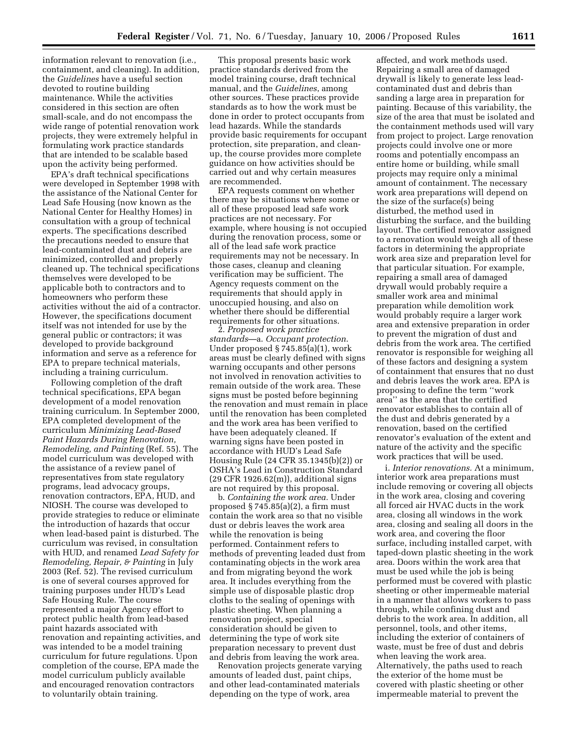information relevant to renovation (i.e., containment, and cleaning). In addition, the *Guidelines* have a useful section devoted to routine building maintenance. While the activities considered in this section are often small-scale, and do not encompass the wide range of potential renovation work projects, they were extremely helpful in formulating work practice standards that are intended to be scalable based upon the activity being performed.

EPA's draft technical specifications were developed in September 1998 with the assistance of the National Center for Lead Safe Housing (now known as the National Center for Healthy Homes) in consultation with a group of technical experts. The specifications described the precautions needed to ensure that lead-contaminated dust and debris are minimized, controlled and properly cleaned up. The technical specifications themselves were developed to be applicable both to contractors and to homeowners who perform these activities without the aid of a contractor. However, the specifications document itself was not intended for use by the general public or contractors; it was developed to provide background information and serve as a reference for EPA to prepare technical materials, including a training curriculum.

Following completion of the draft technical specifications, EPA began development of a model renovation training curriculum. In September 2000, EPA completed development of the curriculum *Minimizing Lead-Based Paint Hazards During Renovation, Remodeling, and Painting* (Ref. 55). The model curriculum was developed with the assistance of a review panel of representatives from state regulatory programs, lead advocacy groups, renovation contractors, EPA, HUD, and NIOSH. The course was developed to provide strategies to reduce or eliminate the introduction of hazards that occur when lead-based paint is disturbed. The curriculum was revised, in consultation with HUD, and renamed *Lead Safety for Remodeling, Repair, & Painting* in July 2003 (Ref. 52). The revised curriculum is one of several courses approved for training purposes under HUD's Lead Safe Housing Rule. The course represented a major Agency effort to protect public health from lead-based paint hazards associated with renovation and repainting activities, and was intended to be a model training curriculum for future regulations. Upon completion of the course, EPA made the model curriculum publicly available and encouraged renovation contractors to voluntarily obtain training.

This proposal presents basic work practice standards derived from the model training course, draft technical manual, and the *Guidelines*, among other sources. These practices provide standards as to how the work must be done in order to protect occupants from lead hazards. While the standards provide basic requirements for occupant protection, site preparation, and cleanup, the course provides more complete guidance on how activities should be carried out and why certain measures are recommended.

EPA requests comment on whether there may be situations where some or all of these proposed lead safe work practices are not necessary. For example, where housing is not occupied during the renovation process, some or all of the lead safe work practice requirements may not be necessary. In those cases, cleanup and cleaning verification may be sufficient. The Agency requests comment on the requirements that should apply in unoccupied housing, and also on whether there should be differential requirements for other situations.

2. *Proposed work practice standards*—a. *Occupant protection*. Under proposed § 745.85(a)(1), work areas must be clearly defined with signs warning occupants and other persons not involved in renovation activities to remain outside of the work area. These signs must be posted before beginning the renovation and must remain in place until the renovation has been completed and the work area has been verified to have been adequately cleaned. If warning signs have been posted in accordance with HUD's Lead Safe Housing Rule (24 CFR 35.1345(b)(2)) or OSHA's Lead in Construction Standard (29 CFR 1926.62(m)), additional signs are not required by this proposal.

b. *Containing the work area.* Under proposed § 745.85(a)(2), a firm must contain the work area so that no visible dust or debris leaves the work area while the renovation is being performed. Containment refers to methods of preventing leaded dust from contaminating objects in the work area and from migrating beyond the work area. It includes everything from the simple use of disposable plastic drop cloths to the sealing of openings with plastic sheeting. When planning a renovation project, special consideration should be given to determining the type of work site preparation necessary to prevent dust and debris from leaving the work area.

Renovation projects generate varying amounts of leaded dust, paint chips, and other lead-contaminated materials depending on the type of work, area

affected, and work methods used. Repairing a small area of damaged drywall is likely to generate less leadcontaminated dust and debris than sanding a large area in preparation for painting. Because of this variability, the size of the area that must be isolated and the containment methods used will vary from project to project. Large renovation projects could involve one or more rooms and potentially encompass an entire home or building, while small projects may require only a minimal amount of containment. The necessary work area preparations will depend on the size of the surface(s) being disturbed, the method used in disturbing the surface, and the building layout. The certified renovator assigned to a renovation would weigh all of these factors in determining the appropriate work area size and preparation level for that particular situation. For example, repairing a small area of damaged drywall would probably require a smaller work area and minimal preparation while demolition work would probably require a larger work area and extensive preparation in order to prevent the migration of dust and debris from the work area. The certified renovator is responsible for weighing all of these factors and designing a system of containment that ensures that no dust and debris leaves the work area. EPA is proposing to define the term ''work area'' as the area that the certified renovator establishes to contain all of the dust and debris generated by a renovation, based on the certified renovator's evaluation of the extent and nature of the activity and the specific work practices that will be used.

i. *Interior renovations.* At a minimum, interior work area preparations must include removing or covering all objects in the work area, closing and covering all forced air HVAC ducts in the work area, closing all windows in the work area, closing and sealing all doors in the work area, and covering the floor surface, including installed carpet, with taped-down plastic sheeting in the work area. Doors within the work area that must be used while the job is being performed must be covered with plastic sheeting or other impermeable material in a manner that allows workers to pass through, while confining dust and debris to the work area. In addition, all personnel, tools, and other items, including the exterior of containers of waste, must be free of dust and debris when leaving the work area. Alternatively, the paths used to reach the exterior of the home must be covered with plastic sheeting or other impermeable material to prevent the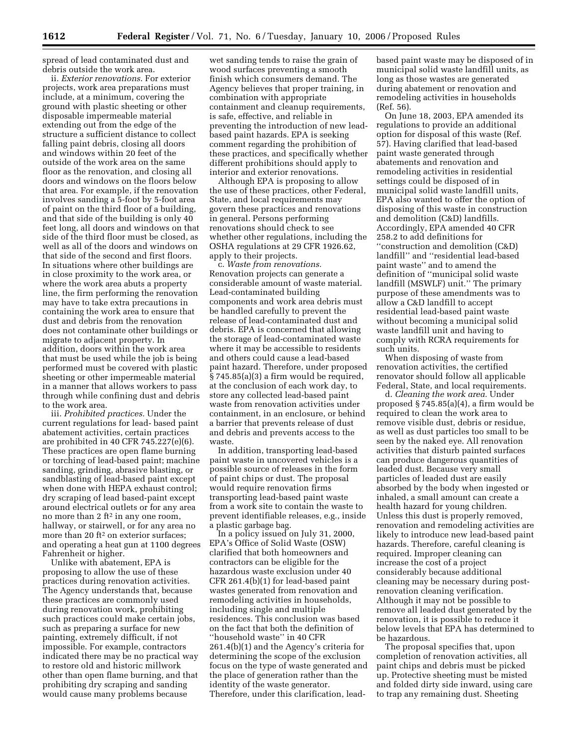spread of lead contaminated dust and debris outside the work area.

ii. *Exterior renovations*. For exterior projects, work area preparations must include, at a minimum, covering the ground with plastic sheeting or other disposable impermeable material extending out from the edge of the structure a sufficient distance to collect falling paint debris, closing all doors and windows within 20 feet of the outside of the work area on the same floor as the renovation, and closing all doors and windows on the floors below that area. For example, if the renovation involves sanding a 5-foot by 5-foot area of paint on the third floor of a building, and that side of the building is only 40 feet long, all doors and windows on that side of the third floor must be closed, as well as all of the doors and windows on that side of the second and first floors. In situations where other buildings are in close proximity to the work area, or where the work area abuts a property line, the firm performing the renovation may have to take extra precautions in containing the work area to ensure that dust and debris from the renovation does not contaminate other buildings or migrate to adjacent property. In addition, doors within the work area that must be used while the job is being performed must be covered with plastic sheeting or other impermeable material in a manner that allows workers to pass through while confining dust and debris to the work area.

iii. *Prohibited practices.* Under the current regulations for lead- based paint abatement activities, certain practices are prohibited in 40 CFR 745.227(e)(6). These practices are open flame burning or torching of lead-based paint; machine sanding, grinding, abrasive blasting, or sandblasting of lead-based paint except when done with HEPA exhaust control; dry scraping of lead based-paint except around electrical outlets or for any area no more than 2 ft<sup>2</sup> in any one room, hallway, or stairwell, or for any area no more than 20 ft<sup>2</sup> on exterior surfaces; and operating a heat gun at 1100 degrees Fahrenheit or higher.

Unlike with abatement, EPA is proposing to allow the use of these practices during renovation activities. The Agency understands that, because these practices are commonly used during renovation work, prohibiting such practices could make certain jobs, such as preparing a surface for new painting, extremely difficult, if not impossible. For example, contractors indicated there may be no practical way to restore old and historic millwork other than open flame burning, and that prohibiting dry scraping and sanding would cause many problems because

wet sanding tends to raise the grain of wood surfaces preventing a smooth finish which consumers demand. The Agency believes that proper training, in combination with appropriate containment and cleanup requirements, is safe, effective, and reliable in preventing the introduction of new leadbased paint hazards. EPA is seeking comment regarding the prohibition of these practices, and specifically whether different prohibitions should apply to interior and exterior renovations.

Although EPA is proposing to allow the use of these practices, other Federal, State, and local requirements may govern these practices and renovations in general. Persons performing renovations should check to see whether other regulations, including the OSHA regulations at 29 CFR 1926.62, apply to their projects.

c. *Waste from renovations.*  Renovation projects can generate a considerable amount of waste material. Lead-contaminated building components and work area debris must be handled carefully to prevent the release of lead-contaminated dust and debris. EPA is concerned that allowing the storage of lead-contaminated waste where it may be accessible to residents and others could cause a lead-based paint hazard. Therefore, under proposed § 745.85(a)(3) a firm would be required, at the conclusion of each work day, to store any collected lead-based paint waste from renovation activities under containment, in an enclosure, or behind a barrier that prevents release of dust and debris and prevents access to the waste.

In addition, transporting lead-based paint waste in uncovered vehicles is a possible source of releases in the form of paint chips or dust. The proposal would require renovation firms transporting lead-based paint waste from a work site to contain the waste to prevent identifiable releases, e.g., inside a plastic garbage bag.

In a policy issued on July 31, 2000, EPA's Office of Solid Waste (OSW) clarified that both homeowners and contractors can be eligible for the hazardous waste exclusion under 40 CFR 261.4(b)(1) for lead-based paint wastes generated from renovation and remodeling activities in households, including single and multiple residences. This conclusion was based on the fact that both the definition of ''household waste'' in 40 CFR 261.4(b)(1) and the Agency's criteria for determining the scope of the exclusion focus on the type of waste generated and the place of generation rather than the identity of the waste generator. Therefore, under this clarification, leadbased paint waste may be disposed of in municipal solid waste landfill units, as long as those wastes are generated during abatement or renovation and remodeling activities in households (Ref. 56).

On June 18, 2003, EPA amended its regulations to provide an additional option for disposal of this waste (Ref. 57). Having clarified that lead-based paint waste generated through abatements and renovation and remodeling activities in residential settings could be disposed of in municipal solid waste landfill units, EPA also wanted to offer the option of disposing of this waste in construction and demolition (C&D) landfills. Accordingly, EPA amended 40 CFR 258.2 to add definitions for ''construction and demolition (C&D) landfill'' and ''residential lead-based paint waste'' and to amend the definition of ''municipal solid waste landfill (MSWLF) unit.'' The primary purpose of these amendments was to allow a C&D landfill to accept residential lead-based paint waste without becoming a municipal solid waste landfill unit and having to comply with RCRA requirements for such units.

When disposing of waste from renovation activities, the certified renovator should follow all applicable Federal, State, and local requirements.

d. *Cleaning the work area.* Under proposed § 745.85(a)(4), a firm would be required to clean the work area to remove visible dust, debris or residue, as well as dust particles too small to be seen by the naked eye. All renovation activities that disturb painted surfaces can produce dangerous quantities of leaded dust. Because very small particles of leaded dust are easily absorbed by the body when ingested or inhaled, a small amount can create a health hazard for young children. Unless this dust is properly removed, renovation and remodeling activities are likely to introduce new lead-based paint hazards. Therefore, careful cleaning is required. Improper cleaning can increase the cost of a project considerably because additional cleaning may be necessary during postrenovation cleaning verification. Although it may not be possible to remove all leaded dust generated by the renovation, it is possible to reduce it below levels that EPA has determined to be hazardous.

The proposal specifies that, upon completion of renovation activities, all paint chips and debris must be picked up. Protective sheeting must be misted and folded dirty side inward, using care to trap any remaining dust. Sheeting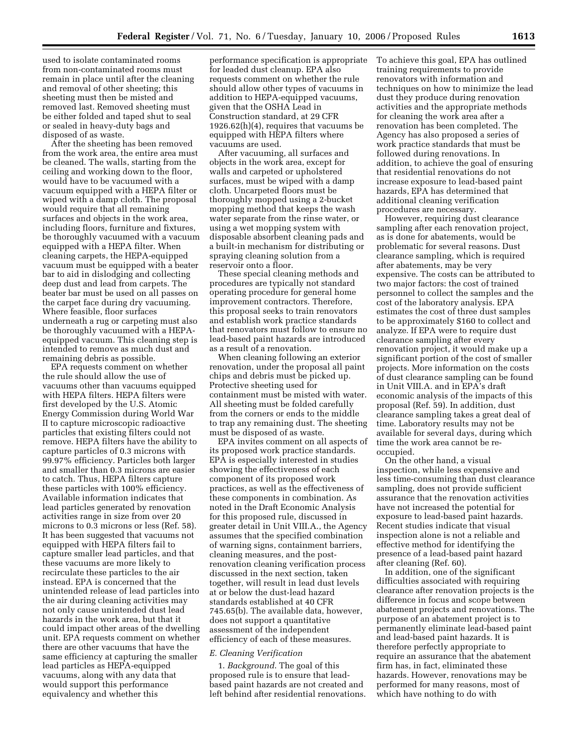used to isolate contaminated rooms from non-contaminated rooms must remain in place until after the cleaning and removal of other sheeting; this sheeting must then be misted and removed last. Removed sheeting must be either folded and taped shut to seal or sealed in heavy-duty bags and disposed of as waste.

After the sheeting has been removed from the work area, the entire area must be cleaned. The walls, starting from the ceiling and working down to the floor, would have to be vacuumed with a vacuum equipped with a HEPA filter or wiped with a damp cloth. The proposal would require that all remaining surfaces and objects in the work area, including floors, furniture and fixtures, be thoroughly vacuumed with a vacuum equipped with a HEPA filter. When cleaning carpets, the HEPA-equipped vacuum must be equipped with a beater bar to aid in dislodging and collecting deep dust and lead from carpets. The beater bar must be used on all passes on the carpet face during dry vacuuming. Where feasible, floor surfaces underneath a rug or carpeting must also be thoroughly vacuumed with a HEPAequipped vacuum. This cleaning step is intended to remove as much dust and remaining debris as possible.

EPA requests comment on whether the rule should allow the use of vacuums other than vacuums equipped with HEPA filters. HEPA filters were first developed by the U.S. Atomic Energy Commission during World War II to capture microscopic radioactive particles that existing filters could not remove. HEPA filters have the ability to capture particles of 0.3 microns with 99.97% efficiency. Particles both larger and smaller than 0.3 microns are easier to catch. Thus, HEPA filters capture these particles with 100% efficiency. Available information indicates that lead particles generated by renovation activities range in size from over 20 microns to 0.3 microns or less (Ref. 58). It has been suggested that vacuums not equipped with HEPA filters fail to capture smaller lead particles, and that these vacuums are more likely to recirculate these particles to the air instead. EPA is concerned that the unintended release of lead particles into the air during cleaning activities may not only cause unintended dust lead hazards in the work area, but that it could impact other areas of the dwelling unit. EPA requests comment on whether there are other vacuums that have the same efficiency at capturing the smaller lead particles as HEPA-equipped vacuums, along with any data that would support this performance equivalency and whether this

performance specification is appropriate for leaded dust cleanup. EPA also requests comment on whether the rule should allow other types of vacuums in addition to HEPA-equipped vacuums, given that the OSHA Lead in Construction standard, at 29 CFR 1926.62(h)(4), requires that vacuums be equipped with HEPA filters where vacuums are used.

After vacuuming, all surfaces and objects in the work area, except for walls and carpeted or upholstered surfaces, must be wiped with a damp cloth. Uncarpeted floors must be thoroughly mopped using a 2-bucket mopping method that keeps the wash water separate from the rinse water, or using a wet mopping system with disposable absorbent cleaning pads and a built-in mechanism for distributing or spraying cleaning solution from a reservoir onto a floor.

These special cleaning methods and procedures are typically not standard operating procedure for general home improvement contractors. Therefore, this proposal seeks to train renovators and establish work practice standards that renovators must follow to ensure no lead-based paint hazards are introduced as a result of a renovation.

When cleaning following an exterior renovation, under the proposal all paint chips and debris must be picked up. Protective sheeting used for containment must be misted with water. All sheeting must be folded carefully from the corners or ends to the middle to trap any remaining dust. The sheeting must be disposed of as waste.

EPA invites comment on all aspects of its proposed work practice standards. EPA is especially interested in studies showing the effectiveness of each component of its proposed work practices, as well as the effectiveness of these components in combination. As noted in the Draft Economic Analysis for this proposed rule, discussed in greater detail in Unit VIII.A., the Agency assumes that the specified combination of warning signs, containment barriers, cleaning measures, and the postrenovation cleaning verification process discussed in the next section, taken together, will result in lead dust levels at or below the dust-lead hazard standards established at 40 CFR 745.65(b). The available data, however, does not support a quantitative assessment of the independent efficiency of each of these measures.

#### *E. Cleaning Verification*

1. *Background*. The goal of this proposed rule is to ensure that leadbased paint hazards are not created and left behind after residential renovations. To achieve this goal, EPA has outlined training requirements to provide renovators with information and techniques on how to minimize the lead dust they produce during renovation activities and the appropriate methods for cleaning the work area after a renovation has been completed. The Agency has also proposed a series of work practice standards that must be followed during renovations. In addition, to achieve the goal of ensuring that residential renovations do not increase exposure to lead-based paint hazards, EPA has determined that additional cleaning verification procedures are necessary.

However, requiring dust clearance sampling after each renovation project, as is done for abatements, would be problematic for several reasons. Dust clearance sampling, which is required after abatements, may be very expensive. The costs can be attributed to two major factors: the cost of trained personnel to collect the samples and the cost of the laboratory analysis. EPA estimates the cost of three dust samples to be approximately \$160 to collect and analyze. If EPA were to require dust clearance sampling after every renovation project, it would make up a significant portion of the cost of smaller projects. More information on the costs of dust clearance sampling can be found in Unit VIII.A. and in EPA's draft economic analysis of the impacts of this proposal (Ref. 59). In addition, dust clearance sampling takes a great deal of time. Laboratory results may not be available for several days, during which time the work area cannot be reoccupied.

On the other hand, a visual inspection, while less expensive and less time-consuming than dust clearance sampling, does not provide sufficient assurance that the renovation activities have not increased the potential for exposure to lead-based paint hazards. Recent studies indicate that visual inspection alone is not a reliable and effective method for identifying the presence of a lead-based paint hazard after cleaning (Ref. 60).

In addition, one of the significant difficulties associated with requiring clearance after renovation projects is the difference in focus and scope between abatement projects and renovations. The purpose of an abatement project is to permanently eliminate lead-based paint and lead-based paint hazards. It is therefore perfectly appropriate to require an assurance that the abatement firm has, in fact, eliminated these hazards. However, renovations may be performed for many reasons, most of which have nothing to do with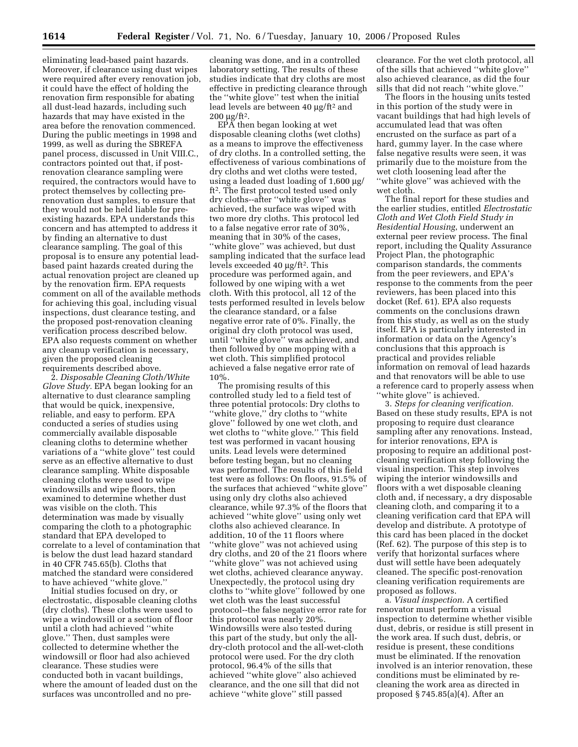eliminating lead-based paint hazards. Moreover, if clearance using dust wipes were required after every renovation job, it could have the effect of holding the renovation firm responsible for abating all dust-lead hazards, including such hazards that may have existed in the area before the renovation commenced. During the public meetings in 1998 and 1999, as well as during the SBREFA panel process, discussed in Unit VIII.C., contractors pointed out that, if postrenovation clearance sampling were required, the contractors would have to protect themselves by collecting prerenovation dust samples, to ensure that they would not be held liable for preexisting hazards. EPA understands this concern and has attempted to address it by finding an alternative to dust clearance sampling. The goal of this proposal is to ensure any potential leadbased paint hazards created during the actual renovation project are cleaned up by the renovation firm. EPA requests comment on all of the available methods for achieving this goal, including visual inspections, dust clearance testing, and the proposed post-renovation cleaning verification process described below. EPA also requests comment on whether any cleanup verification is necessary, given the proposed cleaning requirements described above.

2. *Disposable Cleaning Cloth/White Glove Study.* EPA began looking for an alternative to dust clearance sampling that would be quick, inexpensive, reliable, and easy to perform. EPA conducted a series of studies using commercially available disposable cleaning cloths to determine whether variations of a ''white glove'' test could serve as an effective alternative to dust clearance sampling. White disposable cleaning cloths were used to wipe windowsills and wipe floors, then examined to determine whether dust was visible on the cloth. This determination was made by visually comparing the cloth to a photographic standard that EPA developed to correlate to a level of contamination that is below the dust lead hazard standard in 40 CFR 745.65(b). Cloths that matched the standard were considered to have achieved ''white glove.''

Initial studies focused on dry, or electrostatic, disposable cleaning cloths (dry cloths). These cloths were used to wipe a windowsill or a section of floor until a cloth had achieved ''white glove.'' Then, dust samples were collected to determine whether the windowsill or floor had also achieved clearance. These studies were conducted both in vacant buildings, where the amount of leaded dust on the surfaces was uncontrolled and no pre-

cleaning was done, and in a controlled laboratory setting. The results of these studies indicate that dry cloths are most effective in predicting clearance through the ''white glove'' test when the initial lead levels are between 40 µg/ft2 and  $200 \mu g / \text{ft}^2$ .

EPA then began looking at wet disposable cleaning cloths (wet cloths) as a means to improve the effectiveness of dry cloths. In a controlled setting, the effectiveness of various combinations of dry cloths and wet cloths were tested, using a leaded dust loading of 1,600 µg/ ft2. The first protocol tested used only dry cloths--after ''white glove'' was achieved, the surface was wiped with two more dry cloths. This protocol led to a false negative error rate of 30%, meaning that in 30% of the cases, ''white glove'' was achieved, but dust sampling indicated that the surface lead levels exceeded 40 µg/ft2. This procedure was performed again, and followed by one wiping with a wet cloth. With this protocol, all 12 of the tests performed resulted in levels below the clearance standard, or a false negative error rate of 0%. Finally, the original dry cloth protocol was used, until ''white glove'' was achieved, and then followed by one mopping with a wet cloth. This simplified protocol achieved a false negative error rate of 10%.

The promising results of this controlled study led to a field test of three potential protocols: Dry cloths to ''white glove,'' dry cloths to ''white glove'' followed by one wet cloth, and wet cloths to ''white glove.'' This field test was performed in vacant housing units. Lead levels were determined before testing began, but no cleaning was performed. The results of this field test were as follows: On floors, 91.5% of the surfaces that achieved ''white glove'' using only dry cloths also achieved clearance, while 97.3% of the floors that achieved ''white glove'' using only wet cloths also achieved clearance. In addition, 10 of the 11 floors where ''white glove'' was not achieved using dry cloths, and 20 of the 21 floors where ''white glove'' was not achieved using wet cloths, achieved clearance anyway. Unexpectedly, the protocol using dry cloths to ''white glove'' followed by one wet cloth was the least successful protocol--the false negative error rate for this protocol was nearly 20%. Windowsills were also tested during this part of the study, but only the alldry-cloth protocol and the all-wet-cloth protocol were used. For the dry cloth protocol, 96.4% of the sills that achieved ''white glove'' also achieved clearance, and the one sill that did not achieve ''white glove'' still passed

clearance. For the wet cloth protocol, all of the sills that achieved ''white glove'' also achieved clearance, as did the four sills that did not reach ''white glove.''

The floors in the housing units tested in this portion of the study were in vacant buildings that had high levels of accumulated lead that was often encrusted on the surface as part of a hard, gummy layer. In the case where false negative results were seen, it was primarily due to the moisture from the wet cloth loosening lead after the ''white glove'' was achieved with the wet cloth.

The final report for these studies and the earlier studies, entitled *Electrostatic Cloth and Wet Cloth Field Study in Residential Housing*, underwent an external peer review process. The final report, including the Quality Assurance Project Plan, the photographic comparison standards, the comments from the peer reviewers, and EPA's response to the comments from the peer reviewers, has been placed into this docket (Ref. 61). EPA also requests comments on the conclusions drawn from this study, as well as on the study itself. EPA is particularly interested in information or data on the Agency's conclusions that this approach is practical and provides reliable information on removal of lead hazards and that renovators will be able to use a reference card to properly assess when ''white glove'' is achieved.

3. *Steps for cleaning verification.*  Based on these study results, EPA is not proposing to require dust clearance sampling after any renovations. Instead, for interior renovations, EPA is proposing to require an additional postcleaning verification step following the visual inspection. This step involves wiping the interior windowsills and floors with a wet disposable cleaning cloth and, if necessary, a dry disposable cleaning cloth, and comparing it to a cleaning verification card that EPA will develop and distribute. A prototype of this card has been placed in the docket (Ref. 62). The purpose of this step is to verify that horizontal surfaces where dust will settle have been adequately cleaned. The specific post-renovation cleaning verification requirements are proposed as follows.

a. *Visual inspection*. A certified renovator must perform a visual inspection to determine whether visible dust, debris, or residue is still present in the work area. If such dust, debris, or residue is present, these conditions must be eliminated. If the renovation involved is an interior renovation, these conditions must be eliminated by recleaning the work area as directed in proposed § 745.85(a)(4). After an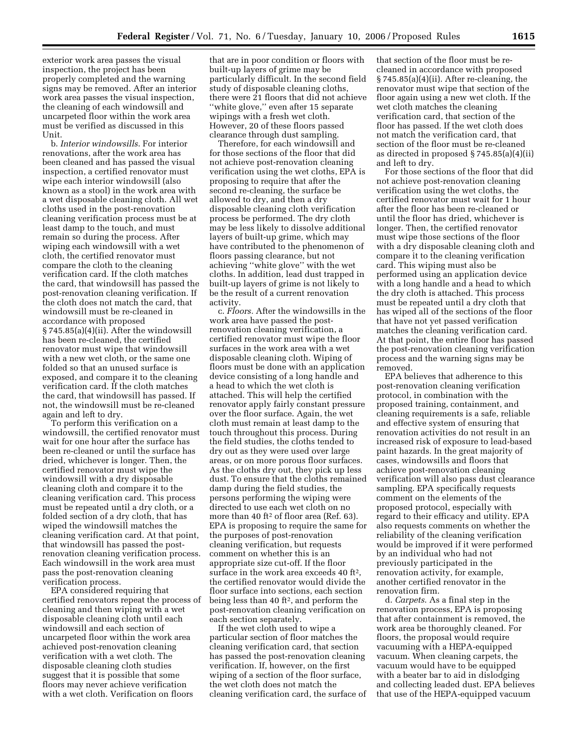exterior work area passes the visual inspection, the project has been properly completed and the warning signs may be removed. After an interior work area passes the visual inspection, the cleaning of each windowsill and uncarpeted floor within the work area must be verified as discussed in this Unit.

b. *Interior windowsills*. For interior renovations, after the work area has been cleaned and has passed the visual inspection, a certified renovator must wipe each interior windowsill (also known as a stool) in the work area with a wet disposable cleaning cloth. All wet cloths used in the post-renovation cleaning verification process must be at least damp to the touch, and must remain so during the process. After wiping each windowsill with a wet cloth, the certified renovator must compare the cloth to the cleaning verification card. If the cloth matches the card, that windowsill has passed the post-renovation cleaning verification. If the cloth does not match the card, that windowsill must be re-cleaned in accordance with proposed § 745.85(a)(4)(ii). After the windowsill has been re-cleaned, the certified renovator must wipe that windowsill with a new wet cloth, or the same one folded so that an unused surface is exposed, and compare it to the cleaning verification card. If the cloth matches the card, that windowsill has passed. If not, the windowsill must be re-cleaned again and left to dry.

To perform this verification on a windowsill, the certified renovator must wait for one hour after the surface has been re-cleaned or until the surface has dried, whichever is longer. Then, the certified renovator must wipe the windowsill with a dry disposable cleaning cloth and compare it to the cleaning verification card. This process must be repeated until a dry cloth, or a folded section of a dry cloth, that has wiped the windowsill matches the cleaning verification card. At that point, that windowsill has passed the postrenovation cleaning verification process. Each windowsill in the work area must pass the post-renovation cleaning verification process.

EPA considered requiring that certified renovators repeat the process of cleaning and then wiping with a wet disposable cleaning cloth until each windowsill and each section of uncarpeted floor within the work area achieved post-renovation cleaning verification with a wet cloth. The disposable cleaning cloth studies suggest that it is possible that some floors may never achieve verification with a wet cloth. Verification on floors

that are in poor condition or floors with built-up layers of grime may be particularly difficult. In the second field study of disposable cleaning cloths, there were 21 floors that did not achieve ''white glove,'' even after 15 separate wipings with a fresh wet cloth. However, 20 of these floors passed clearance through dust sampling.

Therefore, for each windowsill and for those sections of the floor that did not achieve post-renovation cleaning verification using the wet cloths, EPA is proposing to require that after the second re-cleaning, the surface be allowed to dry, and then a dry disposable cleaning cloth verification process be performed. The dry cloth may be less likely to dissolve additional layers of built-up grime, which may have contributed to the phenomenon of floors passing clearance, but not achieving ''white glove'' with the wet cloths. In addition, lead dust trapped in built-up layers of grime is not likely to be the result of a current renovation activity.

c. *Floors.* After the windowsills in the work area have passed the postrenovation cleaning verification, a certified renovator must wipe the floor surfaces in the work area with a wet disposable cleaning cloth. Wiping of floors must be done with an application device consisting of a long handle and a head to which the wet cloth is attached. This will help the certified renovator apply fairly constant pressure over the floor surface. Again, the wet cloth must remain at least damp to the touch throughout this process. During the field studies, the cloths tended to dry out as they were used over large areas, or on more porous floor surfaces. As the cloths dry out, they pick up less dust. To ensure that the cloths remained damp during the field studies, the persons performing the wiping were directed to use each wet cloth on no more than 40 ft<sup>2</sup> of floor area (Ref. 63). EPA is proposing to require the same for the purposes of post-renovation cleaning verification, but requests comment on whether this is an appropriate size cut-off. If the floor surface in the work area exceeds 40 ft2, the certified renovator would divide the floor surface into sections, each section being less than 40 ft2, and perform the post-renovation cleaning verification on each section separately.

If the wet cloth used to wipe a particular section of floor matches the cleaning verification card, that section has passed the post-renovation cleaning verification. If, however, on the first wiping of a section of the floor surface, the wet cloth does not match the cleaning verification card, the surface of

that section of the floor must be recleaned in accordance with proposed § 745.85(a)(4)(ii). After re-cleaning, the renovator must wipe that section of the floor again using a new wet cloth. If the wet cloth matches the cleaning verification card, that section of the floor has passed. If the wet cloth does not match the verification card, that section of the floor must be re-cleaned as directed in proposed § 745.85(a)(4)(ii) and left to dry.

For those sections of the floor that did not achieve post-renovation cleaning verification using the wet cloths, the certified renovator must wait for 1 hour after the floor has been re-cleaned or until the floor has dried, whichever is longer. Then, the certified renovator must wipe those sections of the floor with a dry disposable cleaning cloth and compare it to the cleaning verification card. This wiping must also be performed using an application device with a long handle and a head to which the dry cloth is attached. This process must be repeated until a dry cloth that has wiped all of the sections of the floor that have not yet passed verification matches the cleaning verification card. At that point, the entire floor has passed the post-renovation cleaning verification process and the warning signs may be removed.

EPA believes that adherence to this post-renovation cleaning verification protocol, in combination with the proposed training, containment, and cleaning requirements is a safe, reliable and effective system of ensuring that renovation activities do not result in an increased risk of exposure to lead-based paint hazards. In the great majority of cases, windowsills and floors that achieve post-renovation cleaning verification will also pass dust clearance sampling. EPA specifically requests comment on the elements of the proposed protocol, especially with regard to their efficacy and utility. EPA also requests comments on whether the reliability of the cleaning verification would be improved if it were performed by an individual who had not previously participated in the renovation activity, for example, another certified renovator in the renovation firm.

d. *Carpets*. As a final step in the renovation process, EPA is proposing that after containment is removed, the work area be thoroughly cleaned. For floors, the proposal would require vacuuming with a HEPA-equipped vacuum. When cleaning carpets, the vacuum would have to be equipped with a beater bar to aid in dislodging and collecting leaded dust. EPA believes that use of the HEPA-equipped vacuum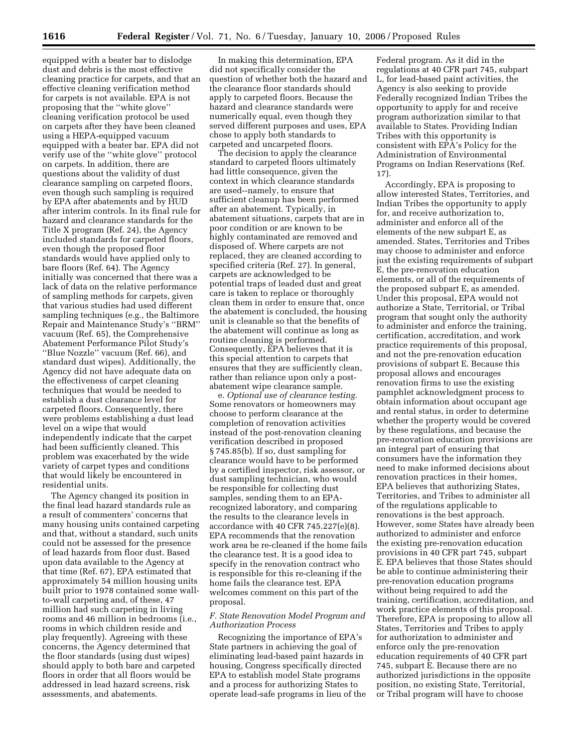equipped with a beater bar to dislodge dust and debris is the most effective cleaning practice for carpets, and that an effective cleaning verification method for carpets is not available. EPA is not proposing that the ''white glove'' cleaning verification protocol be used on carpets after they have been cleaned using a HEPA-equipped vacuum equipped with a beater bar. EPA did not verify use of the ''white glove'' protocol on carpets. In addition, there are questions about the validity of dust clearance sampling on carpeted floors, even though such sampling is required by EPA after abatements and by HUD after interim controls. In its final rule for hazard and clearance standards for the Title X program (Ref. 24), the Agency included standards for carpeted floors, even though the proposed floor standards would have applied only to bare floors (Ref. 64). The Agency initially was concerned that there was a lack of data on the relative performance of sampling methods for carpets, given that various studies had used different sampling techniques (e.g., the Baltimore Repair and Maintenance Study's ''BRM'' vacuum (Ref. 65), the Comprehensive Abatement Performance Pilot Study's ''Blue Nozzle'' vacuum (Ref. 66), and standard dust wipes). Additionally, the Agency did not have adequate data on the effectiveness of carpet cleaning techniques that would be needed to establish a dust clearance level for carpeted floors. Consequently, there were problems establishing a dust lead level on a wipe that would independently indicate that the carpet had been sufficiently cleaned. This problem was exacerbated by the wide variety of carpet types and conditions that would likely be encountered in residential units.

The Agency changed its position in the final lead hazard standards rule as a result of commenters' concerns that many housing units contained carpeting and that, without a standard, such units could not be assessed for the presence of lead hazards from floor dust. Based upon data available to the Agency at that time (Ref. 67), EPA estimated that approximately 54 million housing units built prior to 1978 contained some wallto-wall carpeting and, of these, 47 million had such carpeting in living rooms and 46 million in bedrooms (i.e., rooms in which children reside and play frequently). Agreeing with these concerns, the Agency determined that the floor standards (using dust wipes) should apply to both bare and carpeted floors in order that all floors would be addressed in lead hazard screens, risk assessments, and abatements.

In making this determination, EPA did not specifically consider the question of whether both the hazard and the clearance floor standards should apply to carpeted floors. Because the hazard and clearance standards were numerically equal, even though they served different purposes and uses, EPA chose to apply both standards to carpeted and uncarpeted floors.

The decision to apply the clearance standard to carpeted floors ultimately had little consequence, given the context in which clearance standards are used--namely, to ensure that sufficient cleanup has been performed after an abatement. Typically, in abatement situations, carpets that are in poor condition or are known to be highly contaminated are removed and disposed of. Where carpets are not replaced, they are cleaned according to specified criteria (Ref. 27). In general, carpets are acknowledged to be potential traps of leaded dust and great care is taken to replace or thoroughly clean them in order to ensure that, once the abatement is concluded, the housing unit is cleanable so that the benefits of the abatement will continue as long as routine cleaning is performed. Consequently, EPA believes that it is this special attention to carpets that ensures that they are sufficiently clean, rather than reliance upon only a postabatement wipe clearance sample.

e. *Optional use of clearance testing.*  Some renovators or homeowners may choose to perform clearance at the completion of renovation activities instead of the post-renovation cleaning verification described in proposed § 745.85(b). If so, dust sampling for clearance would have to be performed by a certified inspector, risk assessor, or dust sampling technician, who would be responsible for collecting dust samples, sending them to an EPArecognized laboratory, and comparing the results to the clearance levels in accordance with 40 CFR 745.227(e)(8). EPA recommends that the renovation work area be re-cleaned if the home fails the clearance test. It is a good idea to specify in the renovation contract who is responsible for this re-cleaning if the home fails the clearance test. EPA welcomes comment on this part of the proposal.

# *F. State Renovation Model Program and Authorization Process*

Recognizing the importance of EPA's State partners in achieving the goal of eliminating lead-based paint hazards in housing, Congress specifically directed EPA to establish model State programs and a process for authorizing States to operate lead-safe programs in lieu of the

Federal program. As it did in the regulations at 40 CFR part 745, subpart L, for lead-based paint activities, the Agency is also seeking to provide Federally recognized Indian Tribes the opportunity to apply for and receive program authorization similar to that available to States. Providing Indian Tribes with this opportunity is consistent with EPA's Policy for the Administration of Environmental Programs on Indian Reservations (Ref. 17).

Accordingly, EPA is proposing to allow interested States, Territories, and Indian Tribes the opportunity to apply for, and receive authorization to, administer and enforce all of the elements of the new subpart E, as amended. States, Territories and Tribes may choose to administer and enforce just the existing requirements of subpart E, the pre-renovation education elements, or all of the requirements of the proposed subpart E, as amended. Under this proposal, EPA would not authorize a State, Territorial, or Tribal program that sought only the authority to administer and enforce the training, certification, accreditation, and work practice requirements of this proposal, and not the pre-renovation education provisions of subpart E. Because this proposal allows and encourages renovation firms to use the existing pamphlet acknowledgment process to obtain information about occupant age and rental status, in order to determine whether the property would be covered by these regulations, and because the pre-renovation education provisions are an integral part of ensuring that consumers have the information they need to make informed decisions about renovation practices in their homes, EPA believes that authorizing States, Territories, and Tribes to administer all of the regulations applicable to renovations is the best approach. However, some States have already been authorized to administer and enforce the existing pre-renovation education provisions in 40 CFR part 745, subpart E. EPA believes that those States should be able to continue administering their pre-renovation education programs without being required to add the training, certification, accreditation, and work practice elements of this proposal. Therefore, EPA is proposing to allow all States, Territories and Tribes to apply for authorization to administer and enforce only the pre-renovation education requirements of 40 CFR part 745, subpart E. Because there are no authorized jurisdictions in the opposite position, no existing State, Territorial, or Tribal program will have to choose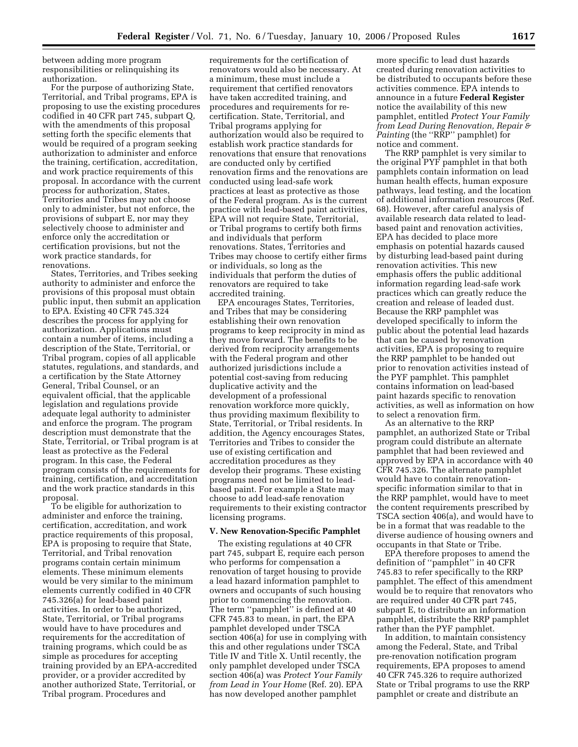between adding more program responsibilities or relinquishing its authorization.

For the purpose of authorizing State, Territorial, and Tribal programs, EPA is proposing to use the existing procedures codified in 40 CFR part 745, subpart Q, with the amendments of this proposal setting forth the specific elements that would be required of a program seeking authorization to administer and enforce the training, certification, accreditation, and work practice requirements of this proposal. In accordance with the current process for authorization, States, Territories and Tribes may not choose only to administer, but not enforce, the provisions of subpart E, nor may they selectively choose to administer and enforce only the accreditation or certification provisions, but not the work practice standards, for renovations.

States, Territories, and Tribes seeking authority to administer and enforce the provisions of this proposal must obtain public input, then submit an application to EPA. Existing 40 CFR 745.324 describes the process for applying for authorization. Applications must contain a number of items, including a description of the State, Territorial, or Tribal program, copies of all applicable statutes, regulations, and standards, and a certification by the State Attorney General, Tribal Counsel, or an equivalent official, that the applicable legislation and regulations provide adequate legal authority to administer and enforce the program. The program description must demonstrate that the State, Territorial, or Tribal program is at least as protective as the Federal program. In this case, the Federal program consists of the requirements for training, certification, and accreditation and the work practice standards in this proposal.

To be eligible for authorization to administer and enforce the training, certification, accreditation, and work practice requirements of this proposal, EPA is proposing to require that State, Territorial, and Tribal renovation programs contain certain minimum elements. These minimum elements would be very similar to the minimum elements currently codified in 40 CFR 745.326(a) for lead-based paint activities. In order to be authorized, State, Territorial, or Tribal programs would have to have procedures and requirements for the accreditation of training programs, which could be as simple as procedures for accepting training provided by an EPA-accredited provider, or a provider accredited by another authorized State, Territorial, or Tribal program. Procedures and

requirements for the certification of renovators would also be necessary. At a minimum, these must include a requirement that certified renovators have taken accredited training, and procedures and requirements for recertification. State, Territorial, and Tribal programs applying for authorization would also be required to establish work practice standards for renovations that ensure that renovations are conducted only by certified renovation firms and the renovations are conducted using lead-safe work practices at least as protective as those of the Federal program. As is the current practice with lead-based paint activities, EPA will not require State, Territorial, or Tribal programs to certify both firms and individuals that perform renovations. States, Territories and Tribes may choose to certify either firms or individuals, so long as the individuals that perform the duties of renovators are required to take accredited training.

EPA encourages States, Territories, and Tribes that may be considering establishing their own renovation programs to keep reciprocity in mind as they move forward. The benefits to be derived from reciprocity arrangements with the Federal program and other authorized jurisdictions include a potential cost-saving from reducing duplicative activity and the development of a professional renovation workforce more quickly, thus providing maximum flexibility to State, Territorial, or Tribal residents. In addition, the Agency encourages States, Territories and Tribes to consider the use of existing certification and accreditation procedures as they develop their programs. These existing programs need not be limited to leadbased paint. For example a State may choose to add lead-safe renovation requirements to their existing contractor licensing programs.

# **V. New Renovation-Specific Pamphlet**

The existing regulations at 40 CFR part 745, subpart E, require each person who performs for compensation a renovation of target housing to provide a lead hazard information pamphlet to owners and occupants of such housing prior to commencing the renovation. The term ''pamphlet'' is defined at 40 CFR 745.83 to mean, in part, the EPA pamphlet developed under TSCA section 406(a) for use in complying with this and other regulations under TSCA Title IV and Title X. Until recently, the only pamphlet developed under TSCA section 406(a) was *Protect Your Family from Lead in Your Home* (Ref. 20). EPA has now developed another pamphlet

more specific to lead dust hazards created during renovation activities to be distributed to occupants before these activities commence. EPA intends to announce in a future **Federal Register**  notice the availability of this new pamphlet, entitled *Protect Your Family from Lead During Renovation, Repair & Painting* (the ''RRP'' pamphlet) for notice and comment.

The RRP pamphlet is very similar to the original PYF pamphlet in that both pamphlets contain information on lead human health effects, human exposure pathways, lead testing, and the location of additional information resources (Ref. 68). However, after careful analysis of available research data related to leadbased paint and renovation activities, EPA has decided to place more emphasis on potential hazards caused by disturbing lead-based paint during renovation activities. This new emphasis offers the public additional information regarding lead-safe work practices which can greatly reduce the creation and release of leaded dust. Because the RRP pamphlet was developed specifically to inform the public about the potential lead hazards that can be caused by renovation activities, EPA is proposing to require the RRP pamphlet to be handed out prior to renovation activities instead of the PYF pamphlet. This pamphlet contains information on lead-based paint hazards specific to renovation activities, as well as information on how to select a renovation firm.

As an alternative to the RRP pamphlet, an authorized State or Tribal program could distribute an alternate pamphlet that had been reviewed and approved by EPA in accordance with 40 CFR 745.326. The alternate pamphlet would have to contain renovationspecific information similar to that in the RRP pamphlet, would have to meet the content requirements prescribed by TSCA section 406(a), and would have to be in a format that was readable to the diverse audience of housing owners and occupants in that State or Tribe.

EPA therefore proposes to amend the definition of ''pamphlet'' in 40 CFR 745.83 to refer specifically to the RRP pamphlet. The effect of this amendment would be to require that renovators who are required under 40 CFR part 745, subpart E, to distribute an information pamphlet, distribute the RRP pamphlet rather than the PYF pamphlet.

In addition, to maintain consistency among the Federal, State, and Tribal pre-renovation notification program requirements, EPA proposes to amend 40 CFR 745.326 to require authorized State or Tribal programs to use the RRP pamphlet or create and distribute an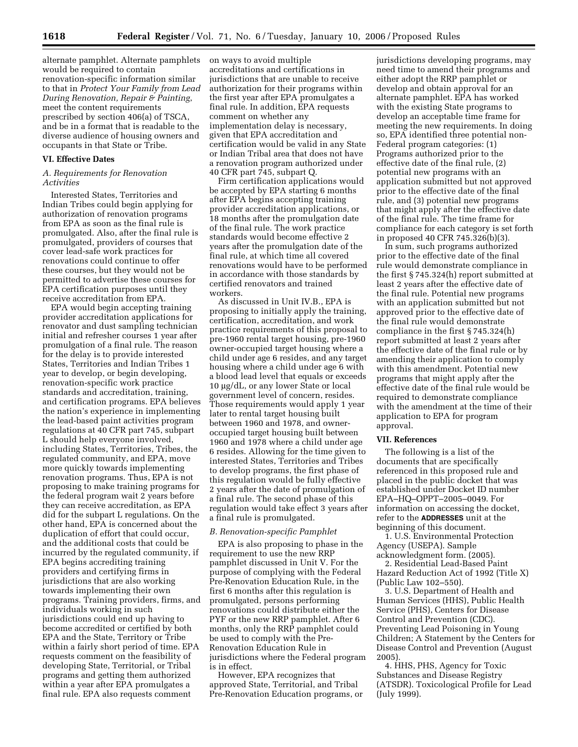alternate pamphlet. Alternate pamphlets would be required to contain renovation-specific information similar to that in *Protect Your Family from Lead During Renovation, Repair & Painting*, meet the content requirements prescribed by section 406(a) of TSCA, and be in a format that is readable to the diverse audience of housing owners and occupants in that State or Tribe.

# **VI. Effective Dates**

#### *A. Requirements for Renovation Activities*

Interested States, Territories and Indian Tribes could begin applying for authorization of renovation programs from EPA as soon as the final rule is promulgated. Also, after the final rule is promulgated, providers of courses that cover lead-safe work practices for renovations could continue to offer these courses, but they would not be permitted to advertise these courses for EPA certification purposes until they receive accreditation from EPA.

EPA would begin accepting training provider accreditation applications for renovator and dust sampling technician initial and refresher courses 1 year after promulgation of a final rule. The reason for the delay is to provide interested States, Territories and Indian Tribes 1 year to develop, or begin developing, renovation-specific work practice standards and accreditation, training, and certification programs. EPA believes the nation's experience in implementing the lead-based paint activities program regulations at 40 CFR part 745, subpart L should help everyone involved, including States, Territories, Tribes, the regulated community, and EPA, move more quickly towards implementing renovation programs. Thus, EPA is not proposing to make training programs for the federal program wait 2 years before they can receive accreditation, as EPA did for the subpart L regulations. On the other hand, EPA is concerned about the duplication of effort that could occur, and the additional costs that could be incurred by the regulated community, if EPA begins accrediting training providers and certifying firms in jurisdictions that are also working towards implementing their own programs. Training providers, firms, and individuals working in such jurisdictions could end up having to become accredited or certified by both EPA and the State, Territory or Tribe within a fairly short period of time. EPA requests comment on the feasibility of developing State, Territorial, or Tribal programs and getting them authorized within a year after EPA promulgates a final rule. EPA also requests comment

on ways to avoid multiple accreditations and certifications in jurisdictions that are unable to receive authorization for their programs within the first year after EPA promulgates a final rule. In addition, EPA requests comment on whether any implementation delay is necessary, given that EPA accreditation and certification would be valid in any State or Indian Tribal area that does not have a renovation program authorized under 40 CFR part 745, subpart Q.

Firm certification applications would be accepted by EPA starting 6 months after EPA begins accepting training provider accreditation applications, or 18 months after the promulgation date of the final rule. The work practice standards would become effective 2 years after the promulgation date of the final rule, at which time all covered renovations would have to be performed in accordance with those standards by certified renovators and trained workers.

As discussed in Unit IV.B., EPA is proposing to initially apply the training, certification, accreditation, and work practice requirements of this proposal to pre-1960 rental target housing, pre-1960 owner-occupied target housing where a child under age 6 resides, and any target housing where a child under age 6 with a blood lead level that equals or exceeds 10 µg/dL, or any lower State or local government level of concern, resides. Those requirements would apply 1 year later to rental target housing built between 1960 and 1978, and owneroccupied target housing built between 1960 and 1978 where a child under age 6 resides. Allowing for the time given to interested States, Territories and Tribes to develop programs, the first phase of this regulation would be fully effective 2 years after the date of promulgation of a final rule. The second phase of this regulation would take effect 3 years after a final rule is promulgated.

#### *B. Renovation-specific Pamphlet*

EPA is also proposing to phase in the requirement to use the new RRP pamphlet discussed in Unit V. For the purpose of complying with the Federal Pre-Renovation Education Rule, in the first 6 months after this regulation is promulgated, persons performing renovations could distribute either the PYF or the new RRP pamphlet. After 6 months, only the RRP pamphlet could be used to comply with the Pre-Renovation Education Rule in jurisdictions where the Federal program is in effect.

However, EPA recognizes that approved State, Territorial, and Tribal Pre-Renovation Education programs, or

jurisdictions developing programs, may need time to amend their programs and either adopt the RRP pamphlet or develop and obtain approval for an alternate pamphlet. EPA has worked with the existing State programs to develop an acceptable time frame for meeting the new requirements. In doing so, EPA identified three potential non-Federal program categories: (1) Programs authorized prior to the effective date of the final rule, (2) potential new programs with an application submitted but not approved prior to the effective date of the final rule, and (3) potential new programs that might apply after the effective date of the final rule. The time frame for compliance for each category is set forth in proposed 40 CFR 745.326(b)(3).

In sum, such programs authorized prior to the effective date of the final rule would demonstrate compliance in the first § 745.324(h) report submitted at least 2 years after the effective date of the final rule. Potential new programs with an application submitted but not approved prior to the effective date of the final rule would demonstrate compliance in the first § 745.324(h) report submitted at least 2 years after the effective date of the final rule or by amending their application to comply with this amendment. Potential new programs that might apply after the effective date of the final rule would be required to demonstrate compliance with the amendment at the time of their application to EPA for program approval.

# **VII. References**

The following is a list of the documents that are specifically referenced in this proposed rule and placed in the public docket that was established under Docket ID number EPA–HQ–OPPT–2005–0049. For information on accessing the docket, refer to the **ADDRESSES** unit at the beginning of this document.

1. U.S. Environmental Protection Agency (USEPA). Sample acknowledgment form. (2005).

2. Residential Lead-Based Paint

Hazard Reduction Act of 1992 (Title X) (Public Law 102–550).

3. U.S. Department of Health and Human Services (HHS), Public Health Service (PHS), Centers for Disease Control and Prevention (CDC). Preventing Lead Poisoning in Young Children; A Statement by the Centers for Disease Control and Prevention (August 2005).

4. HHS, PHS, Agency for Toxic Substances and Disease Registry (ATSDR). Toxicological Profile for Lead (July 1999).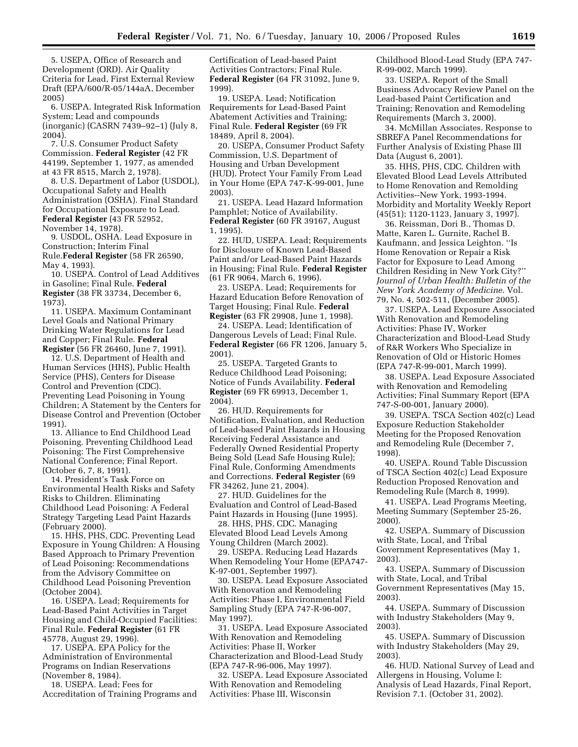5. USEPA, Office of Research and Development (ORD). Air Quality Criteria for Lead, First External Review Draft (EPA/600/R-05/144aA, December 2005)

6. USEPA. Integrated Risk Information System; Lead and compounds (inorganic) (CASRN 7439–92–1) (July 8, 2004).

7. U.S. Consumer Product Safety Commission. **Federal Register** (42 FR 44199, September 1, 1977, as amended at 43 FR 8515, March 2, 1978).

8. U.S. Department of Labor (USDOL), Occupational Safety and Health Administration (OSHA). Final Standard for Occupational Exposure to Lead. **Federal Register** (43 FR 52952, November 14, 1978).

9. USDOL, OSHA. Lead Exposure in Construction; Interim Final Rule.**Federal Register** (58 FR 26590, May 4, 1993).

10. USEPA. Control of Lead Additives in Gasoline; Final Rule. **Federal Register** (38 FR 33734, December 6, 1973).

11. USEPA. Maximum Contaminant Level Goals and National Primary Drinking Water Regulations for Lead and Copper; Final Rule. **Federal Register** (56 FR 26460, June 7, 1991).

12. U.S. Department of Health and Human Services (HHS), Public Health Service (PHS), Centers for Disease Control and Prevention (CDC). Preventing Lead Poisoning in Young Children; A Statement by the Centers for Disease Control and Prevention (October 1991).

13. Alliance to End Childhood Lead Poisoning. Preventing Childhood Lead Poisoning: The First Comprehensive National Conference; Final Report. (October 6, 7, 8, 1991).

14. President's Task Force on Environmental Health Risks and Safety Risks to Children. Eliminating Childhood Lead Poisoning: A Federal Strategy Targeting Lead Paint Hazards (February 2000).

15. HHS, PHS, CDC. Preventing Lead Exposure in Young Children: A Housing Based Approach to Primary Prevention of Lead Poisoning: Recommendations from the Advisory Committee on Childhood Lead Poisoning Prevention (October 2004).

16. USEPA. Lead; Requirements for Lead-Based Paint Activities in Target Housing and Child-Occupied Facilities: Final Rule. **Federal Register** (61 FR 45778, August 29, 1996).

17. USEPA. EPA Policy for the Administration of Environmental Programs on Indian Reservations (November 8, 1984).

18. USEPA. Lead; Fees for Accreditation of Training Programs and Certification of Lead-based Paint Activities Contractors; Final Rule. **Federal Register** (64 FR 31092, June 9, 1999).

19. USEPA. Lead; Notification Requirements for Lead-Based Paint Abatement Activities and Training; Final Rule. **Federal Register** (69 FR 18489, April 8, 2004).

20. USEPA, Consumer Product Safety Commission, U.S. Department of Housing and Urban Development (HUD). Protect Your Family From Lead in Your Home (EPA 747-K-99-001, June 2003).

21. USEPA. Lead Hazard Information Pamphlet; Notice of Availability. **Federal Register** (60 FR 39167, August 1, 1995).

22. HUD, USEPA. Lead; Requirements for Disclosure of Known Lead-Based Paint and/or Lead-Based Paint Hazards in Housing; Final Rule. **Federal Register**  (61 FR 9064, March 6, 1996).

23. USEPA. Lead; Requirements for Hazard Education Before Renovation of Target Housing; Final Rule. **Federal Register** (63 FR 29908, June 1, 1998).

24. USEPA. Lead; Identification of Dangerous Levels of Lead; Final Rule. **Federal Register** (66 FR 1206, January 5, 2001).

25. USEPA. Targeted Grants to Reduce Childhood Lead Poisoning; Notice of Funds Availability. **Federal Register** (69 FR 69913, December 1, 2004).

26. HUD. Requirements for Notification, Evaluation, and Reduction of Lead-based Paint Hazards in Housing Receiving Federal Assistance and Federally Owned Residential Property Being Sold (Lead Safe Housing Rule); Final Rule, Conforming Amendments and Corrections. **Federal Register** (69 FR 34262, June 21, 2004).

27. HUD. Guidelines for the Evaluation and Control of Lead-Based Paint Hazards in Housing (June 1995).

28. HHS, PHS, CDC. Managing Elevated Blood Lead Levels Among Young Children (March 2002).

29. USEPA. Reducing Lead Hazards When Remodeling Your Home (EPA747- K-97-001, September 1997).

30. USEPA. Lead Exposure Associated With Renovation and Remodeling Activities: Phase I, Environmental Field Sampling Study (EPA 747-R-96-007, May 1997).

31. USEPA. Lead Exposure Associated With Renovation and Remodeling Activities: Phase II, Worker Characterization and Blood-Lead Study (EPA 747-R-96-006, May 1997).

32. USEPA. Lead Exposure Associated With Renovation and Remodeling Activities: Phase III, Wisconsin

Childhood Blood-Lead Study (EPA 747- R-99-002, March 1999).

33. USEPA. Report of the Small Business Advocacy Review Panel on the Lead-based Paint Certification and Training; Renovation and Remodeling Requirements (March 3, 2000).

34. McMillan Associates. Response to SBREFA Panel Recommendations for Further Analysis of Existing Phase III Data (August 6, 2001).

35. HHS, PHS, CDC. Children with Elevated Blood Lead Levels Attributed to Home Renovation and Remolding Activities--New York, 1993-1994. Morbidity and Mortality Weekly Report (45(51); 1120-1123, January 3, 1997).

36. Reissman, Dori B., Thomas D. Matte, Karen L. Gurnite, Rachel B. Kaufmann, and Jessica Leighton. ''Is Home Renovation or Repair a Risk Factor for Exposure to Lead Among Children Residing in New York City?'' *Journal of Urban Health: Bulletin of the New York Academy of Medicine*. Vol. 79, No. 4, 502-511, (December 2005).

37. USEPA. Lead Exposure Associated With Renovation and Remodeling Activities: Phase IV, Worker Characterization and Blood-Lead Study of R&R Workers Who Specialize in Renovation of Old or Historic Homes (EPA 747-R-99-001, March 1999).

38. USEPA. Lead Exposure Associated with Renovation and Remodeling Activities; Final Summary Report (EPA 747-S-00-001, January 2000).

39. USEPA. TSCA Section 402(c) Lead Exposure Reduction Stakeholder Meeting for the Proposed Renovation and Remodeling Rule (December 7, 1998).

40. USEPA. Round Table Discussion of TSCA Section 402(c) Lead Exposure Reduction Proposed Renovation and Remodeling Rule (March 8, 1999).

41. USEPA. Lead Programs Meeting, Meeting Summary (September 25-26, 2000).

42. USEPA. Summary of Discussion with State, Local, and Tribal Government Representatives (May 1, 2003).

43. USEPA. Summary of Discussion with State, Local, and Tribal Government Representatives (May 15, 2003).

44. USEPA. Summary of Discussion with Industry Stakeholders (May 9, 2003).

45. USEPA. Summary of Discussion with Industry Stakeholders (May 29, 2003).

46. HUD. National Survey of Lead and Allergens in Housing, Volume I: Analysis of Lead Hazards, Final Report, Revision 7.1. (October 31, 2002).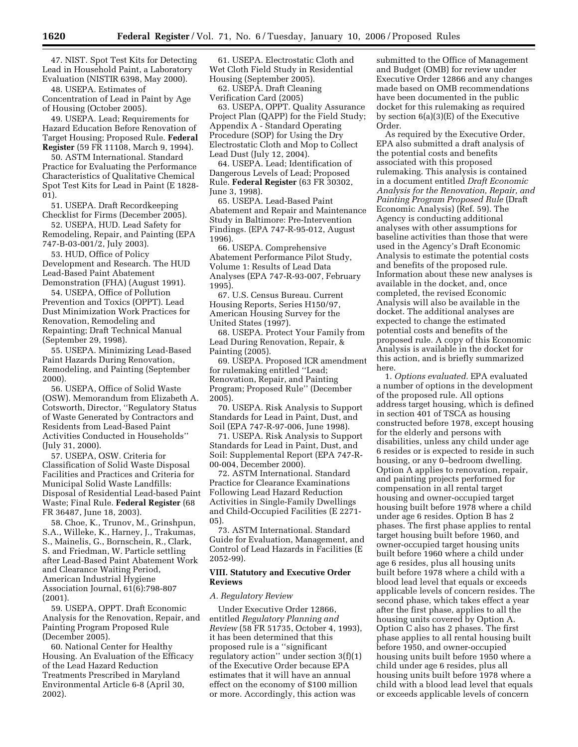47. NIST. Spot Test Kits for Detecting Lead in Household Paint, a Laboratory Evaluation (NISTIR 6398, May 2000).

48. USEPA. Estimates of Concentration of Lead in Paint by Age of Housing (October 2005).

49. USEPA. Lead; Requirements for Hazard Education Before Renovation of Target Housing; Proposed Rule. **Federal Register** (59 FR 11108, March 9, 1994).

50. ASTM International. Standard Practice for Evaluating the Performance Characteristics of Qualitative Chemical Spot Test Kits for Lead in Paint (E 1828- 01).

51. USEPA. Draft Recordkeeping Checklist for Firms (December 2005).

52. USEPA, HUD. Lead Safety for Remodeling, Repair, and Painting (EPA 747-B-03-001/2, July 2003).

53. HUD, Office of Policy Development and Research. The HUD Lead-Based Paint Abatement Demonstration (FHA) (August 1991).

54. USEPA, Office of Pollution Prevention and Toxics (OPPT). Lead Dust Minimization Work Practices for Renovation, Remodeling and Repainting; Draft Technical Manual (September 29, 1998).

55. USEPA. Minimizing Lead-Based Paint Hazards During Renovation, Remodeling, and Painting (September 2000).

56. USEPA, Office of Solid Waste (OSW). Memorandum from Elizabeth A. Cotsworth, Director, ''Regulatory Status of Waste Generated by Contractors and Residents from Lead-Based Paint Activities Conducted in Households'' (July 31, 2000).

57. USEPA, OSW. Criteria for Classification of Solid Waste Disposal Facilities and Practices and Criteria for Municipal Solid Waste Landfills: Disposal of Residential Lead-based Paint Waste; Final Rule. **Federal Register** (68 FR 36487, June 18, 2003).

58. Choe, K., Trunov, M., Grinshpun, S.A., Willeke, K., Harney, J., Trakumas, S., Mainelis, G., Bornschein, R., Clark, S. and Friedman, W. Particle settling after Lead-Based Paint Abatement Work and Clearance Waiting Period, American Industrial Hygiene Association Journal, 61(6):798-807 (2001).

59. USEPA, OPPT. Draft Economic Analysis for the Renovation, Repair, and Painting Program Proposed Rule (December 2005).

60. National Center for Healthy Housing. An Evaluation of the Efficacy of the Lead Hazard Reduction Treatments Prescribed in Maryland Environmental Article 6-8 (April 30, 2002).

61. USEPA. Electrostatic Cloth and Wet Cloth Field Study in Residential Housing (September 2005).

62. USEPA. Draft Cleaning Verification Card (2005)

63. USEPA, OPPT. Quality Assurance Project Plan (QAPP) for the Field Study; Appendix A - Standard Operating Procedure (SOP) for Using the Dry Electrostatic Cloth and Mop to Collect Lead Dust (July 12, 2004).

64. USEPA. Lead; Identification of Dangerous Levels of Lead; Proposed Rule. **Federal Register** (63 FR 30302, June 3, 1998).

65. USEPA. Lead-Based Paint Abatement and Repair and Maintenance Study in Baltimore: Pre-Intervention Findings. (EPA 747-R-95-012, August 1996).

66. USEPA. Comprehensive Abatement Performance Pilot Study, Volume 1: Results of Lead Data Analyses (EPA 747-R-93-007, February 1995).

67. U.S. Census Bureau. Current Housing Reports, Series H150/97, American Housing Survey for the United States (1997).

68. USEPA. Protect Your Family from Lead During Renovation, Repair, & Painting (2005).

69. USEPA. Proposed ICR amendment for rulemaking entitled ''Lead; Renovation, Repair, and Painting Program; Proposed Rule'' (December 2005).

70. USEPA. Risk Analysis to Support Standards for Lead in Paint, Dust, and Soil (EPA 747-R-97-006, June 1998).

71. USEPA. Risk Analysis to Support Standards for Lead in Paint, Dust, and Soil: Supplemental Report (EPA 747-R-00-004, December 2000).

72. ASTM International. Standard Practice for Clearance Examinations Following Lead Hazard Reduction Activities in Single-Family Dwellings and Child-Occupied Facilities (E 2271- 05).

73. ASTM International. Standard Guide for Evaluation, Management, and Control of Lead Hazards in Facilities (E 2052-99).

# **VIII. Statutory and Executive Order Reviews**

# *A. Regulatory Review*

Under Executive Order 12866, entitled *Regulatory Planning and Review* (58 FR 51735, October 4, 1993), it has been determined that this proposed rule is a ''significant regulatory action'' under section 3(f)(1) of the Executive Order because EPA estimates that it will have an annual effect on the economy of \$100 million or more. Accordingly, this action was

submitted to the Office of Management and Budget (OMB) for review under Executive Order 12866 and any changes made based on OMB recommendations have been documented in the public docket for this rulemaking as required by section 6(a)(3)(E) of the Executive Order.

As required by the Executive Order, EPA also submitted a draft analysis of the potential costs and benefits associated with this proposed rulemaking. This analysis is contained in a document entitled *Draft Economic Analysis for the Renovation, Repair, and Painting Program Proposed Rule* (Draft Economic Analysis) (Ref. 59). The Agency is conducting additional analyses with other assumptions for baseline activities than those that were used in the Agency's Draft Economic Analysis to estimate the potential costs and benefits of the proposed rule. Information about these new analyses is available in the docket, and, once completed, the revised Economic Analysis will also be available in the docket. The additional analyses are expected to change the estimated potential costs and benefits of the proposed rule. A copy of this Economic Analysis is available in the docket for this action, and is briefly summarized here.

1. *Options evaluated.* EPA evaluated a number of options in the development of the proposed rule. All options address target housing, which is defined in section 401 of TSCA as housing constructed before 1978, except housing for the elderly and persons with disabilities, unless any child under age 6 resides or is expected to reside in such housing, or any 0-bedroom dwelling. Option A applies to renovation, repair, and painting projects performed for compensation in all rental target housing and owner-occupied target housing built before 1978 where a child under age 6 resides. Option B has 2 phases. The first phase applies to rental target housing built before 1960, and owner-occupied target housing units built before 1960 where a child under age 6 resides, plus all housing units built before 1978 where a child with a blood lead level that equals or exceeds applicable levels of concern resides. The second phase, which takes effect a year after the first phase, applies to all the housing units covered by Option A. Option C also has 2 phases. The first phase applies to all rental housing built before 1950, and owner-occupied housing units built before 1950 where a child under age 6 resides, plus all housing units built before 1978 where a child with a blood lead level that equals or exceeds applicable levels of concern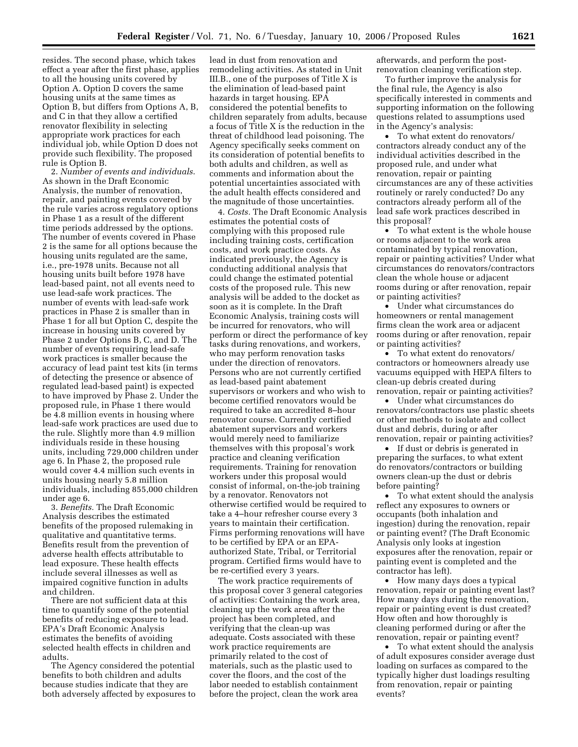resides. The second phase, which takes effect a year after the first phase, applies to all the housing units covered by Option A. Option D covers the same housing units at the same times as Option B, but differs from Options A, B, and C in that they allow a certified renovator flexibility in selecting appropriate work practices for each individual job, while Option D does not provide such flexibility. The proposed rule is Option B.

2. *Number of events and individuals*. As shown in the Draft Economic Analysis, the number of renovation, repair, and painting events covered by the rule varies across regulatory options in Phase 1 as a result of the different time periods addressed by the options. The number of events covered in Phase 2 is the same for all options because the housing units regulated are the same, i.e., pre-1978 units. Because not all housing units built before 1978 have lead-based paint, not all events need to use lead-safe work practices. The number of events with lead-safe work practices in Phase 2 is smaller than in Phase 1 for all but Option C, despite the increase in housing units covered by Phase 2 under Options B, C, and D. The number of events requiring lead-safe work practices is smaller because the accuracy of lead paint test kits (in terms of detecting the presence or absence of regulated lead-based paint) is expected to have improved by Phase 2. Under the proposed rule, in Phase 1 there would be 4.8 million events in housing where lead-safe work practices are used due to the rule. Slightly more than 4.9 million individuals reside in these housing units, including 729,000 children under age 6. In Phase 2, the proposed rule would cover 4.4 million such events in units housing nearly 5.8 million individuals, including 855,000 children under age 6.

3. *Benefits.* The Draft Economic Analysis describes the estimated benefits of the proposed rulemaking in qualitative and quantitative terms. Benefits result from the prevention of adverse health effects attributable to lead exposure. These health effects include several illnesses as well as impaired cognitive function in adults and children.

There are not sufficient data at this time to quantify some of the potential benefits of reducing exposure to lead. EPA's Draft Economic Analysis estimates the benefits of avoiding selected health effects in children and adults.

The Agency considered the potential benefits to both children and adults because studies indicate that they are both adversely affected by exposures to

lead in dust from renovation and remodeling activities. As stated in Unit III.B., one of the purposes of Title X is the elimination of lead-based paint hazards in target housing. EPA considered the potential benefits to children separately from adults, because a focus of Title X is the reduction in the threat of childhood lead poisoning. The Agency specifically seeks comment on its consideration of potential benefits to both adults and children, as well as comments and information about the potential uncertainties associated with the adult health effects considered and the magnitude of those uncertainties.

4. *Costs.* The Draft Economic Analysis estimates the potential costs of complying with this proposed rule including training costs, certification costs, and work practice costs. As indicated previously, the Agency is conducting additional analysis that could change the estimated potential costs of the proposed rule. This new analysis will be added to the docket as soon as it is complete. In the Draft Economic Analysis, training costs will be incurred for renovators, who will perform or direct the performance of key tasks during renovations, and workers, who may perform renovation tasks under the direction of renovators. Persons who are not currently certified as lead-based paint abatement supervisors or workers and who wish to become certified renovators would be required to take an accredited 8–hour renovator course. Currently certified abatement supervisors and workers would merely need to familiarize themselves with this proposal's work practice and cleaning verification requirements. Training for renovation workers under this proposal would consist of informal, on-the-job training by a renovator. Renovators not otherwise certified would be required to take a 4–hour refresher course every 3 years to maintain their certification. Firms performing renovations will have to be certified by EPA or an EPAauthorized State, Tribal, or Territorial program. Certified firms would have to be re-certified every 3 years.

The work practice requirements of this proposal cover 3 general categories of activities: Containing the work area, cleaning up the work area after the project has been completed, and verifying that the clean-up was adequate. Costs associated with these work practice requirements are primarily related to the cost of materials, such as the plastic used to cover the floors, and the cost of the labor needed to establish containment before the project, clean the work area

afterwards, and perform the postrenovation cleaning verification step.

To further improve the analysis for the final rule, the Agency is also specifically interested in comments and supporting information on the following questions related to assumptions used in the Agency's analysis:

• To what extent do renovators/ contractors already conduct any of the individual activities described in the proposed rule, and under what renovation, repair or painting circumstances are any of these activities routinely or rarely conducted? Do any contractors already perform all of the lead safe work practices described in this proposal?

• To what extent is the whole house or rooms adjacent to the work area contaminated by typical renovation, repair or painting activities? Under what circumstances do renovators/contractors clean the whole house or adjacent rooms during or after renovation, repair or painting activities?

• Under what circumstances do homeowners or rental management firms clean the work area or adjacent rooms during or after renovation, repair or painting activities?

• To what extent do renovators/ contractors or homeowners already use vacuums equipped with HEPA filters to clean-up debris created during renovation, repair or painting activities?

• Under what circumstances do renovators/contractors use plastic sheets or other methods to isolate and collect dust and debris, during or after renovation, repair or painting activities?

• If dust or debris is generated in preparing the surfaces, to what extent do renovators/contractors or building owners clean-up the dust or debris before painting?

• To what extent should the analysis reflect any exposures to owners or occupants (both inhalation and ingestion) during the renovation, repair or painting event? (The Draft Economic Analysis only looks at ingestion exposures after the renovation, repair or painting event is completed and the contractor has left).

• How many days does a typical renovation, repair or painting event last? How many days during the renovation, repair or painting event is dust created? How often and how thoroughly is cleaning performed during or after the renovation, repair or painting event?

• To what extent should the analysis of adult exposures consider average dust loading on surfaces as compared to the typically higher dust loadings resulting from renovation, repair or painting events?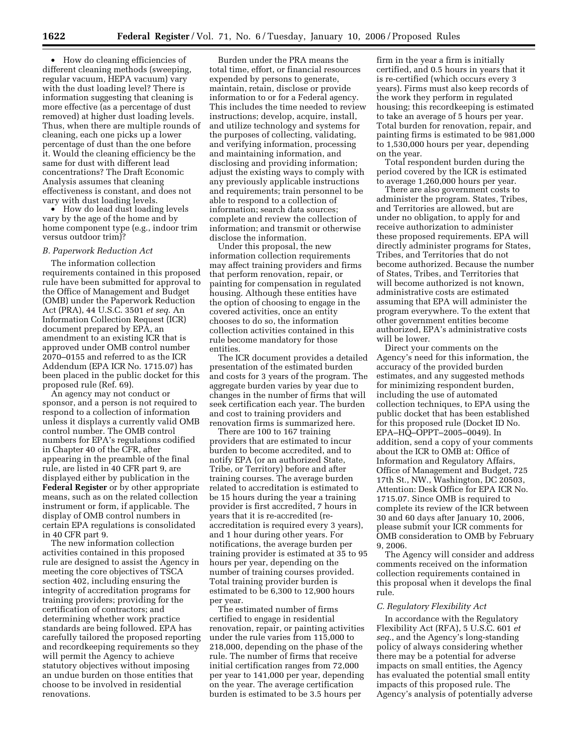• How do cleaning efficiencies of different cleaning methods (sweeping, regular vacuum, HEPA vacuum) vary with the dust loading level? There is information suggesting that cleaning is more effective (as a percentage of dust removed) at higher dust loading levels. Thus, when there are multiple rounds of cleaning, each one picks up a lower percentage of dust than the one before it. Would the cleaning efficiency be the same for dust with different lead concentrations? The Draft Economic Analysis assumes that cleaning effectiveness is constant, and does not vary with dust loading levels.

• How do lead dust loading levels vary by the age of the home and by home component type (e.g., indoor trim versus outdoor trim)?

# *B. Paperwork Reduction Act*

The information collection requirements contained in this proposed rule have been submitted for approval to the Office of Management and Budget (OMB) under the Paperwork Reduction Act (PRA), 44 U.S.C. 3501 *et seq*. An Information Collection Request (ICR) document prepared by EPA, an amendment to an existing ICR that is approved under OMB control number 2070–0155 and referred to as the ICR Addendum (EPA ICR No. 1715.07) has been placed in the public docket for this proposed rule (Ref. 69).

An agency may not conduct or sponsor, and a person is not required to respond to a collection of information unless it displays a currently valid OMB control number. The OMB control numbers for EPA's regulations codified in Chapter 40 of the CFR, after appearing in the preamble of the final rule, are listed in 40 CFR part 9, are displayed either by publication in the **Federal Register** or by other appropriate means, such as on the related collection instrument or form, if applicable. The display of OMB control numbers in certain EPA regulations is consolidated in 40 CFR part 9.

The new information collection activities contained in this proposed rule are designed to assist the Agency in meeting the core objectives of TSCA section 402, including ensuring the integrity of accreditation programs for training providers; providing for the certification of contractors; and determining whether work practice standards are being followed. EPA has carefully tailored the proposed reporting and recordkeeping requirements so they will permit the Agency to achieve statutory objectives without imposing an undue burden on those entities that choose to be involved in residential renovations.

Burden under the PRA means the total time, effort, or financial resources expended by persons to generate, maintain, retain, disclose or provide information to or for a Federal agency. This includes the time needed to review instructions; develop, acquire, install, and utilize technology and systems for the purposes of collecting, validating, and verifying information, processing and maintaining information, and disclosing and providing information; adjust the existing ways to comply with any previously applicable instructions and requirements; train personnel to be able to respond to a collection of information; search data sources; complete and review the collection of information; and transmit or otherwise disclose the information.

Under this proposal, the new information collection requirements may affect training providers and firms that perform renovation, repair, or painting for compensation in regulated housing. Although these entities have the option of choosing to engage in the covered activities, once an entity chooses to do so, the information collection activities contained in this rule become mandatory for those entities.

The ICR document provides a detailed presentation of the estimated burden and costs for 3 years of the program. The aggregate burden varies by year due to changes in the number of firms that will seek certification each year. The burden and cost to training providers and renovation firms is summarized here.

There are 100 to 167 training providers that are estimated to incur burden to become accredited, and to notify EPA (or an authorized State, Tribe, or Territory) before and after training courses. The average burden related to accreditation is estimated to be 15 hours during the year a training provider is first accredited, 7 hours in years that it is re-accredited (reaccreditation is required every 3 years), and 1 hour during other years. For notifications, the average burden per training provider is estimated at 35 to 95 hours per year, depending on the number of training courses provided. Total training provider burden is estimated to be 6,300 to 12,900 hours per year.

The estimated number of firms certified to engage in residential renovation, repair, or painting activities under the rule varies from 115,000 to 218,000, depending on the phase of the rule. The number of firms that receive initial certification ranges from 72,000 per year to 141,000 per year, depending on the year. The average certification burden is estimated to be 3.5 hours per

firm in the year a firm is initially certified, and 0.5 hours in years that it is re-certified (which occurs every 3 years). Firms must also keep records of the work they perform in regulated housing; this recordkeeping is estimated to take an average of 5 hours per year. Total burden for renovation, repair, and painting firms is estimated to be 981,000 to 1,530,000 hours per year, depending on the year.

Total respondent burden during the period covered by the ICR is estimated to average 1,260,000 hours per year.

There are also government costs to administer the program. States, Tribes, and Territories are allowed, but are under no obligation, to apply for and receive authorization to administer these proposed requirements. EPA will directly administer programs for States, Tribes, and Territories that do not become authorized. Because the number of States, Tribes, and Territories that will become authorized is not known, administrative costs are estimated assuming that EPA will administer the program everywhere. To the extent that other government entities become authorized, EPA's administrative costs will be lower.

Direct your comments on the Agency's need for this information, the accuracy of the provided burden estimates, and any suggested methods for minimizing respondent burden, including the use of automated collection techniques, to EPA using the public docket that has been established for this proposed rule (Docket ID No. EPA–HQ–OPPT–2005–0049). In addition, send a copy of your comments about the ICR to OMB at: Office of Information and Regulatory Affairs, Office of Management and Budget, 725 17th St., NW., Washington, DC 20503, Attention: Desk Office for EPA ICR No. 1715.07. Since OMB is required to complete its review of the ICR between 30 and 60 days after January 10, 2006, please submit your ICR comments for OMB consideration to OMB by February 9, 2006.

The Agency will consider and address comments received on the information collection requirements contained in this proposal when it develops the final rule.

# *C. Regulatory Flexibility Act*

In accordance with the Regulatory Flexibility Act (RFA), 5 U.S.C. 601 *et seq*., and the Agency's long-standing policy of always considering whether there may be a potential for adverse impacts on small entities, the Agency has evaluated the potential small entity impacts of this proposed rule. The Agency's analysis of potentially adverse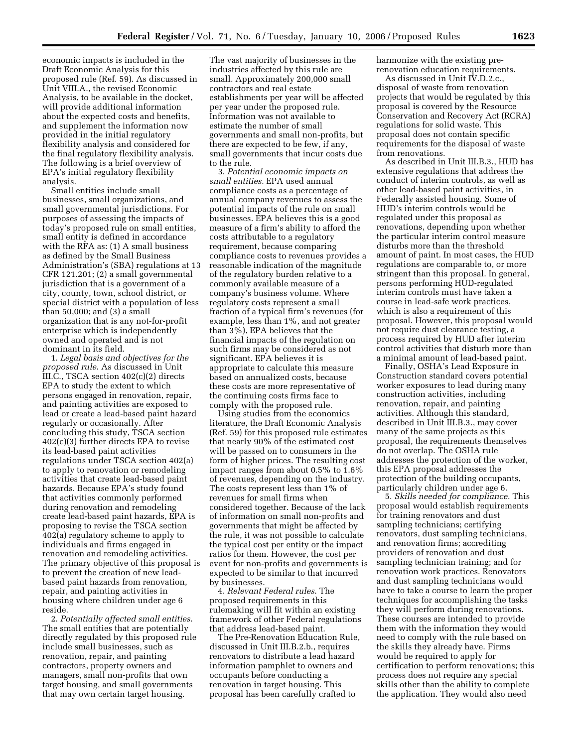economic impacts is included in the Draft Economic Analysis for this proposed rule (Ref. 59). As discussed in Unit VIII.A., the revised Economic Analysis, to be available in the docket, will provide additional information about the expected costs and benefits, and supplement the information now provided in the initial regulatory flexibility analysis and considered for the final regulatory flexibility analysis. The following is a brief overview of EPA's initial regulatory flexibility analysis.

Small entities include small businesses, small organizations, and small governmental jurisdictions. For purposes of assessing the impacts of today's proposed rule on small entities, small entity is defined in accordance with the RFA as: (1) A small business as defined by the Small Business Administration's (SBA) regulations at 13 CFR 121.201; (2) a small governmental jurisdiction that is a government of a city, county, town, school district, or special district with a population of less than 50,000; and (3) a small organization that is any not-for-profit enterprise which is independently owned and operated and is not dominant in its field.

1. *Legal basis and objectives for the proposed rule*. As discussed in Unit III.C., TSCA section 402(c)(2) directs EPA to study the extent to which persons engaged in renovation, repair, and painting activities are exposed to lead or create a lead-based paint hazard regularly or occasionally. After concluding this study, TSCA section 402(c)(3) further directs EPA to revise its lead-based paint activities regulations under TSCA section 402(a) to apply to renovation or remodeling activities that create lead-based paint hazards. Because EPA's study found that activities commonly performed during renovation and remodeling create lead-based paint hazards, EPA is proposing to revise the TSCA section 402(a) regulatory scheme to apply to individuals and firms engaged in renovation and remodeling activities. The primary objective of this proposal is to prevent the creation of new leadbased paint hazards from renovation, repair, and painting activities in housing where children under age 6 reside.

2. *Potentially affected small entities*. The small entities that are potentially directly regulated by this proposed rule include small businesses, such as renovation, repair, and painting contractors, property owners and managers, small non-profits that own target housing, and small governments that may own certain target housing.

The vast majority of businesses in the industries affected by this rule are small. Approximately 200,000 small contractors and real estate establishments per year will be affected per year under the proposed rule. Information was not available to estimate the number of small governments and small non-profits, but there are expected to be few, if any, small governments that incur costs due to the rule.

3. *Potential economic impacts on small entities.* EPA used annual compliance costs as a percentage of annual company revenues to assess the potential impacts of the rule on small businesses. EPA believes this is a good measure of a firm's ability to afford the costs attributable to a regulatory requirement, because comparing compliance costs to revenues provides a reasonable indication of the magnitude of the regulatory burden relative to a commonly available measure of a company's business volume. Where regulatory costs represent a small fraction of a typical firm's revenues (for example, less than 1%, and not greater than 3%), EPA believes that the financial impacts of the regulation on such firms may be considered as not significant. EPA believes it is appropriate to calculate this measure based on annualized costs, because these costs are more representative of the continuing costs firms face to comply with the proposed rule.

Using studies from the economics literature, the Draft Economic Analysis (Ref. 59) for this proposed rule estimates that nearly 90% of the estimated cost will be passed on to consumers in the form of higher prices. The resulting cost impact ranges from about 0.5% to 1.6% of revenues, depending on the industry. The costs represent less than 1% of revenues for small firms when considered together. Because of the lack of information on small non-profits and governments that might be affected by the rule, it was not possible to calculate the typical cost per entity or the impact ratios for them. However, the cost per event for non-profits and governments is expected to be similar to that incurred by businesses.

4. *Relevant Federal rules*. The proposed requirements in this rulemaking will fit within an existing framework of other Federal regulations that address lead-based paint.

The Pre-Renovation Education Rule, discussed in Unit III.B.2.b., requires renovators to distribute a lead hazard information pamphlet to owners and occupants before conducting a renovation in target housing. This proposal has been carefully crafted to

harmonize with the existing prerenovation education requirements.

As discussed in Unit IV.D.2.c., disposal of waste from renovation projects that would be regulated by this proposal is covered by the Resource Conservation and Recovery Act (RCRA) regulations for solid waste. This proposal does not contain specific requirements for the disposal of waste from renovations.

As described in Unit III.B.3., HUD has extensive regulations that address the conduct of interim controls, as well as other lead-based paint activities, in Federally assisted housing. Some of HUD's interim controls would be regulated under this proposal as renovations, depending upon whether the particular interim control measure disturbs more than the threshold amount of paint. In most cases, the HUD regulations are comparable to, or more stringent than this proposal. In general, persons performing HUD-regulated interim controls must have taken a course in lead-safe work practices, which is also a requirement of this proposal. However, this proposal would not require dust clearance testing, a process required by HUD after interim control activities that disturb more than a minimal amount of lead-based paint.

Finally, OSHA's Lead Exposure in Construction standard covers potential worker exposures to lead during many construction activities, including renovation, repair, and painting activities. Although this standard, described in Unit III.B.3., may cover many of the same projects as this proposal, the requirements themselves do not overlap. The OSHA rule addresses the protection of the worker, this EPA proposal addresses the protection of the building occupants, particularly children under age 6.

5. *Skills needed for compliance*. This proposal would establish requirements for training renovators and dust sampling technicians; certifying renovators, dust sampling technicians, and renovation firms; accrediting providers of renovation and dust sampling technician training; and for renovation work practices. Renovators and dust sampling technicians would have to take a course to learn the proper techniques for accomplishing the tasks they will perform during renovations. These courses are intended to provide them with the information they would need to comply with the rule based on the skills they already have. Firms would be required to apply for certification to perform renovations; this process does not require any special skills other than the ability to complete the application. They would also need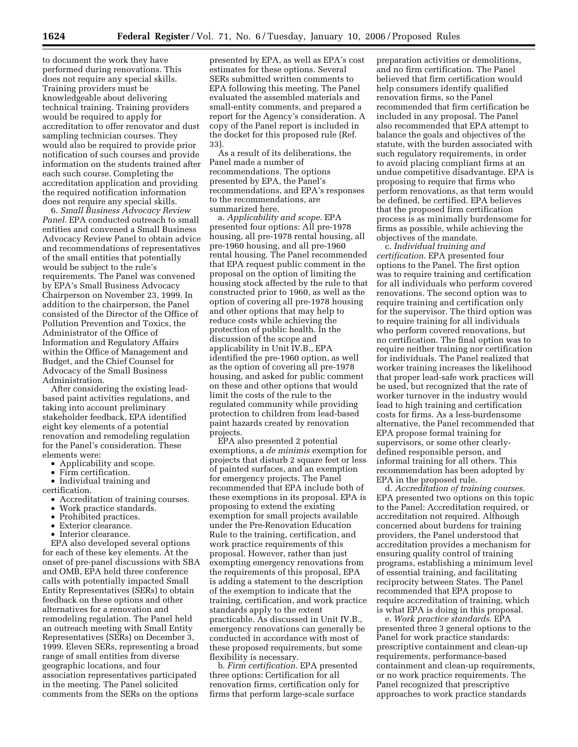to document the work they have performed during renovations. This does not require any special skills. Training providers must be knowledgeable about delivering technical training. Training providers would be required to apply for accreditation to offer renovator and dust sampling technician courses. They would also be required to provide prior notification of such courses and provide information on the students trained after each such course. Completing the accreditation application and providing the required notification information does not require any special skills.

6. *Small Business Advocacy Review Panel*. EPA conducted outreach to small entities and convened a Small Business Advocacy Review Panel to obtain advice and recommendations of representatives of the small entities that potentially would be subject to the rule's requirements. The Panel was convened by EPA's Small Business Advocacy Chairperson on November 23, 1999. In addition to the chairperson, the Panel consisted of the Director of the Office of Pollution Prevention and Toxics, the Administrator of the Office of Information and Regulatory Affairs within the Office of Management and Budget, and the Chief Counsel for Advocacy of the Small Business Administration.

After considering the existing leadbased paint activities regulations, and taking into account preliminary stakeholder feedback, EPA identified eight key elements of a potential renovation and remodeling regulation for the Panel's consideration. These elements were:

- Applicability and scope.
- Firm certification.

• Individual training and certification.

- Accreditation of training courses.
- Work practice standards.
- Prohibited practices.
- Exterior clearance.
- Interior clearance.

EPA also developed several options for each of these key elements. At the onset of pre-panel discussions with SBA and OMB, EPA held three conference calls with potentially impacted Small Entity Representatives (SERs) to obtain feedback on these options and other alternatives for a renovation and remodeling regulation. The Panel held an outreach meeting with Small Entity Representatives (SERs) on December 3, 1999. Eleven SERs, representing a broad range of small entities from diverse geographic locations, and four association representatives participated in the meeting. The Panel solicited comments from the SERs on the options

presented by EPA, as well as EPA's cost estimates for these options. Several SERs submitted written comments to EPA following this meeting. The Panel evaluated the assembled materials and small-entity comments, and prepared a report for the Agency's consideration. A copy of the Panel report is included in the docket for this proposed rule (Ref. 33).

As a result of its deliberations, the Panel made a number of recommendations. The options presented by EPA, the Panel's recommendations, and EPA's responses to the recommendations, are summarized here.

a. *Applicability and scope*. EPA presented four options: All pre-1978 housing, all pre-1978 rental housing, all pre-1960 housing, and all pre-1960 rental housing. The Panel recommended that EPA request public comment in the proposal on the option of limiting the housing stock affected by the rule to that constructed prior to 1960, as well as the option of covering all pre-1978 housing and other options that may help to reduce costs while achieving the protection of public health. In the discussion of the scope and applicability in Unit IV.B., EPA identified the pre-1960 option, as well as the option of covering all pre-1978 housing, and asked for public comment on these and other options that would limit the costs of the rule to the regulated community while providing protection to children from lead-based paint hazards created by renovation projects.

EPA also presented 2 potential exemptions, a *de minimis* exemption for projects that disturb 2 square feet or less of painted surfaces, and an exemption for emergency projects. The Panel recommended that EPA include both of these exemptions in its proposal. EPA is proposing to extend the existing exemption for small projects available under the Pre-Renovation Education Rule to the training, certification, and work practice requirements of this proposal. However, rather than just exempting emergency renovations from the requirements of this proposal, EPA is adding a statement to the description of the exemption to indicate that the training, certification, and work practice standards apply to the extent practicable. As discussed in Unit IV.B., emergency renovations can generally be conducted in accordance with most of these proposed requirements, but some flexibility is necessary.

b. *Firm certification*. EPA presented three options: Certification for all renovation firms, certification only for firms that perform large-scale surface

preparation activities or demolitions, and no firm certification. The Panel believed that firm certification would help consumers identify qualified renovation firms, so the Panel recommended that firm certification be included in any proposal. The Panel also recommended that EPA attempt to balance the goals and objectives of the statute, with the burden associated with such regulatory requirements, in order to avoid placing compliant firms at an undue competitive disadvantage. EPA is proposing to require that firms who perform renovations, as that term would be defined, be certified. EPA believes that the proposed firm certification process is as minimally burdensome for firms as possible, while achieving the objectives of the mandate.

c. *Individual training and certification*. EPA presented four options to the Panel. The first option was to require training and certification for all individuals who perform covered renovations. The second option was to require training and certification only for the supervisor. The third option was to require training for all individuals who perform covered renovations, but no certification. The final option was to require neither training nor certification for individuals. The Panel realized that worker training increases the likelihood that proper lead-safe work practices will be used, but recognized that the rate of worker turnover in the industry would lead to high training and certification costs for firms. As a less-burdensome alternative, the Panel recommended that EPA propose formal training for supervisors, or some other clearlydefined responsible person, and informal training for all others. This recommendation has been adopted by EPA in the proposed rule.

d. *Accreditation of training courses*. EPA presented two options on this topic to the Panel: Accreditation required, or accreditation not required. Although concerned about burdens for training providers, the Panel understood that accreditation provides a mechanism for ensuring quality control of training programs, establishing a minimum level of essential training, and facilitating reciprocity between States. The Panel recommended that EPA propose to require accreditation of training, which is what EPA is doing in this proposal.

e. *Work practice standards*. EPA presented three 3 general options to the Panel for work practice standards: prescriptive containment and clean-up requirements, performance-based containment and clean-up requirements, or no work practice requirements. The Panel recognized that prescriptive approaches to work practice standards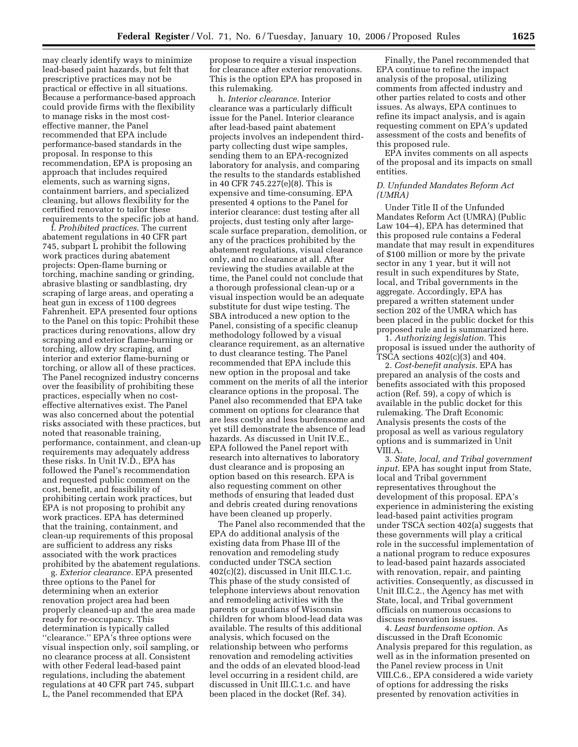may clearly identify ways to minimize lead-based paint hazards, but felt that prescriptive practices may not be practical or effective in all situations. Because a performance-based approach could provide firms with the flexibility to manage risks in the most costeffective manner, the Panel recommended that EPA include performance-based standards in the proposal. In response to this recommendation, EPA is proposing an approach that includes required elements, such as warning signs, containment barriers, and specialized cleaning, but allows flexibility for the certified renovator to tailor these requirements to the specific job at hand.

f. *Prohibited practices*. The current abatement regulations in 40 CFR part 745, subpart L prohibit the following work practices during abatement projects: Open-flame burning or torching, machine sanding or grinding, abrasive blasting or sandblasting, dry scraping of large areas, and operating a heat gun in excess of 1100 degrees Fahrenheit. EPA presented four options to the Panel on this topic: Prohibit these practices during renovations, allow dry scraping and exterior flame-burning or torching, allow dry scraping, and interior and exterior flame-burning or torching, or allow all of these practices. The Panel recognized industry concerns over the feasibility of prohibiting these practices, especially when no costeffective alternatives exist. The Panel was also concerned about the potential risks associated with these practices, but noted that reasonable training, performance, containment, and clean-up requirements may adequately address these risks. In Unit IV.D., EPA has followed the Panel's recommendation and requested public comment on the cost, benefit, and feasibility of prohibiting certain work practices, but EPA is not proposing to prohibit any work practices. EPA has determined that the training, containment, and clean-up requirements of this proposal are sufficient to address any risks associated with the work practices prohibited by the abatement regulations.

g. *Exterior clearance.* EPA presented three options to the Panel for determining when an exterior renovation project area had been properly cleaned-up and the area made ready for re-occupancy. This determination is typically called ''clearance.'' EPA's three options were visual inspection only, soil sampling, or no clearance process at all. Consistent with other Federal lead-based paint regulations, including the abatement regulations at 40 CFR part 745, subpart L, the Panel recommended that EPA

propose to require a visual inspection for clearance after exterior renovations. This is the option EPA has proposed in this rulemaking.

h. *Interior clearance.* Interior clearance was a particularly difficult issue for the Panel. Interior clearance after lead-based paint abatement projects involves an independent thirdparty collecting dust wipe samples, sending them to an EPA-recognized laboratory for analysis, and comparing the results to the standards established in 40 CFR 745.227(e)(8). This is expensive and time-consuming. EPA presented 4 options to the Panel for interior clearance: dust testing after all projects, dust testing only after largescale surface preparation, demolition, or any of the practices prohibited by the abatement regulations, visual clearance only, and no clearance at all. After reviewing the studies available at the time, the Panel could not conclude that a thorough professional clean-up or a visual inspection would be an adequate substitute for dust wipe testing. The SBA introduced a new option to the Panel, consisting of a specific cleanup methodology followed by a visual clearance requirement, as an alternative to dust clearance testing. The Panel recommended that EPA include this new option in the proposal and take comment on the merits of all the interior clearance options in the proposal. The Panel also recommended that EPA take comment on options for clearance that are less costly and less burdensome and yet still demonstrate the absence of lead hazards. As discussed in Unit IV.E., EPA followed the Panel report with research into alternatives to laboratory dust clearance and is proposing an option based on this research. EPA is also requesting comment on other methods of ensuring that leaded dust and debris created during renovations have been cleaned up properly.

The Panel also recommended that the EPA do additional analysis of the existing data from Phase III of the renovation and remodeling study conducted under TSCA section 402(c)(2), discussed in Unit III.C.1.c. This phase of the study consisted of telephone interviews about renovation and remodeling activities with the parents or guardians of Wisconsin children for whom blood-lead data was available. The results of this additional analysis, which focused on the relationship between who performs renovation and remodeling activities and the odds of an elevated blood-lead level occurring in a resident child, are discussed in Unit III.C.1.c. and have been placed in the docket (Ref. 34).

Finally, the Panel recommended that EPA continue to refine the impact analysis of the proposal, utilizing comments from affected industry and other parties related to costs and other issues. As always, EPA continues to refine its impact analysis, and is again requesting comment on EPA's updated assessment of the costs and benefits of this proposed rule.

EPA invites comments on all aspects of the proposal and its impacts on small entities.

# *D. Unfunded Mandates Reform Act (UMRA)*

Under Title II of the Unfunded Mandates Reform Act (UMRA) (Public Law 104–4), EPA has determined that this proposed rule contains a Federal mandate that may result in expenditures of \$100 million or more by the private sector in any 1 year, but it will not result in such expenditures by State, local, and Tribal governments in the aggregate. Accordingly, EPA has prepared a written statement under section 202 of the UMRA which has been placed in the public docket for this proposed rule and is summarized here.

1. *Authorizing legislation*. This proposal is issued under the authority of TSCA sections 402(c)(3) and 404.

2. *Cost-benefit analysis*. EPA has prepared an analysis of the costs and benefits associated with this proposed action (Ref. 59), a copy of which is available in the public docket for this rulemaking. The Draft Economic Analysis presents the costs of the proposal as well as various regulatory options and is summarized in Unit VIII.A.

3. *State, local, and Tribal government input*. EPA has sought input from State, local and Tribal government representatives throughout the development of this proposal. EPA's experience in administering the existing lead-based paint activities program under TSCA section 402(a) suggests that these governments will play a critical role in the successful implementation of a national program to reduce exposures to lead-based paint hazards associated with renovation, repair, and painting activities. Consequently, as discussed in Unit III.C.2., the Agency has met with State, local, and Tribal government officials on numerous occasions to discuss renovation issues.

4. *Least burdensome option*. As discussed in the Draft Economic Analysis prepared for this regulation, as well as in the information presented on the Panel review process in Unit VIII.C.6., EPA considered a wide variety of options for addressing the risks presented by renovation activities in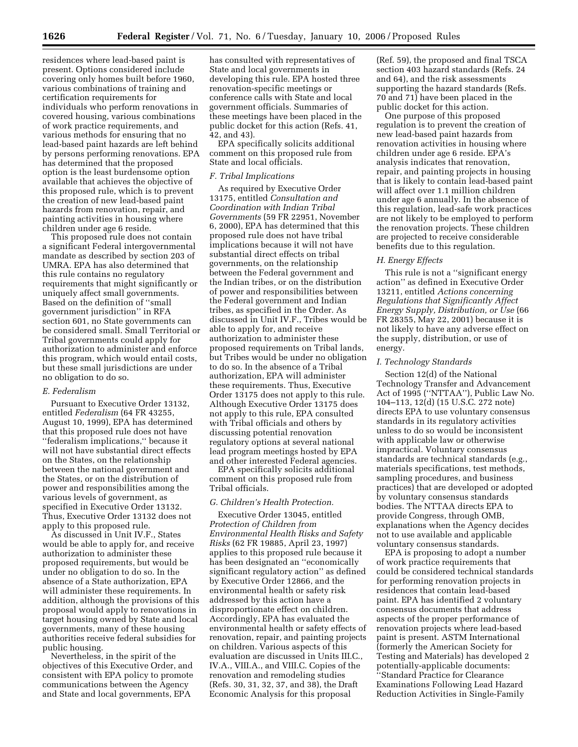residences where lead-based paint is present. Options considered include covering only homes built before 1960, various combinations of training and certification requirements for individuals who perform renovations in covered housing, various combinations of work practice requirements, and various methods for ensuring that no lead-based paint hazards are left behind by persons performing renovations. EPA has determined that the proposed option is the least burdensome option available that achieves the objective of this proposed rule, which is to prevent the creation of new lead-based paint hazards from renovation, repair, and painting activities in housing where children under age 6 reside.

This proposed rule does not contain a significant Federal intergovernmental mandate as described by section 203 of UMRA. EPA has also determined that this rule contains no regulatory requirements that might significantly or uniquely affect small governments. Based on the definition of ''small government jurisdiction'' in RFA section 601, no State governments can be considered small. Small Territorial or Tribal governments could apply for authorization to administer and enforce this program, which would entail costs, but these small jurisdictions are under no obligation to do so.

#### *E. Federalism*

Pursuant to Executive Order 13132, entitled *Federalism* (64 FR 43255, August 10, 1999), EPA has determined that this proposed rule does not have ''federalism implications,'' because it will not have substantial direct effects on the States, on the relationship between the national government and the States, or on the distribution of power and responsibilities among the various levels of government, as specified in Executive Order 13132. Thus, Executive Order 13132 does not apply to this proposed rule.

As discussed in Unit IV.F., States would be able to apply for, and receive authorization to administer these proposed requirements, but would be under no obligation to do so. In the absence of a State authorization, EPA will administer these requirements. In addition, although the provisions of this proposal would apply to renovations in target housing owned by State and local governments, many of these housing authorities receive federal subsidies for public housing.

Nevertheless, in the spirit of the objectives of this Executive Order, and consistent with EPA policy to promote communications between the Agency and State and local governments, EPA

has consulted with representatives of State and local governments in developing this rule. EPA hosted three renovation-specific meetings or conference calls with State and local government officials. Summaries of these meetings have been placed in the public docket for this action (Refs. 41, 42, and 43).

EPA specifically solicits additional comment on this proposed rule from State and local officials.

#### *F. Tribal Implications*

As required by Executive Order 13175, entitled *Consultation and Coordination with Indian Tribal Governments* (59 FR 22951, November 6, 2000), EPA has determined that this proposed rule does not have tribal implications because it will not have substantial direct effects on tribal governments, on the relationship between the Federal government and the Indian tribes, or on the distribution of power and responsibilities between the Federal government and Indian tribes, as specified in the Order. As discussed in Unit IV.F., Tribes would be able to apply for, and receive authorization to administer these proposed requirements on Tribal lands, but Tribes would be under no obligation to do so. In the absence of a Tribal authorization, EPA will administer these requirements. Thus, Executive Order 13175 does not apply to this rule. Although Executive Order 13175 does not apply to this rule, EPA consulted with Tribal officials and others by discussing potential renovation regulatory options at several national lead program meetings hosted by EPA and other interested Federal agencies.

EPA specifically solicits additional comment on this proposed rule from Tribal officials.

### *G. Children's Health Protection.*

Executive Order 13045, entitled *Protection of Children from Environmental Health Risks and Safety Risks* (62 FR 19885, April 23, 1997) applies to this proposed rule because it has been designated an ''economically significant regulatory action'' as defined by Executive Order 12866, and the environmental health or safety risk addressed by this action have a disproportionate effect on children. Accordingly, EPA has evaluated the environmental health or safety effects of renovation, repair, and painting projects on children. Various aspects of this evaluation are discussed in Units III.C., IV.A., VIII.A., and VIII.C. Copies of the renovation and remodeling studies (Refs. 30, 31, 32, 37, and 38), the Draft Economic Analysis for this proposal

(Ref. 59), the proposed and final TSCA section 403 hazard standards (Refs. 24 and 64), and the risk assessments supporting the hazard standards (Refs. 70 and 71) have been placed in the public docket for this action.

One purpose of this proposed regulation is to prevent the creation of new lead-based paint hazards from renovation activities in housing where children under age 6 reside. EPA's analysis indicates that renovation, repair, and painting projects in housing that is likely to contain lead-based paint will affect over 1.1 million children under age 6 annually. In the absence of this regulation, lead-safe work practices are not likely to be employed to perform the renovation projects. These children are projected to receive considerable benefits due to this regulation.

#### *H. Energy Effects*

This rule is not a ''significant energy action'' as defined in Executive Order 13211, entitled *Actions concerning Regulations that Significantly Affect Energy Supply, Distribution, or Use* (66 FR 28355, May 22, 2001) because it is not likely to have any adverse effect on the supply, distribution, or use of energy.

#### *I. Technology Standards*

Section 12(d) of the National Technology Transfer and Advancement Act of 1995 (''NTTAA''), Public Law No. 104–113, 12(d) (15 U.S.C. 272 note) directs EPA to use voluntary consensus standards in its regulatory activities unless to do so would be inconsistent with applicable law or otherwise impractical. Voluntary consensus standards are technical standards (e.g., materials specifications, test methods, sampling procedures, and business practices) that are developed or adopted by voluntary consensus standards bodies. The NTTAA directs EPA to provide Congress, through OMB, explanations when the Agency decides not to use available and applicable voluntary consensus standards.

EPA is proposing to adopt a number of work practice requirements that could be considered technical standards for performing renovation projects in residences that contain lead-based paint. EPA has identified 2 voluntary consensus documents that address aspects of the proper performance of renovation projects where lead-based paint is present. ASTM International (formerly the American Society for Testing and Materials) has developed 2 potentially-applicable documents: ''Standard Practice for Clearance Examinations Following Lead Hazard Reduction Activities in Single-Family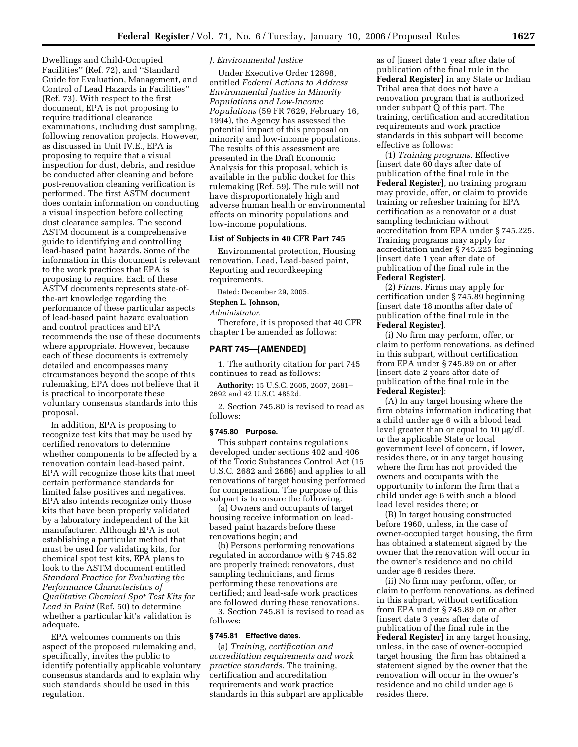Dwellings and Child-Occupied Facilities'' (Ref. 72), and ''Standard Guide for Evaluation, Management, and Control of Lead Hazards in Facilities'' (Ref. 73). With respect to the first document, EPA is not proposing to require traditional clearance examinations, including dust sampling, following renovation projects. However, as discussed in Unit IV.E., EPA is proposing to require that a visual inspection for dust, debris, and residue be conducted after cleaning and before post-renovation cleaning verification is performed. The first ASTM document does contain information on conducting a visual inspection before collecting dust clearance samples. The second ASTM document is a comprehensive guide to identifying and controlling lead-based paint hazards. Some of the information in this document is relevant to the work practices that EPA is proposing to require. Each of these ASTM documents represents state-ofthe-art knowledge regarding the performance of these particular aspects of lead-based paint hazard evaluation and control practices and EPA recommends the use of these documents where appropriate. However, because each of these documents is extremely detailed and encompasses many circumstances beyond the scope of this rulemaking, EPA does not believe that it is practical to incorporate these voluntary consensus standards into this proposal.

In addition, EPA is proposing to recognize test kits that may be used by certified renovators to determine whether components to be affected by a renovation contain lead-based paint. EPA will recognize those kits that meet certain performance standards for limited false positives and negatives. EPA also intends recognize only those kits that have been properly validated by a laboratory independent of the kit manufacturer. Although EPA is not establishing a particular method that must be used for validating kits, for chemical spot test kits, EPA plans to look to the ASTM document entitled *Standard Practice for Evaluating the Performance Characteristics of Qualitative Chemical Spot Test Kits for Lead in Paint* (Ref. 50) to determine whether a particular kit's validation is adequate.

EPA welcomes comments on this aspect of the proposed rulemaking and, specifically, invites the public to identify potentially applicable voluntary consensus standards and to explain why such standards should be used in this regulation.

# *J. Environmental Justice*

Under Executive Order 12898, entitled *Federal Actions to Address Environmental Justice in Minority Populations and Low-Income Populations* (59 FR 7629, February 16, 1994), the Agency has assessed the potential impact of this proposal on minority and low-income populations. The results of this assessment are presented in the Draft Economic Analysis for this proposal, which is available in the public docket for this rulemaking (Ref. 59). The rule will not have disproportionately high and adverse human health or environmental effects on minority populations and low-income populations.

#### **List of Subjects in 40 CFR Part 745**

Environmental protection, Housing renovation, Lead, Lead-based paint, Reporting and recordkeeping requirements.

Dated: December 29, 2005.

#### **Stephen L. Johnson,**

*Administrator.* 

Therefore, it is proposed that 40 CFR chapter I be amended as follows:

#### **PART 745—[AMENDED]**

1. The authority citation for part 745 continues to read as follows:

**Authority:** 15 U.S.C. 2605, 2607, 2681– 2692 and 42 U.S.C. 4852d.

2. Section 745.80 is revised to read as follows:

#### **§ 745.80 Purpose.**

This subpart contains regulations developed under sections 402 and 406 of the Toxic Substances Control Act (15 U.S.C. 2682 and 2686) and applies to all renovations of target housing performed for compensation. The purpose of this subpart is to ensure the following:

(a) Owners and occupants of target housing receive information on leadbased paint hazards before these renovations begin; and

(b) Persons performing renovations regulated in accordance with § 745.82 are properly trained; renovators, dust sampling technicians, and firms performing these renovations are certified; and lead-safe work practices are followed during these renovations.

3. Section 745.81 is revised to read as follows:

#### **§ 745.81 Effective dates.**

(a) *Training, certification and accreditation requirements and work practice standards*. The training, certification and accreditation requirements and work practice standards in this subpart are applicable as of [insert date 1 year after date of publication of the final rule in the **Federal Register**] in any State or Indian Tribal area that does not have a renovation program that is authorized under subpart Q of this part. The training, certification and accreditation requirements and work practice standards in this subpart will become effective as follows:

(1) *Training programs*. Effective [insert date 60 days after date of publication of the final rule in the **Federal Register**], no training program may provide, offer, or claim to provide training or refresher training for EPA certification as a renovator or a dust sampling technician without accreditation from EPA under § 745.225. Training programs may apply for accreditation under § 745.225 beginning [insert date 1 year after date of publication of the final rule in the **Federal Register**].

(2) *Firms*. Firms may apply for certification under § 745.89 beginning [insert date 18 months after date of publication of the final rule in the **Federal Register**].

(i) No firm may perform, offer, or claim to perform renovations, as defined in this subpart, without certification from EPA under § 745.89 on or after [insert date 2 years after date of publication of the final rule in the **Federal Register**]:

(A) In any target housing where the firm obtains information indicating that a child under age 6 with a blood lead level greater than or equal to 10 µg/dL or the applicable State or local government level of concern, if lower, resides there, or in any target housing where the firm has not provided the owners and occupants with the opportunity to inform the firm that a child under age 6 with such a blood lead level resides there; or

(B) In target housing constructed before 1960, unless, in the case of owner-occupied target housing, the firm has obtained a statement signed by the owner that the renovation will occur in the owner's residence and no child under age 6 resides there.

(ii) No firm may perform, offer, or claim to perform renovations, as defined in this subpart, without certification from EPA under § 745.89 on or after [insert date 3 years after date of publication of the final rule in the **Federal Register**] in any target housing, unless, in the case of owner-occupied target housing, the firm has obtained a statement signed by the owner that the renovation will occur in the owner's residence and no child under age 6 resides there.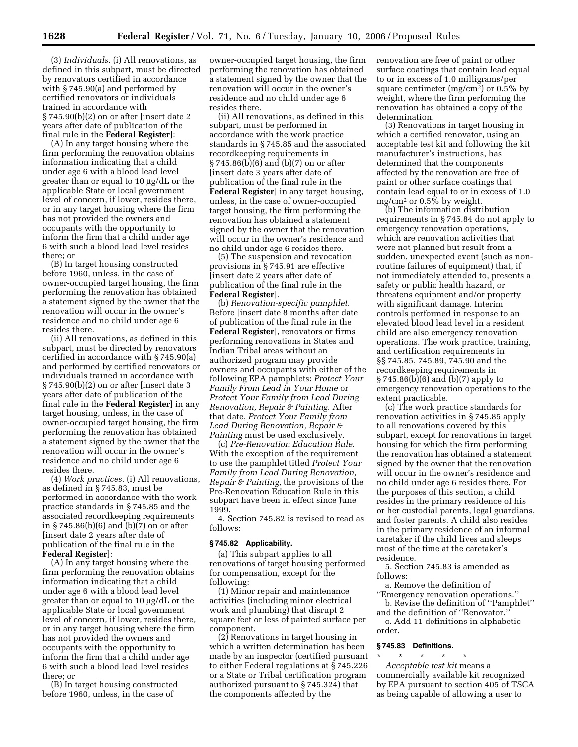(3) *Individuals*. (i) All renovations, as defined in this subpart, must be directed by renovators certified in accordance with § 745.90(a) and performed by certified renovators or individuals trained in accordance with § 745.90(b)(2) on or after [insert date 2 years after date of publication of the final rule in the **Federal Register**]:

(A) In any target housing where the firm performing the renovation obtains information indicating that a child under age 6 with a blood lead level greater than or equal to 10 µg/dL or the applicable State or local government level of concern, if lower, resides there, or in any target housing where the firm has not provided the owners and occupants with the opportunity to inform the firm that a child under age 6 with such a blood lead level resides there; or

(B) In target housing constructed before 1960, unless, in the case of owner-occupied target housing, the firm performing the renovation has obtained a statement signed by the owner that the renovation will occur in the owner's residence and no child under age 6 resides there.

(ii) All renovations, as defined in this subpart, must be directed by renovators certified in accordance with § 745.90(a) and performed by certified renovators or individuals trained in accordance with § 745.90(b)(2) on or after [insert date 3 years after date of publication of the final rule in the **Federal Register**] in any target housing, unless, in the case of owner-occupied target housing, the firm performing the renovation has obtained a statement signed by the owner that the renovation will occur in the owner's residence and no child under age 6 resides there.

(4) *Work practices*. (i) All renovations, as defined in § 745.83, must be performed in accordance with the work practice standards in § 745.85 and the associated recordkeeping requirements in § 745.86(b)(6) and (b)(7) on or after [insert date 2 years after date of publication of the final rule in the **Federal Register**]:

(A) In any target housing where the firm performing the renovation obtains information indicating that a child under age 6 with a blood lead level greater than or equal to 10 µg/dL or the applicable State or local government level of concern, if lower, resides there, or in any target housing where the firm has not provided the owners and occupants with the opportunity to inform the firm that a child under age 6 with such a blood lead level resides there; or

(B) In target housing constructed before 1960, unless, in the case of

owner-occupied target housing, the firm performing the renovation has obtained a statement signed by the owner that the renovation will occur in the owner's residence and no child under age 6 resides there.

(ii) All renovations, as defined in this subpart, must be performed in accordance with the work practice standards in § 745.85 and the associated recordkeeping requirements in § 745.86(b)(6) and (b)(7) on or after [insert date 3 years after date of publication of the final rule in the **Federal Register**] in any target housing, unless, in the case of owner-occupied target housing, the firm performing the renovation has obtained a statement signed by the owner that the renovation will occur in the owner's residence and no child under age 6 resides there.

(5) The suspension and revocation provisions in § 745.91 are effective [insert date 2 years after date of publication of the final rule in the **Federal Register**].

(b) *Renovation-specific pamphlet*. Before [insert date 8 months after date of publication of the final rule in the **Federal Register**], renovators or firms performing renovations in States and Indian Tribal areas without an authorized program may provide owners and occupants with either of the following EPA pamphlets: *Protect Your Family From Lead in Your Home* or *Protect Your Family from Lead During Renovation, Repair & Painting*. After that date, *Protect Your Family from Lead During Renovation, Repair & Painting* must be used exclusively.

(c) *Pre-Renovation Education Rule*. With the exception of the requirement to use the pamphlet titled *Protect Your Family from Lead During Renovation, Repair & Painting*, the provisions of the Pre-Renovation Education Rule in this subpart have been in effect since June 1999.

4. Section 745.82 is revised to read as follows:

#### **§ 745.82 Applicability.**

(a) This subpart applies to all renovations of target housing performed for compensation, except for the following:

(1) Minor repair and maintenance activities (including minor electrical work and plumbing) that disrupt 2 square feet or less of painted surface per component.

(2) Renovations in target housing in which a written determination has been made by an inspector (certified pursuant to either Federal regulations at § 745.226 or a State or Tribal certification program authorized pursuant to § 745.324) that the components affected by the

renovation are free of paint or other surface coatings that contain lead equal to or in excess of 1.0 milligrams/per square centimeter (mg/cm2) or 0.5% by weight, where the firm performing the renovation has obtained a copy of the determination.

(3) Renovations in target housing in which a certified renovator, using an acceptable test kit and following the kit manufacturer's instructions, has determined that the components affected by the renovation are free of paint or other surface coatings that contain lead equal to or in excess of 1.0 mg/cm2 or 0.5% by weight.

(b) The information distribution requirements in § 745.84 do not apply to emergency renovation operations, which are renovation activities that were not planned but result from a sudden, unexpected event (such as nonroutine failures of equipment) that, if not immediately attended to, presents a safety or public health hazard, or threatens equipment and/or property with significant damage. Interim controls performed in response to an elevated blood lead level in a resident child are also emergency renovation operations. The work practice, training, and certification requirements in §§ 745.85, 745.89, 745.90 and the recordkeeping requirements in § 745.86(b)(6) and (b)(7) apply to emergency renovation operations to the extent practicable.

(c) The work practice standards for renovation activities in § 745.85 apply to all renovations covered by this subpart, except for renovations in target housing for which the firm performing the renovation has obtained a statement signed by the owner that the renovation will occur in the owner's residence and no child under age 6 resides there. For the purposes of this section, a child resides in the primary residence of his or her custodial parents, legal guardians, and foster parents. A child also resides in the primary residence of an informal caretaker if the child lives and sleeps most of the time at the caretaker's residence.

5. Section 745.83 is amended as follows:

a. Remove the definition of ''Emergency renovation operations.''

b. Revise the definition of ''Pamphlet'' and the definition of ''Renovator.''

c. Add 11 definitions in alphabetic order.

#### **§ 745.83 Definitions.**

\* \* \* \* \* *Acceptable test kit* means a commercially available kit recognized by EPA pursuant to section 405 of TSCA as being capable of allowing a user to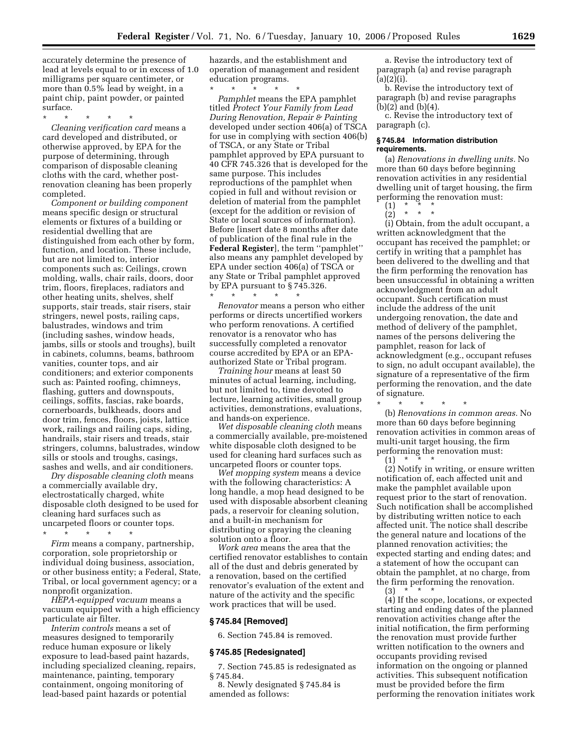accurately determine the presence of lead at levels equal to or in excess of 1.0 milligrams per square centimeter, or more than 0.5% lead by weight, in a paint chip, paint powder, or painted surface.

\* \* \* \* \*

*Cleaning verification card* means a card developed and distributed, or otherwise approved, by EPA for the purpose of determining, through comparison of disposable cleaning cloths with the card, whether postrenovation cleaning has been properly completed.

*Component or building component*  means specific design or structural elements or fixtures of a building or residential dwelling that are distinguished from each other by form, function, and location. These include, but are not limited to, interior components such as: Ceilings, crown molding, walls, chair rails, doors, door trim, floors, fireplaces, radiators and other heating units, shelves, shelf supports, stair treads, stair risers, stair stringers, newel posts, railing caps, balustrades, windows and trim (including sashes, window heads, jambs, sills or stools and troughs), built in cabinets, columns, beams, bathroom vanities, counter tops, and air conditioners; and exterior components such as: Painted roofing, chimneys, flashing, gutters and downspouts, ceilings, soffits, fascias, rake boards, cornerboards, bulkheads, doors and door trim, fences, floors, joists, lattice work, railings and railing caps, siding, handrails, stair risers and treads, stair stringers, columns, balustrades, window sills or stools and troughs, casings, sashes and wells, and air conditioners.

*Dry disposable cleaning cloth* means a commercially available dry, electrostatically charged, white disposable cloth designed to be used for cleaning hard surfaces such as uncarpeted floors or counter tops.

\* \* \* \* \* *Firm* means a company, partnership, corporation, sole proprietorship or individual doing business, association, or other business entity; a Federal, State, Tribal, or local government agency; or a nonprofit organization.

*HEPA-equipped vacuum* means a vacuum equipped with a high efficiency particulate air filter.

*Interim controls* means a set of measures designed to temporarily reduce human exposure or likely exposure to lead-based paint hazards, including specialized cleaning, repairs, maintenance, painting, temporary containment, ongoing monitoring of lead-based paint hazards or potential

hazards, and the establishment and operation of management and resident education programs.

\* \* \* \* \* *Pamphlet* means the EPA pamphlet titled *Protect Your Family from Lead During Renovation, Repair & Painting*  developed under section 406(a) of TSCA for use in complying with section 406(b) of TSCA, or any State or Tribal pamphlet approved by EPA pursuant to 40 CFR 745.326 that is developed for the same purpose. This includes reproductions of the pamphlet when copied in full and without revision or deletion of material from the pamphlet (except for the addition or revision of State or local sources of information). Before [insert date 8 months after date of publication of the final rule in the **Federal Register**], the term ''pamphlet'' also means any pamphlet developed by EPA under section 406(a) of TSCA or any State or Tribal pamphlet approved by EPA pursuant to § 745.326. \* \* \* \* \*

*Renovator* means a person who either performs or directs uncertified workers who perform renovations. A certified renovator is a renovator who has successfully completed a renovator course accredited by EPA or an EPAauthorized State or Tribal program.

*Training hour* means at least 50 minutes of actual learning, including, but not limited to, time devoted to lecture, learning activities, small group activities, demonstrations, evaluations, and hands-on experience.

*Wet disposable cleaning cloth* means a commercially available, pre-moistened white disposable cloth designed to be used for cleaning hard surfaces such as uncarpeted floors or counter tops.

*Wet mopping system* means a device with the following characteristics: A long handle, a mop head designed to be used with disposable absorbent cleaning pads, a reservoir for cleaning solution, and a built-in mechanism for distributing or spraying the cleaning solution onto a floor.

*Work area* means the area that the certified renovator establishes to contain all of the dust and debris generated by a renovation, based on the certified renovator's evaluation of the extent and nature of the activity and the specific work practices that will be used.

## **§ 745.84 [Removed]**

6. Section 745.84 is removed.

# **§ 745.85 [Redesignated]**

7. Section 745.85 is redesignated as § 745.84.

8. Newly designated § 745.84 is amended as follows:

a. Revise the introductory text of paragraph (a) and revise paragraph  $(a)(2)(i).$ 

b. Revise the introductory text of paragraph (b) and revise paragraphs (b)(2) and (b)(4).

c. Revise the introductory text of paragraph (c).

# **§ 745.84 Information distribution requirements.**

(a) *Renovations in dwelling units.* No more than 60 days before beginning renovation activities in any residential dwelling unit of target housing, the firm performing the renovation must:

(i) Obtain, from the adult occupant, a written acknowledgment that the occupant has received the pamphlet; or certify in writing that a pamphlet has been delivered to the dwelling and that the firm performing the renovation has been unsuccessful in obtaining a written acknowledgment from an adult occupant. Such certification must include the address of the unit undergoing renovation, the date and method of delivery of the pamphlet, names of the persons delivering the pamphlet, reason for lack of acknowledgment (e.g., occupant refuses to sign, no adult occupant available), the signature of a representative of the firm performing the renovation, and the date of signature.

\* \* \* \* \*

(b) *Renovations in common areas.* No more than 60 days before beginning renovation activities in common areas of multi-unit target housing, the firm performing the renovation must:

 $(1)$ 

(2) Notify in writing, or ensure written notification of, each affected unit and make the pamphlet available upon request prior to the start of renovation. Such notification shall be accomplished by distributing written notice to each affected unit. The notice shall describe the general nature and locations of the planned renovation activities; the expected starting and ending dates; and a statement of how the occupant can obtain the pamphlet, at no charge, from the firm performing the renovation.

 $(3)$ 

(4) If the scope, locations, or expected starting and ending dates of the planned renovation activities change after the initial notification, the firm performing the renovation must provide further written notification to the owners and occupants providing revised information on the ongoing or planned activities. This subsequent notification must be provided before the firm performing the renovation initiates work

 $(1)$  \* \* \*<br>(2) \* \* \*  $(2)$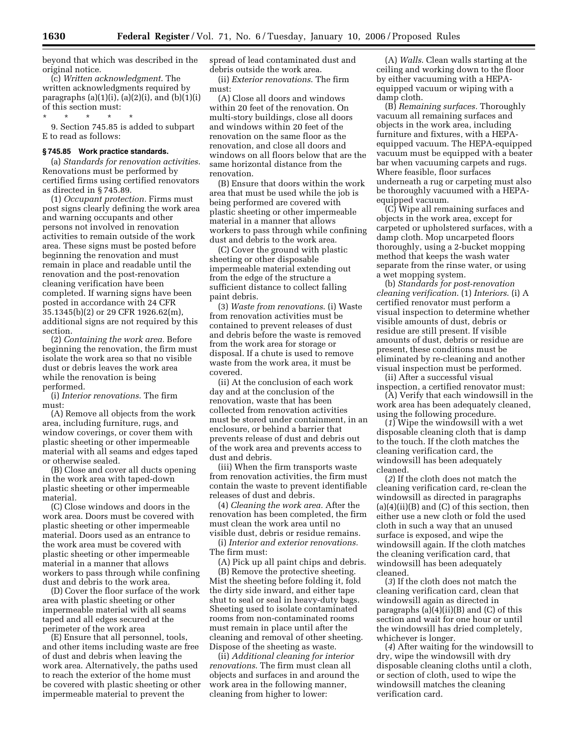beyond that which was described in the original notice.

(c) *Written acknowledgment*. The written acknowledgments required by paragraphs (a)(1)(i), (a)(2)(i), and (b)(1)(i) of this section must:

\* \* \* \* \* 9. Section 745.85 is added to subpart E to read as follows:

#### **§ 745.85 Work practice standards.**

(a) *Standards for renovation activities*. Renovations must be performed by certified firms using certified renovators as directed in § 745.89.

(1) *Occupant protection.* Firms must post signs clearly defining the work area and warning occupants and other persons not involved in renovation activities to remain outside of the work area. These signs must be posted before beginning the renovation and must remain in place and readable until the renovation and the post-renovation cleaning verification have been completed. If warning signs have been posted in accordance with 24 CFR 35.1345(b)(2) or 29 CFR 1926.62(m), additional signs are not required by this section.

(2) *Containing the work area.* Before beginning the renovation, the firm must isolate the work area so that no visible dust or debris leaves the work area while the renovation is being performed.

(i) *Interior renovations*. The firm must:

(A) Remove all objects from the work area, including furniture, rugs, and window coverings, or cover them with plastic sheeting or other impermeable material with all seams and edges taped or otherwise sealed.

(B) Close and cover all ducts opening in the work area with taped-down plastic sheeting or other impermeable material.

(C) Close windows and doors in the work area. Doors must be covered with plastic sheeting or other impermeable material. Doors used as an entrance to the work area must be covered with plastic sheeting or other impermeable material in a manner that allows workers to pass through while confining dust and debris to the work area.

(D) Cover the floor surface of the work area with plastic sheeting or other impermeable material with all seams taped and all edges secured at the perimeter of the work area

(E) Ensure that all personnel, tools, and other items including waste are free of dust and debris when leaving the work area. Alternatively, the paths used to reach the exterior of the home must be covered with plastic sheeting or other impermeable material to prevent the

spread of lead contaminated dust and debris outside the work area.

(ii) *Exterior renovations*. The firm must:

(A) Close all doors and windows within 20 feet of the renovation. On multi-story buildings, close all doors and windows within 20 feet of the renovation on the same floor as the renovation, and close all doors and windows on all floors below that are the same horizontal distance from the renovation.

(B) Ensure that doors within the work area that must be used while the job is being performed are covered with plastic sheeting or other impermeable material in a manner that allows workers to pass through while confining dust and debris to the work area.

(C) Cover the ground with plastic sheeting or other disposable impermeable material extending out from the edge of the structure a sufficient distance to collect falling paint debris.

(3) *Waste from renovations*. (i) Waste from renovation activities must be contained to prevent releases of dust and debris before the waste is removed from the work area for storage or disposal. If a chute is used to remove waste from the work area, it must be covered.

(ii) At the conclusion of each work day and at the conclusion of the renovation, waste that has been collected from renovation activities must be stored under containment, in an enclosure, or behind a barrier that prevents release of dust and debris out of the work area and prevents access to dust and debris.

(iii) When the firm transports waste from renovation activities, the firm must contain the waste to prevent identifiable releases of dust and debris.

(4) *Cleaning the work area.* After the renovation has been completed, the firm must clean the work area until no visible dust, debris or residue remains.

(i) *Interior and exterior renovations.*  The firm must:

(A) Pick up all paint chips and debris.

(B) Remove the protective sheeting. Mist the sheeting before folding it, fold the dirty side inward, and either tape shut to seal or seal in heavy-duty bags. Sheeting used to isolate contaminated rooms from non-contaminated rooms must remain in place until after the cleaning and removal of other sheeting. Dispose of the sheeting as waste.

(ii) *Additional cleaning for interior renovations*. The firm must clean all objects and surfaces in and around the work area in the following manner, cleaning from higher to lower:

(A) *Walls*. Clean walls starting at the ceiling and working down to the floor by either vacuuming with a HEPAequipped vacuum or wiping with a damp cloth.

(B) *Remaining surfaces.* Thoroughly vacuum all remaining surfaces and objects in the work area, including furniture and fixtures, with a HEPAequipped vacuum. The HEPA-equipped vacuum must be equipped with a beater bar when vacuuming carpets and rugs. Where feasible, floor surfaces underneath a rug or carpeting must also be thoroughly vacuumed with a HEPAequipped vacuum.

(C) Wipe all remaining surfaces and objects in the work area, except for carpeted or upholstered surfaces, with a damp cloth. Mop uncarpeted floors thoroughly, using a 2-bucket mopping method that keeps the wash water separate from the rinse water, or using a wet mopping system.

(b) *Standards for post-renovation cleaning verification*. (1) *Interiors*. (i) A certified renovator must perform a visual inspection to determine whether visible amounts of dust, debris or residue are still present. If visible amounts of dust, debris or residue are present, these conditions must be eliminated by re-cleaning and another visual inspection must be performed.

(ii) After a successful visual inspection, a certified renovator must:

(A) Verify that each windowsill in the work area has been adequately cleaned, using the following procedure.

(*1*) Wipe the windowsill with a wet disposable cleaning cloth that is damp to the touch. If the cloth matches the cleaning verification card, the windowsill has been adequately cleaned.

(*2*) If the cloth does not match the cleaning verification card, re-clean the windowsill as directed in paragraphs  $(a)(4)(ii)(B)$  and  $(C)$  of this section, then either use a new cloth or fold the used cloth in such a way that an unused surface is exposed, and wipe the windowsill again. If the cloth matches the cleaning verification card, that windowsill has been adequately cleaned.

(*3*) If the cloth does not match the cleaning verification card, clean that windowsill again as directed in paragraphs  $(a)(4)(ii)(B)$  and  $(C)$  of this section and wait for one hour or until the windowsill has dried completely, whichever is longer.

(*4*) After waiting for the windowsill to dry, wipe the windowsill with dry disposable cleaning cloths until a cloth, or section of cloth, used to wipe the windowsill matches the cleaning verification card.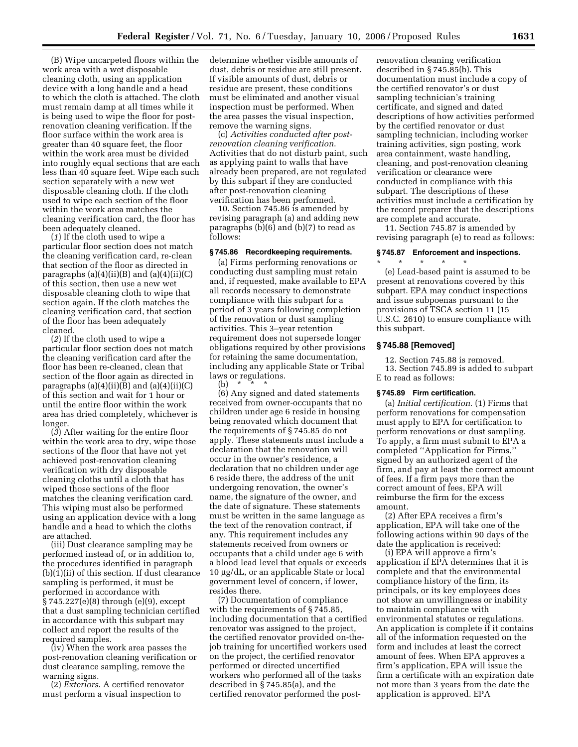(B) Wipe uncarpeted floors within the work area with a wet disposable cleaning cloth, using an application device with a long handle and a head to which the cloth is attached. The cloth must remain damp at all times while it is being used to wipe the floor for postrenovation cleaning verification. If the floor surface within the work area is greater than 40 square feet, the floor within the work area must be divided into roughly equal sections that are each less than 40 square feet. Wipe each such section separately with a new wet disposable cleaning cloth. If the cloth used to wipe each section of the floor within the work area matches the cleaning verification card, the floor has been adequately cleaned.

(*1*) If the cloth used to wipe a particular floor section does not match the cleaning verification card, re-clean that section of the floor as directed in paragraphs  $(a)(4)(ii)(B)$  and  $(a)(4)(ii)(C)$ of this section, then use a new wet disposable cleaning cloth to wipe that section again. If the cloth matches the cleaning verification card, that section of the floor has been adequately cleaned.

(*2*) If the cloth used to wipe a particular floor section does not match the cleaning verification card after the floor has been re-cleaned, clean that section of the floor again as directed in paragraphs  $(a)(4)(ii)(B)$  and  $(a)(4)(ii)(C)$ of this section and wait for 1 hour or until the entire floor within the work area has dried completely, whichever is longer.

(*3*) After waiting for the entire floor within the work area to dry, wipe those sections of the floor that have not yet achieved post-renovation cleaning verification with dry disposable cleaning cloths until a cloth that has wiped those sections of the floor matches the cleaning verification card. This wiping must also be performed using an application device with a long handle and a head to which the cloths are attached.

(iii) Dust clearance sampling may be performed instead of, or in addition to, the procedures identified in paragraph (b)(1)(ii) of this section. If dust clearance sampling is performed, it must be performed in accordance with § 745.227(e)(8) through (e)(9), except that a dust sampling technician certified in accordance with this subpart may collect and report the results of the required samples.

(iv) When the work area passes the post-renovation cleaning verification or dust clearance sampling, remove the warning signs.

(2) *Exteriors*. A certified renovator must perform a visual inspection to

determine whether visible amounts of dust, debris or residue are still present. If visible amounts of dust, debris or residue are present, these conditions must be eliminated and another visual inspection must be performed. When the area passes the visual inspection, remove the warning signs.

(c) *Activities conducted after postrenovation cleaning verification*. Activities that do not disturb paint, such as applying paint to walls that have already been prepared, are not regulated by this subpart if they are conducted after post-renovation cleaning verification has been performed.

10. Section 745.86 is amended by revising paragraph (a) and adding new paragraphs (b)(6) and (b)(7) to read as follows:

# **§ 745.86 Recordkeeping requirements.**

(a) Firms performing renovations or conducting dust sampling must retain and, if requested, make available to EPA all records necessary to demonstrate compliance with this subpart for a period of 3 years following completion of the renovation or dust sampling activities. This 3–year retention requirement does not supersede longer obligations required by other provisions for retaining the same documentation, including any applicable State or Tribal laws or regulations.

(b) \* \* \* (6) Any signed and dated statements received from owner-occupants that no children under age 6 reside in housing being renovated which document that the requirements of § 745.85 do not apply. These statements must include a declaration that the renovation will occur in the owner's residence, a declaration that no children under age 6 reside there, the address of the unit undergoing renovation, the owner's name, the signature of the owner, and the date of signature. These statements must be written in the same language as the text of the renovation contract, if any. This requirement includes any statements received from owners or occupants that a child under age 6 with a blood lead level that equals or exceeds 10 µg/dL, or an applicable State or local government level of concern, if lower, resides there.

(7) Documentation of compliance with the requirements of § 745.85, including documentation that a certified renovator was assigned to the project, the certified renovator provided on-thejob training for uncertified workers used on the project, the certified renovator performed or directed uncertified workers who performed all of the tasks described in § 745.85(a), and the certified renovator performed the post-

renovation cleaning verification described in § 745.85(b). This documentation must include a copy of the certified renovator's or dust sampling technician's training certificate, and signed and dated descriptions of how activities performed by the certified renovator or dust sampling technician, including worker training activities, sign posting, work area containment, waste handling, cleaning, and post-renovation cleaning verification or clearance were conducted in compliance with this subpart. The descriptions of these activities must include a certification by the record preparer that the descriptions are complete and accurate.

11. Section 745.87 is amended by revising paragraph (e) to read as follows:

#### **§ 745.87 Enforcement and inspections.**  \* \* \* \* \*

(e) Lead-based paint is assumed to be present at renovations covered by this subpart. EPA may conduct inspections and issue subpoenas pursuant to the provisions of TSCA section 11 (15 U.S.C. 2610) to ensure compliance with this subpart.

#### **§ 745.88 [Removed]**

12. Section 745.88 is removed. 13. Section 745.89 is added to subpart E to read as follows:

# **§ 745.89 Firm certification.**

(a) *Initial certification*. (1) Firms that perform renovations for compensation must apply to EPA for certification to perform renovations or dust sampling. To apply, a firm must submit to EPA a completed ''Application for Firms,'' signed by an authorized agent of the firm, and pay at least the correct amount of fees. If a firm pays more than the correct amount of fees, EPA will reimburse the firm for the excess amount.

(2) After EPA receives a firm's application, EPA will take one of the following actions within 90 days of the date the application is received:

(i) EPA will approve a firm's application if EPA determines that it is complete and that the environmental compliance history of the firm, its principals, or its key employees does not show an unwillingness or inability to maintain compliance with environmental statutes or regulations. An application is complete if it contains all of the information requested on the form and includes at least the correct amount of fees. When EPA approves a firm's application, EPA will issue the firm a certificate with an expiration date not more than 3 years from the date the application is approved. EPA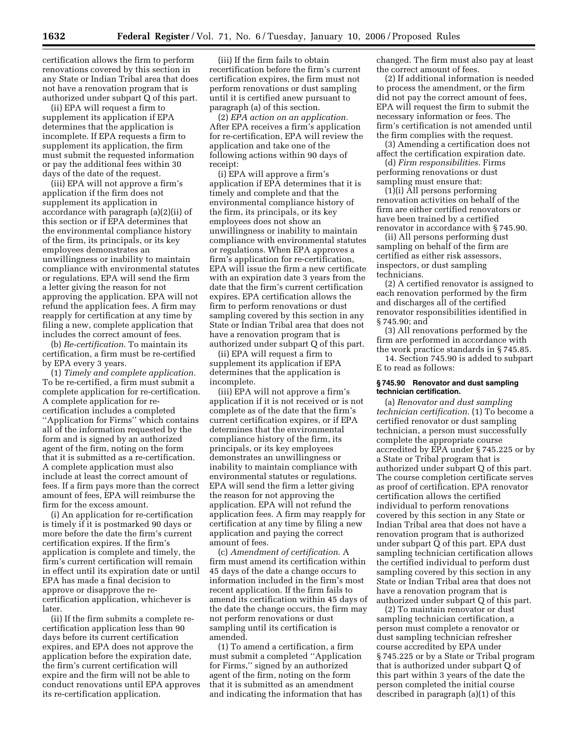certification allows the firm to perform renovations covered by this section in any State or Indian Tribal area that does not have a renovation program that is authorized under subpart Q of this part.

(ii) EPA will request a firm to supplement its application if EPA determines that the application is incomplete. If EPA requests a firm to supplement its application, the firm must submit the requested information or pay the additional fees within 30 days of the date of the request.

(iii) EPA will not approve a firm's application if the firm does not supplement its application in accordance with paragraph (a)(2)(ii) of this section or if EPA determines that the environmental compliance history of the firm, its principals, or its key employees demonstrates an unwillingness or inability to maintain compliance with environmental statutes or regulations. EPA will send the firm a letter giving the reason for not approving the application. EPA will not refund the application fees. A firm may reapply for certification at any time by filing a new, complete application that includes the correct amount of fees.

(b) *Re-certification*. To maintain its certification, a firm must be re-certified by EPA every 3 years.

(1) *Timely and complete application.*  To be re-certified, a firm must submit a complete application for re-certification. A complete application for recertification includes a completed ''Application for Firms'' which contains all of the information requested by the form and is signed by an authorized agent of the firm, noting on the form that it is submitted as a re-certification. A complete application must also include at least the correct amount of fees. If a firm pays more than the correct amount of fees, EPA will reimburse the firm for the excess amount.

(i) An application for re-certification is timely if it is postmarked 90 days or more before the date the firm's current certification expires. If the firm's application is complete and timely, the firm's current certification will remain in effect until its expiration date or until EPA has made a final decision to approve or disapprove the recertification application, whichever is later.

(ii) If the firm submits a complete recertification application less than 90 days before its current certification expires, and EPA does not approve the application before the expiration date, the firm's current certification will expire and the firm will not be able to conduct renovations until EPA approves its re-certification application.

(iii) If the firm fails to obtain recertification before the firm's current certification expires, the firm must not perform renovations or dust sampling until it is certified anew pursuant to paragraph (a) of this section.

(2) *EPA action on an application.*  After EPA receives a firm's application for re-certification, EPA will review the application and take one of the following actions within 90 days of receipt:

(i) EPA will approve a firm's application if EPA determines that it is timely and complete and that the environmental compliance history of the firm, its principals, or its key employees does not show an unwillingness or inability to maintain compliance with environmental statutes or regulations. When EPA approves a firm's application for re-certification, EPA will issue the firm a new certificate with an expiration date 3 years from the date that the firm's current certification expires. EPA certification allows the firm to perform renovations or dust sampling covered by this section in any State or Indian Tribal area that does not have a renovation program that is authorized under subpart Q of this part.

(ii) EPA will request a firm to supplement its application if EPA determines that the application is incomplete.

(iii) EPA will not approve a firm's application if it is not received or is not complete as of the date that the firm's current certification expires, or if EPA determines that the environmental compliance history of the firm, its principals, or its key employees demonstrates an unwillingness or inability to maintain compliance with environmental statutes or regulations. EPA will send the firm a letter giving the reason for not approving the application. EPA will not refund the application fees. A firm may reapply for certification at any time by filing a new application and paying the correct amount of fees.

(c) *Amendment of certification*. A firm must amend its certification within 45 days of the date a change occurs to information included in the firm's most recent application. If the firm fails to amend its certification within 45 days of the date the change occurs, the firm may not perform renovations or dust sampling until its certification is amended.

(1) To amend a certification, a firm must submit a completed ''Application for Firms,'' signed by an authorized agent of the firm, noting on the form that it is submitted as an amendment and indicating the information that has changed. The firm must also pay at least the correct amount of fees.

(2) If additional information is needed to process the amendment, or the firm did not pay the correct amount of fees, EPA will request the firm to submit the necessary information or fees. The firm's certification is not amended until the firm complies with the request.

(3) Amending a certification does not affect the certification expiration date.

(d) *Firm responsibilities*. Firms performing renovations or dust sampling must ensure that:

(1)(i) All persons performing renovation activities on behalf of the firm are either certified renovators or have been trained by a certified renovator in accordance with § 745.90.

(ii) All persons performing dust sampling on behalf of the firm are certified as either risk assessors, inspectors, or dust sampling technicians.

(2) A certified renovator is assigned to each renovation performed by the firm and discharges all of the certified renovator responsibilities identified in § 745.90; and

(3) All renovations performed by the firm are performed in accordance with the work practice standards in § 745.85.

14. Section 745.90 is added to subpart E to read as follows:

### **§ 745.90 Renovator and dust sampling technician certification.**

(a) *Renovator and dust sampling technician certification.* (1) To become a certified renovator or dust sampling technician, a person must successfully complete the appropriate course accredited by EPA under § 745.225 or by a State or Tribal program that is authorized under subpart Q of this part. The course completion certificate serves as proof of certification. EPA renovator certification allows the certified individual to perform renovations covered by this section in any State or Indian Tribal area that does not have a renovation program that is authorized under subpart Q of this part. EPA dust sampling technician certification allows the certified individual to perform dust sampling covered by this section in any State or Indian Tribal area that does not have a renovation program that is authorized under subpart Q of this part.

(2) To maintain renovator or dust sampling technician certification, a person must complete a renovator or dust sampling technician refresher course accredited by EPA under § 745.225 or by a State or Tribal program that is authorized under subpart Q of this part within 3 years of the date the person completed the initial course described in paragraph (a)(1) of this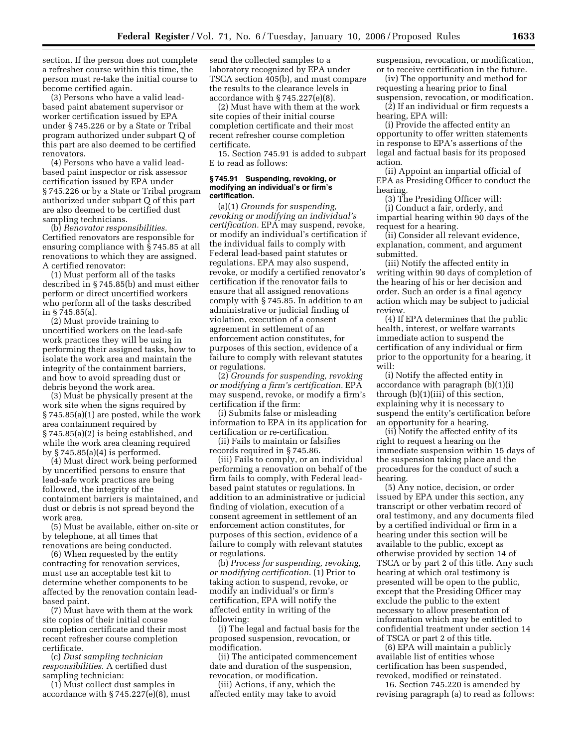section. If the person does not complete a refresher course within this time, the person must re-take the initial course to become certified again.

(3) Persons who have a valid leadbased paint abatement supervisor or worker certification issued by EPA under § 745.226 or by a State or Tribal program authorized under subpart Q of this part are also deemed to be certified renovators.

(4) Persons who have a valid leadbased paint inspector or risk assessor certification issued by EPA under § 745.226 or by a State or Tribal program authorized under subpart Q of this part are also deemed to be certified dust sampling technicians.

(b) *Renovator responsibilities*. Certified renovators are responsible for ensuring compliance with § 745.85 at all renovations to which they are assigned. A certified renovator:

(1) Must perform all of the tasks described in § 745.85(b) and must either perform or direct uncertified workers who perform all of the tasks described in § 745.85(a).

(2) Must provide training to uncertified workers on the lead-safe work practices they will be using in performing their assigned tasks, how to isolate the work area and maintain the integrity of the containment barriers, and how to avoid spreading dust or debris beyond the work area.

(3) Must be physically present at the work site when the signs required by § 745.85(a)(1) are posted, while the work area containment required by § 745.85(a)(2) is being established, and while the work area cleaning required by § 745.85(a)(4) is performed.

(4) Must direct work being performed by uncertified persons to ensure that lead-safe work practices are being followed, the integrity of the containment barriers is maintained, and dust or debris is not spread beyond the work area.

(5) Must be available, either on-site or by telephone, at all times that renovations are being conducted.

(6) When requested by the entity contracting for renovation services, must use an acceptable test kit to determine whether components to be affected by the renovation contain leadbased paint.

(7) Must have with them at the work site copies of their initial course completion certificate and their most recent refresher course completion certificate.

(c) *Dust sampling technician responsibilities*. A certified dust sampling technician:

(1) Must collect dust samples in accordance with § 745.227(e)(8), must send the collected samples to a laboratory recognized by EPA under TSCA section 405(b), and must compare the results to the clearance levels in accordance with § 745.227(e)(8).

(2) Must have with them at the work site copies of their initial course completion certificate and their most recent refresher course completion certificate.

15. Section 745.91 is added to subpart E to read as follows:

#### **§ 745.91 Suspending, revoking, or modifying an individual's or firm's certification.**

(a)(1) *Grounds for suspending, revoking or modifying an individual's certification.* EPA may suspend, revoke, or modify an individual's certification if the individual fails to comply with Federal lead-based paint statutes or regulations. EPA may also suspend, revoke, or modify a certified renovator's certification if the renovator fails to ensure that all assigned renovations comply with § 745.85. In addition to an administrative or judicial finding of violation, execution of a consent agreement in settlement of an enforcement action constitutes, for purposes of this section, evidence of a failure to comply with relevant statutes or regulations.

(2) *Grounds for suspending, revoking or modifying a firm's certification.* EPA may suspend, revoke, or modify a firm's certification if the firm:

(i) Submits false or misleading information to EPA in its application for certification or re-certification.

(ii) Fails to maintain or falsifies records required in § 745.86.

(iii) Fails to comply, or an individual performing a renovation on behalf of the firm fails to comply, with Federal leadbased paint statutes or regulations. In addition to an administrative or judicial finding of violation, execution of a consent agreement in settlement of an enforcement action constitutes, for purposes of this section, evidence of a failure to comply with relevant statutes or regulations.

(b) *Process for suspending, revoking, or modifying certification*. (1) Prior to taking action to suspend, revoke, or modify an individual's or firm's certification, EPA will notify the affected entity in writing of the following:

(i) The legal and factual basis for the proposed suspension, revocation, or modification.

(ii) The anticipated commencement date and duration of the suspension, revocation, or modification.

(iii) Actions, if any, which the affected entity may take to avoid suspension, revocation, or modification, or to receive certification in the future.

(iv) The opportunity and method for requesting a hearing prior to final suspension, revocation, or modification.

(2) If an individual or firm requests a hearing, EPA will:

(i) Provide the affected entity an opportunity to offer written statements in response to EPA's assertions of the legal and factual basis for its proposed action.

(ii) Appoint an impartial official of EPA as Presiding Officer to conduct the hearing.

(3) The Presiding Officer will: (i) Conduct a fair, orderly, and

impartial hearing within 90 days of the request for a hearing.

(ii) Consider all relevant evidence, explanation, comment, and argument submitted.

(iii) Notify the affected entity in writing within 90 days of completion of the hearing of his or her decision and order. Such an order is a final agency action which may be subject to judicial review.

(4) If EPA determines that the public health, interest, or welfare warrants immediate action to suspend the certification of any individual or firm prior to the opportunity for a hearing, it will:

(i) Notify the affected entity in accordance with paragraph (b)(1)(i) through (b)(1)(iii) of this section, explaining why it is necessary to suspend the entity's certification before an opportunity for a hearing.

(ii) Notify the affected entity of its right to request a hearing on the immediate suspension within 15 days of the suspension taking place and the procedures for the conduct of such a hearing.

(5) Any notice, decision, or order issued by EPA under this section, any transcript or other verbatim record of oral testimony, and any documents filed by a certified individual or firm in a hearing under this section will be available to the public, except as otherwise provided by section 14 of TSCA or by part 2 of this title. Any such hearing at which oral testimony is presented will be open to the public, except that the Presiding Officer may exclude the public to the extent necessary to allow presentation of information which may be entitled to confidential treatment under section 14 of TSCA or part 2 of this title.

(6) EPA will maintain a publicly available list of entities whose certification has been suspended, revoked, modified or reinstated.

16. Section 745.220 is amended by revising paragraph (a) to read as follows: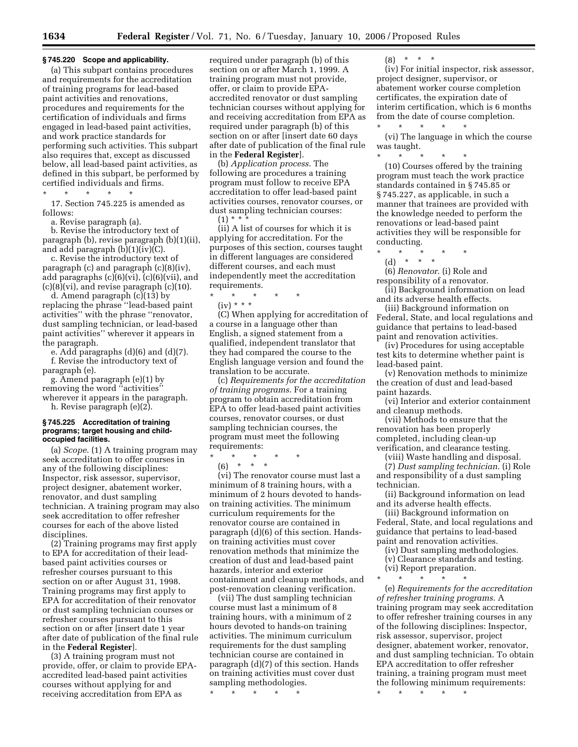# **§ 745.220 Scope and applicability.**

(a) This subpart contains procedures and requirements for the accreditation of training programs for lead-based paint activities and renovations, procedures and requirements for the certification of individuals and firms engaged in lead-based paint activities, and work practice standards for performing such activities. This subpart also requires that, except as discussed below, all lead-based paint activities, as defined in this subpart, be performed by certified individuals and firms.

\* \* \* \* \* 17. Section 745.225 is amended as

follows:

a. Revise paragraph (a). b. Revise the introductory text of paragraph (b), revise paragraph (b)(1)(ii), and add paragraph (b)(1)(iv)(C).

c. Revise the introductory text of paragraph (c) and paragraph (c)(8)(iv), add paragraphs (c)(6)(vi), (c)(6)(vii), and  $(c)(8)(vi)$ , and revise paragraph  $(c)(10)$ .

d. Amend paragraph  $(c)(13)$  by replacing the phrase ''lead-based paint activities'' with the phrase ''renovator, dust sampling technician, or lead-based paint activities'' wherever it appears in the paragraph.

e. Add paragraphs (d)(6) and (d)(7). f. Revise the introductory text of paragraph (e).

g. Amend paragraph (e)(1) by removing the word ''activities'' wherever it appears in the paragraph. h. Revise paragraph (e)(2).

**§ 745.225 Accreditation of training programs; target housing and child-**

**occupied facilities.**  (a) *Scope*. (1) A training program may seek accreditation to offer courses in any of the following disciplines: Inspector, risk assessor, supervisor, project designer, abatement worker, renovator, and dust sampling technician. A training program may also seek accreditation to offer refresher courses for each of the above listed disciplines.

(2) Training programs may first apply to EPA for accreditation of their leadbased paint activities courses or refresher courses pursuant to this section on or after August 31, 1998. Training programs may first apply to EPA for accreditation of their renovator or dust sampling technician courses or refresher courses pursuant to this section on or after [insert date 1 year after date of publication of the final rule in the **Federal Register**].

(3) A training program must not provide, offer, or claim to provide EPAaccredited lead-based paint activities courses without applying for and receiving accreditation from EPA as

required under paragraph (b) of this section on or after March 1, 1999. A training program must not provide, offer, or claim to provide EPAaccredited renovator or dust sampling technician courses without applying for and receiving accreditation from EPA as required under paragraph (b) of this section on or after [insert date 60 days after date of publication of the final rule in the **Federal Register**].

(b) *Application process*. The following are procedures a training program must follow to receive EPA accreditation to offer lead-based paint activities courses, renovator courses, or dust sampling technician courses:  $(1) * * *$ 

(ii) A list of courses for which it is applying for accreditation. For the purposes of this section, courses taught in different languages are considered different courses, and each must independently meet the accreditation requirements.

\* \* \* \* \* (iv) \* \* \*

(C) When applying for accreditation of a course in a language other than English, a signed statement from a qualified, independent translator that they had compared the course to the English language version and found the translation to be accurate.

(c) *Requirements for the accreditation of training programs*. For a training program to obtain accreditation from EPA to offer lead-based paint activities courses, renovator courses, or dust sampling technician courses, the program must meet the following requirements:

\* \* \* \* \*

(6) \* \* \*

(vi) The renovator course must last a minimum of 8 training hours, with a minimum of 2 hours devoted to handson training activities. The minimum curriculum requirements for the renovator course are contained in paragraph (d)(6) of this section. Handson training activities must cover renovation methods that minimize the creation of dust and lead-based paint hazards, interior and exterior containment and cleanup methods, and post-renovation cleaning verification.

(vii) The dust sampling technician course must last a minimum of 8 training hours, with a minimum of 2 hours devoted to hands-on training activities. The minimum curriculum requirements for the dust sampling technician course are contained in paragraph (d)(7) of this section. Hands on training activities must cover dust sampling methodologies.

\* \* \* \* \*

(8) \* \* \*

(iv) For initial inspector, risk assessor, project designer, supervisor, or abatement worker course completion certificates, the expiration date of interim certification, which is 6 months from the date of course completion. \* \* \* \* \*

(vi) The language in which the course was taught.

\* \* \* \* \* (10) Courses offered by the training program must teach the work practice standards contained in § 745.85 or § 745.227, as applicable, in such a manner that trainees are provided with the knowledge needed to perform the renovations or lead-based paint activities they will be responsible for conducting.

\* \* \* \* \* (d) \* \* \*

(6) *Renovator*. (i) Role and responsibility of a renovator.

(ii) Background information on lead and its adverse health effects.

(iii) Background information on Federal, State, and local regulations and guidance that pertains to lead-based paint and renovation activities.

(iv) Procedures for using acceptable test kits to determine whether paint is lead-based paint.

(v) Renovation methods to minimize the creation of dust and lead-based paint hazards.

(vi) Interior and exterior containment and cleanup methods.

(vii) Methods to ensure that the renovation has been properly completed, including clean-up verification, and clearance testing.

(viii) Waste handling and disposal.

(7) *Dust sampling technician*. (i) Role and responsibility of a dust sampling technician.

(ii) Background information on lead and its adverse health effects.

(iii) Background information on Federal, State, and local regulations and guidance that pertains to lead-based paint and renovation activities.

(iv) Dust sampling methodologies.

- (v) Clearance standards and testing.
- (vi) Report preparation.

\* \* \* \* \* (e) *Requirements for the accreditation of refresher training programs*. A training program may seek accreditation to offer refresher training courses in any of the following disciplines: Inspector, risk assessor, supervisor, project designer, abatement worker, renovator, and dust sampling technician. To obtain EPA accreditation to offer refresher training, a training program must meet the following minimum requirements:

\* \* \* \* \*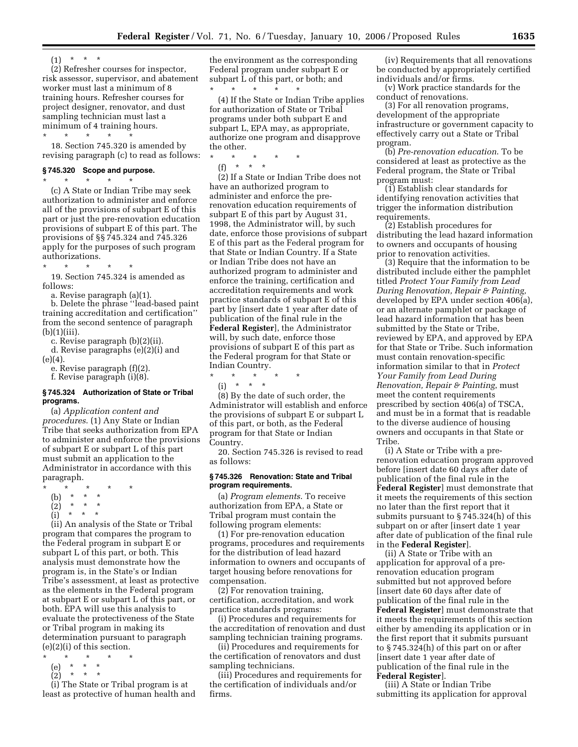$(1)$  \* \* \*

(2) Refresher courses for inspector, risk assessor, supervisor, and abatement worker must last a minimum of 8 training hours. Refresher courses for project designer, renovator, and dust sampling technician must last a minimum of 4 training hours.

\* \* \* \* \*

18. Section 745.320 is amended by revising paragraph (c) to read as follows:

#### **§ 745.320 Scope and purpose.**  \* \* \* \* \*

(c) A State or Indian Tribe may seek authorization to administer and enforce all of the provisions of subpart E of this part or just the pre-renovation education provisions of subpart E of this part. The provisions of §§ 745.324 and 745.326 apply for the purposes of such program authorizations.

19. Section 745.324 is amended as follows:

a. Revise paragraph (a)(1).

\* \* \* \* \*

b. Delete the phrase ''lead-based paint training accreditation and certification'' from the second sentence of paragraph  $(b)(1)(iii)$ .

c. Revise paragraph (b)(2)(ii).

d. Revise paragraphs (e)(2)(i) and  $(e)(4).$ 

e. Revise paragraph (f)(2).

f. Revise paragraph (i)(8).

#### **§ 745.324 Authorization of State or Tribal programs.**

(a) *Application content and procedures*. (1) Any State or Indian Tribe that seeks authorization from EPA to administer and enforce the provisions of subpart E or subpart L of this part must submit an application to the Administrator in accordance with this paragraph.

- \* \* \* \* \*
	- (b) \* \* \*
	- $(2) * * * * *$
	- $(i)$  \* \*

(ii) An analysis of the State or Tribal program that compares the program to the Federal program in subpart E or subpart L of this part, or both. This analysis must demonstrate how the program is, in the State's or Indian Tribe's assessment, at least as protective as the elements in the Federal program at subpart E or subpart L of this part, or both. EPA will use this analysis to evaluate the protectiveness of the State or Tribal program in making its determination pursuant to paragraph (e)(2)(i) of this section.

- \* \* \* \* \*
	- (e) \* \* \*  $(2)$  \* \* \*

(i) The State or Tribal program is at least as protective of human health and

the environment as the corresponding Federal program under subpart E or subpart L of this part, or both; and \* \* \* \* \*

(4) If the State or Indian Tribe applies for authorization of State or Tribal programs under both subpart E and subpart L, EPA may, as appropriate, authorize one program and disapprove the other.

\* \* \* \* \* (f) \* \* \*

(2) If a State or Indian Tribe does not have an authorized program to administer and enforce the prerenovation education requirements of subpart E of this part by August 31, 1998, the Administrator will, by such date, enforce those provisions of subpart E of this part as the Federal program for that State or Indian Country. If a State or Indian Tribe does not have an authorized program to administer and enforce the training, certification and accreditation requirements and work practice standards of subpart E of this part by [insert date 1 year after date of publication of the final rule in the **Federal Register**], the Administrator will, by such date, enforce those provisions of subpart E of this part as the Federal program for that State or Indian Country.

(i) \* \* \* (8) By the date of such order, the Administrator will establish and enforce the provisions of subpart E or subpart L of this part, or both, as the Federal program for that State or Indian Country.

\* \* \* \* \*

20. Section 745.326 is revised to read as follows:

#### **§ 745.326 Renovation: State and Tribal program requirements.**

(a) *Program elements*. To receive authorization from EPA, a State or Tribal program must contain the following program elements:

(1) For pre-renovation education programs, procedures and requirements for the distribution of lead hazard information to owners and occupants of target housing before renovations for compensation.

(2) For renovation training, certification, accreditation, and work practice standards programs:

(i) Procedures and requirements for the accreditation of renovation and dust sampling technician training programs.

(ii) Procedures and requirements for the certification of renovators and dust sampling technicians.

(iii) Procedures and requirements for the certification of individuals and/or firms.

(iv) Requirements that all renovations be conducted by appropriately certified individuals and/or firms.

(v) Work practice standards for the conduct of renovations.

(3) For all renovation programs, development of the appropriate infrastructure or government capacity to effectively carry out a State or Tribal program.

(b) *Pre-renovation education*. To be considered at least as protective as the Federal program, the State or Tribal program must:

(1) Establish clear standards for identifying renovation activities that trigger the information distribution requirements.

(2) Establish procedures for distributing the lead hazard information to owners and occupants of housing prior to renovation activities.

(3) Require that the information to be distributed include either the pamphlet titled *Protect Your Family from Lead During Renovation, Repair & Painting,*  developed by EPA under section 406(a), or an alternate pamphlet or package of lead hazard information that has been submitted by the State or Tribe, reviewed by EPA, and approved by EPA for that State or Tribe. Such information must contain renovation-specific information similar to that in *Protect Your Family from Lead During Renovation, Repair & Painting*, must meet the content requirements prescribed by section 406(a) of TSCA, and must be in a format that is readable to the diverse audience of housing owners and occupants in that State or Tribe.

(i) A State or Tribe with a prerenovation education program approved before [insert date 60 days after date of publication of the final rule in the **Federal Register**] must demonstrate that it meets the requirements of this section no later than the first report that it submits pursuant to § 745.324(h) of this subpart on or after [insert date 1 year after date of publication of the final rule in the **Federal Register**].

(ii) A State or Tribe with an application for approval of a prerenovation education program submitted but not approved before [insert date 60 days after date of publication of the final rule in the **Federal Register**] must demonstrate that it meets the requirements of this section either by amending its application or in the first report that it submits pursuant to § 745.324(h) of this part on or after [insert date 1 year after date of publication of the final rule in the **Federal Register**].

(iii) A State or Indian Tribe submitting its application for approval